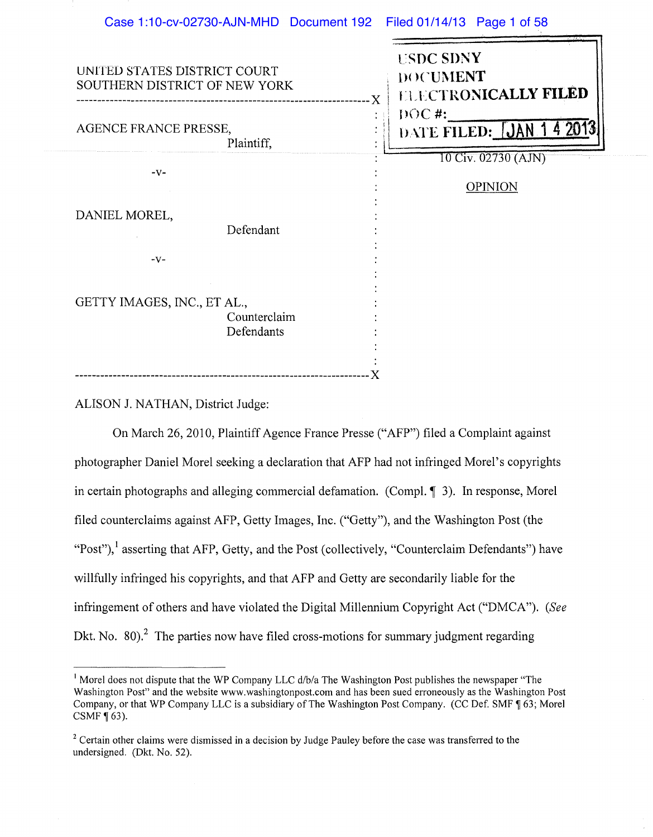| Case 1:10-cv-02730-AJN-MHD  Document 192  Filed 01/14/13  Page 1 of 58 |                                                             |
|------------------------------------------------------------------------|-------------------------------------------------------------|
| UNITED STATES DISTRICT COURT<br>SOUTHERN DISTRICT OF NEW YORK<br>. X   | <b>USDC SDNY</b><br>DOCUMENT<br><b>ELECTRONICALLY FILED</b> |
| AGENCE FRANCE PRESSE,<br>Plaintiff,                                    | $DOC$ #:<br>4 2013<br>DATE FILED: [JAN 1                    |
| $-V-$                                                                  | 10 Civ. 02730 (AJN)<br><b>OPINION</b>                       |
| DANIEL MOREL,<br>Defendant                                             |                                                             |
| $-V -$                                                                 |                                                             |
| GETTY IMAGES, INC., ET AL.,<br>Counterclaim<br>Defendants              |                                                             |
|                                                                        |                                                             |

ALISON J. NATHAN, District Judge:

On March 26, 2010, Plaintiff Agence France Presse ("AFP") filed a Complaint against photographer Daniel Morel seeking a declaration that AFP had not infringed Morel's copyrights in certain photographs and alleging commercial defamation. (Compl. 1) 3). In response, Morel filed counterclaims against AFP, Getty Images, Inc. ("Getty"), and the Washington Post (the "Post"),<sup>1</sup> asserting that AFP, Getty, and the Post (collectively, "Counterclaim Defendants") have willfully infringed his copyrights, and that AFP and Getty are secondarily liable for the infringement of others and have violated the Digital Millennium Copyright Act ("DMCA"). *(See*  Dkt. No. 80).<sup>2</sup> The parties now have filed cross-motions for summary judgment regarding

<sup>&</sup>lt;sup>1</sup> Morel does not dispute that the WP Company LLC  $\frac{d}{b/a}$  The Washington Post publishes the newspaper "The Washington Post" and the website www.washingtonpost.com and has been sued erroneously as the Washington Post Company, or that WP Company LLC is a subsidiary of The Washington Post Company. (CC Def. SMF 163; Morel CSMF  $\P$  63).

<sup>&</sup>lt;sup>2</sup> Certain other claims were dismissed in a decision by Judge Pauley before the case was transferred to the undersigned. (Dkt. No. 52).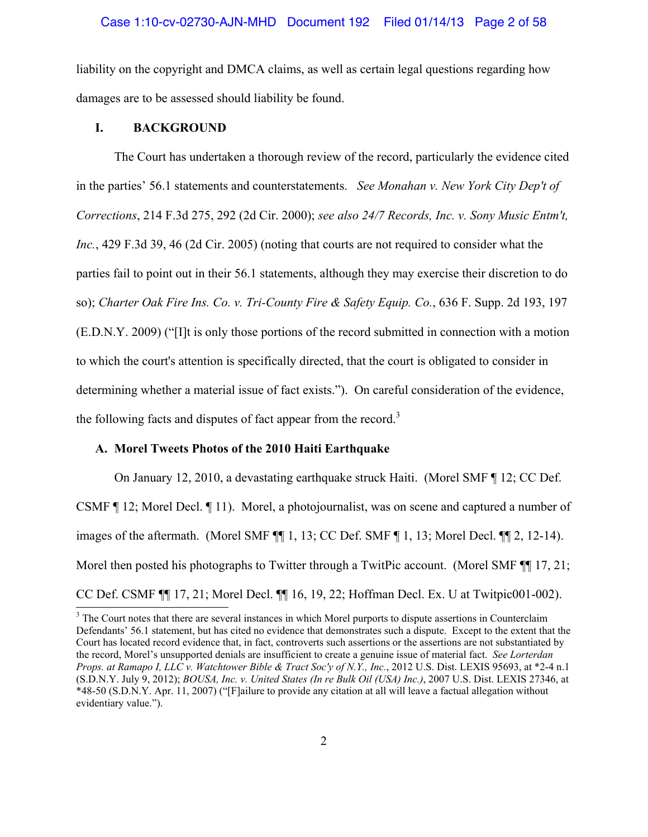liability on the copyright and DMCA claims, as well as certain legal questions regarding how damages are to be assessed should liability be found.

## **I. BACKGROUND**

The Court has undertaken a thorough review of the record, particularly the evidence cited in the parties' 56.1 statements and counterstatements. *See Monahan v. New York City Dep't of Corrections*, 214 F.3d 275, 292 (2d Cir. 2000); *see also 24/7 Records, Inc. v. Sony Music Entm't, Inc.*, 429 F.3d 39, 46 (2d Cir. 2005) (noting that courts are not required to consider what the parties fail to point out in their 56.1 statements, although they may exercise their discretion to do so); *Charter Oak Fire Ins. Co. v. Tri-County Fire & Safety Equip. Co.*, 636 F. Supp. 2d 193, 197 (E.D.N.Y. 2009) ("[I]t is only those portions of the record submitted in connection with a motion to which the court's attention is specifically directed, that the court is obligated to consider in determining whether a material issue of fact exists."). On careful consideration of the evidence, the following facts and disputes of fact appear from the record.<sup>3</sup>

## **A. Morel Tweets Photos of the 2010 Haiti Earthquake**

On January 12, 2010, a devastating earthquake struck Haiti. (Morel SMF ¶ 12; CC Def. CSMF ¶ 12; Morel Decl. ¶ 11). Morel, a photojournalist, was on scene and captured a number of images of the aftermath. (Morel SMF  $\P$ ], 13; CC Def. SMF  $\P$  1, 13; Morel Decl.  $\P$  $\P$  2, 12-14). Morel then posted his photographs to Twitter through a TwitPic account. (Morel SMF ¶¶ 17, 21; CC Def. CSMF ¶¶ 17, 21; Morel Decl. ¶¶ 16, 19, 22; Hoffman Decl. Ex. U at Twitpic001-002).

 $3$  The Court notes that there are several instances in which Morel purports to dispute assertions in Counterclaim Defendants' 56.1 statement, but has cited no evidence that demonstrates such a dispute. Except to the extent that the Court has located record evidence that, in fact, controverts such assertions or the assertions are not substantiated by the record, Morel's unsupported denials are insufficient to create a genuine issue of material fact. *See Lorterdan Props. at Ramapo I, LLC v. Watchtower Bible & Tract Soc'y of N.Y., Inc.*, 2012 U.S. Dist. LEXIS 95693, at \*2-4 n.1 (S.D.N.Y. July 9, 2012); *BOUSA, Inc. v. United States (In re Bulk Oil (USA) Inc.)*, 2007 U.S. Dist. LEXIS 27346, at \*48-50 (S.D.N.Y. Apr. 11, 2007) ("[F]ailure to provide any citation at all will leave a factual allegation without evidentiary value.").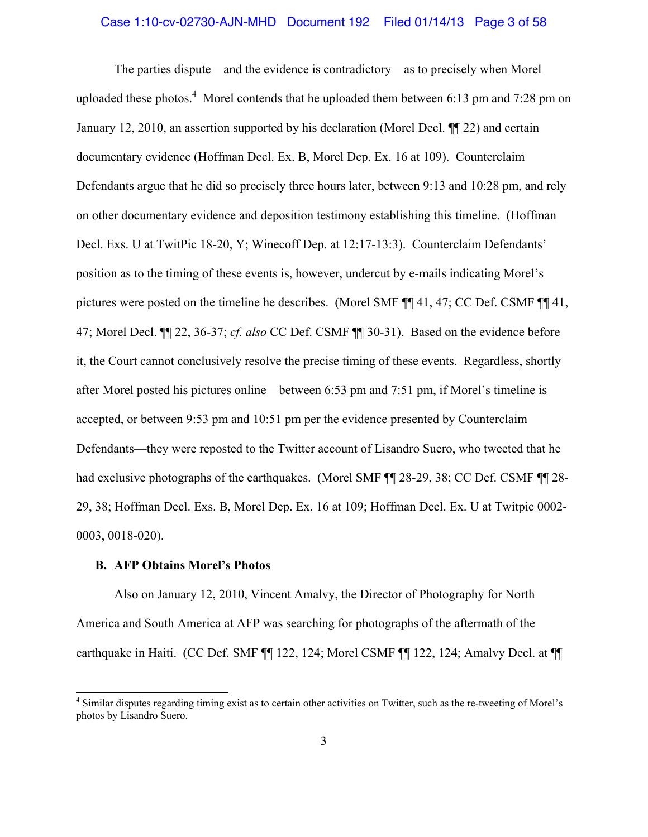## Case 1:10-cv-02730-AJN-MHD Document 192 Filed 01/14/13 Page 3 of 58

The parties dispute—and the evidence is contradictory—as to precisely when Morel uploaded these photos.<sup>4</sup> Morel contends that he uploaded them between 6:13 pm and 7:28 pm on January 12, 2010, an assertion supported by his declaration (Morel Decl. ¶¶ 22) and certain documentary evidence (Hoffman Decl. Ex. B, Morel Dep. Ex. 16 at 109). Counterclaim Defendants argue that he did so precisely three hours later, between 9:13 and 10:28 pm, and rely on other documentary evidence and deposition testimony establishing this timeline. (Hoffman Decl. Exs. U at TwitPic 18-20, Y; Winecoff Dep. at 12:17-13:3). Counterclaim Defendants' position as to the timing of these events is, however, undercut by e-mails indicating Morel's pictures were posted on the timeline he describes. (Morel SMF ¶¶ 41, 47; CC Def. CSMF ¶¶ 41, 47; Morel Decl. ¶¶ 22, 36-37; *cf. also* CC Def. CSMF ¶¶ 30-31). Based on the evidence before it, the Court cannot conclusively resolve the precise timing of these events. Regardless, shortly after Morel posted his pictures online—between 6:53 pm and 7:51 pm, if Morel's timeline is accepted, or between 9:53 pm and 10:51 pm per the evidence presented by Counterclaim Defendants—they were reposted to the Twitter account of Lisandro Suero, who tweeted that he had exclusive photographs of the earthquakes. (Morel SMF  $\P$  28-29, 38; CC Def. CSMF  $\P$  28-29, 38; Hoffman Decl. Exs. B, Morel Dep. Ex. 16 at 109; Hoffman Decl. Ex. U at Twitpic 0002- 0003, 0018-020).

# **B. AFP Obtains Morel's Photos**

 Also on January 12, 2010, Vincent Amalvy, the Director of Photography for North America and South America at AFP was searching for photographs of the aftermath of the earthquake in Haiti. (CC Def. SMF ¶¶ 122, 124; Morel CSMF ¶¶ 122, 124; Amalvy Decl. at ¶

 4 Similar disputes regarding timing exist as to certain other activities on Twitter, such as the re-tweeting of Morel's photos by Lisandro Suero.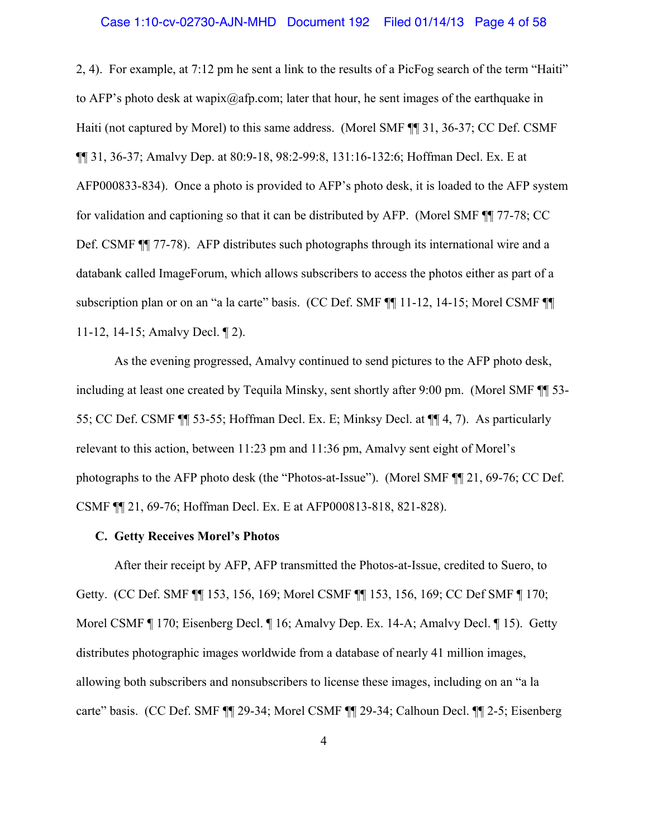#### Case 1:10-cv-02730-AJN-MHD Document 192 Filed 01/14/13 Page 4 of 58

2, 4). For example, at 7:12 pm he sent a link to the results of a PicFog search of the term "Haiti" to AFP's photo desk at wapix@afp.com; later that hour, he sent images of the earthquake in Haiti (not captured by Morel) to this same address. (Morel SMF ¶¶ 31, 36-37; CC Def. CSMF ¶¶ 31, 36-37; Amalvy Dep. at 80:9-18, 98:2-99:8, 131:16-132:6; Hoffman Decl. Ex. E at AFP000833-834). Once a photo is provided to AFP's photo desk, it is loaded to the AFP system for validation and captioning so that it can be distributed by AFP. (Morel SMF ¶¶ 77-78; CC Def. CSMF  $\P$  77-78). AFP distributes such photographs through its international wire and a databank called ImageForum, which allows subscribers to access the photos either as part of a subscription plan or on an "a la carte" basis. (CC Def. SMF ¶¶ 11-12, 14-15; Morel CSMF ¶¶ 11-12, 14-15; Amalvy Decl. ¶ 2).

As the evening progressed, Amalvy continued to send pictures to the AFP photo desk, including at least one created by Tequila Minsky, sent shortly after 9:00 pm. (Morel SMF ¶¶ 53- 55; CC Def. CSMF ¶¶ 53-55; Hoffman Decl. Ex. E; Minksy Decl. at ¶¶ 4, 7). As particularly relevant to this action, between 11:23 pm and 11:36 pm, Amalvy sent eight of Morel's photographs to the AFP photo desk (the "Photos-at-Issue"). (Morel SMF ¶¶ 21, 69-76; CC Def. CSMF ¶¶ 21, 69-76; Hoffman Decl. Ex. E at AFP000813-818, 821-828).

## **C. Getty Receives Morel's Photos**

 After their receipt by AFP, AFP transmitted the Photos-at-Issue, credited to Suero, to Getty. (CC Def. SMF ¶¶ 153, 156, 169; Morel CSMF ¶¶ 153, 156, 169; CC Def SMF ¶ 170; Morel CSMF ¶ 170; Eisenberg Decl. ¶ 16; Amalvy Dep. Ex. 14-A; Amalvy Decl. ¶ 15). Getty distributes photographic images worldwide from a database of nearly 41 million images, allowing both subscribers and nonsubscribers to license these images, including on an "a la carte" basis. (CC Def. SMF ¶¶ 29-34; Morel CSMF ¶¶ 29-34; Calhoun Decl. ¶¶ 2-5; Eisenberg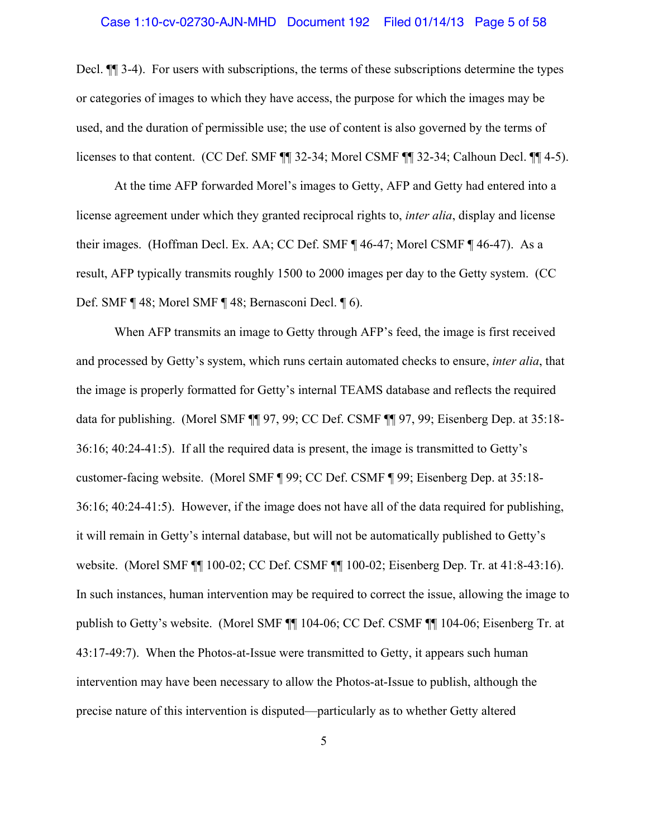#### Case 1:10-cv-02730-AJN-MHD Document 192 Filed 01/14/13 Page 5 of 58

Decl.  $\P$  3-4). For users with subscriptions, the terms of these subscriptions determine the types or categories of images to which they have access, the purpose for which the images may be used, and the duration of permissible use; the use of content is also governed by the terms of licenses to that content. (CC Def. SMF ¶¶ 32-34; Morel CSMF ¶¶ 32-34; Calhoun Decl. ¶¶ 4-5).

At the time AFP forwarded Morel's images to Getty, AFP and Getty had entered into a license agreement under which they granted reciprocal rights to, *inter alia*, display and license their images. (Hoffman Decl. Ex. AA; CC Def. SMF ¶ 46-47; Morel CSMF ¶ 46-47). As a result, AFP typically transmits roughly 1500 to 2000 images per day to the Getty system. (CC Def. SMF ¶ 48; Morel SMF ¶ 48; Bernasconi Decl. ¶ 6).

When AFP transmits an image to Getty through AFP's feed, the image is first received and processed by Getty's system, which runs certain automated checks to ensure, *inter alia*, that the image is properly formatted for Getty's internal TEAMS database and reflects the required data for publishing. (Morel SMF ¶¶ 97, 99; CC Def. CSMF ¶¶ 97, 99; Eisenberg Dep. at 35:18- 36:16; 40:24-41:5). If all the required data is present, the image is transmitted to Getty's customer-facing website. (Morel SMF ¶ 99; CC Def. CSMF ¶ 99; Eisenberg Dep. at 35:18- 36:16; 40:24-41:5). However, if the image does not have all of the data required for publishing, it will remain in Getty's internal database, but will not be automatically published to Getty's website. (Morel SMF ¶¶ 100-02; CC Def. CSMF ¶¶ 100-02; Eisenberg Dep. Tr. at 41:8-43:16). In such instances, human intervention may be required to correct the issue, allowing the image to publish to Getty's website. (Morel SMF ¶¶ 104-06; CC Def. CSMF ¶¶ 104-06; Eisenberg Tr. at 43:17-49:7). When the Photos-at-Issue were transmitted to Getty, it appears such human intervention may have been necessary to allow the Photos-at-Issue to publish, although the precise nature of this intervention is disputed—particularly as to whether Getty altered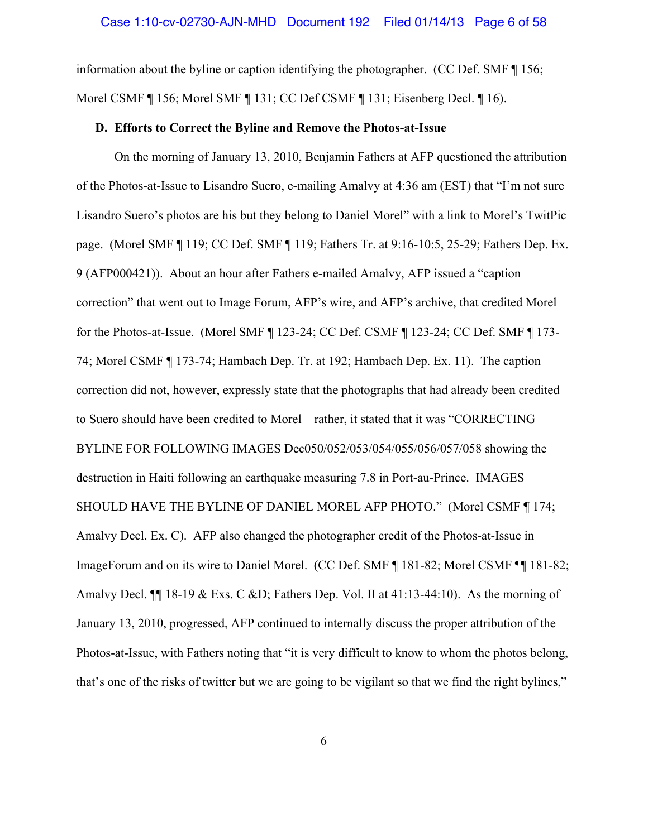information about the byline or caption identifying the photographer. (CC Def. SMF ¶ 156; Morel CSMF ¶ 156; Morel SMF ¶ 131; CC Def CSMF ¶ 131; Eisenberg Decl. ¶ 16).

## **D. Efforts to Correct the Byline and Remove the Photos-at-Issue**

On the morning of January 13, 2010, Benjamin Fathers at AFP questioned the attribution of the Photos-at-Issue to Lisandro Suero, e-mailing Amalvy at 4:36 am (EST) that "I'm not sure Lisandro Suero's photos are his but they belong to Daniel Morel" with a link to Morel's TwitPic page. (Morel SMF ¶ 119; CC Def. SMF ¶ 119; Fathers Tr. at 9:16-10:5, 25-29; Fathers Dep. Ex. 9 (AFP000421)). About an hour after Fathers e-mailed Amalvy, AFP issued a "caption correction" that went out to Image Forum, AFP's wire, and AFP's archive, that credited Morel for the Photos-at-Issue. (Morel SMF ¶ 123-24; CC Def. CSMF ¶ 123-24; CC Def. SMF ¶ 173- 74; Morel CSMF ¶ 173-74; Hambach Dep. Tr. at 192; Hambach Dep. Ex. 11). The caption correction did not, however, expressly state that the photographs that had already been credited to Suero should have been credited to Morel—rather, it stated that it was "CORRECTING BYLINE FOR FOLLOWING IMAGES Dec050/052/053/054/055/056/057/058 showing the destruction in Haiti following an earthquake measuring 7.8 in Port-au-Prince. IMAGES SHOULD HAVE THE BYLINE OF DANIEL MOREL AFP PHOTO." (Morel CSMF ¶ 174; Amalvy Decl. Ex. C). AFP also changed the photographer credit of the Photos-at-Issue in ImageForum and on its wire to Daniel Morel. (CC Def. SMF ¶ 181-82; Morel CSMF ¶¶ 181-82; Amalvy Decl.  $\P$  18-19 & Exs. C &D; Fathers Dep. Vol. II at 41:13-44:10). As the morning of January 13, 2010, progressed, AFP continued to internally discuss the proper attribution of the Photos-at-Issue, with Fathers noting that "it is very difficult to know to whom the photos belong, that's one of the risks of twitter but we are going to be vigilant so that we find the right bylines,"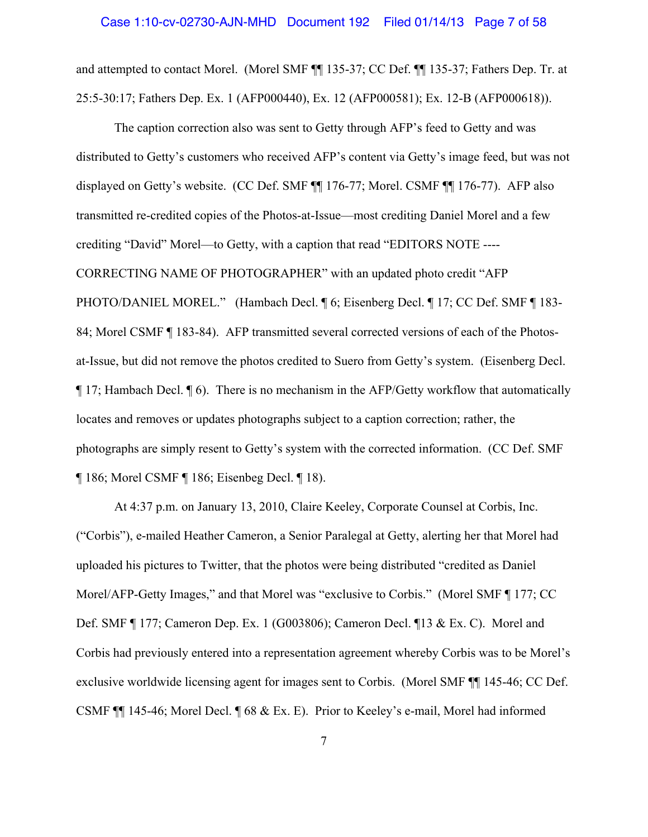and attempted to contact Morel. (Morel SMF ¶¶ 135-37; CC Def. ¶¶ 135-37; Fathers Dep. Tr. at 25:5-30:17; Fathers Dep. Ex. 1 (AFP000440), Ex. 12 (AFP000581); Ex. 12-B (AFP000618)).

The caption correction also was sent to Getty through AFP's feed to Getty and was distributed to Getty's customers who received AFP's content via Getty's image feed, but was not displayed on Getty's website. (CC Def. SMF ¶¶ 176-77; Morel. CSMF ¶¶ 176-77). AFP also transmitted re-credited copies of the Photos-at-Issue—most crediting Daniel Morel and a few crediting "David" Morel—to Getty, with a caption that read "EDITORS NOTE ---- CORRECTING NAME OF PHOTOGRAPHER" with an updated photo credit "AFP PHOTO/DANIEL MOREL." (Hambach Decl. ¶ 6; Eisenberg Decl. ¶ 17; CC Def. SMF ¶ 183-84; Morel CSMF ¶ 183-84). AFP transmitted several corrected versions of each of the Photosat-Issue, but did not remove the photos credited to Suero from Getty's system. (Eisenberg Decl. ¶ 17; Hambach Decl. ¶ 6). There is no mechanism in the AFP/Getty workflow that automatically locates and removes or updates photographs subject to a caption correction; rather, the photographs are simply resent to Getty's system with the corrected information. (CC Def. SMF ¶ 186; Morel CSMF ¶ 186; Eisenbeg Decl. ¶ 18).

At 4:37 p.m. on January 13, 2010, Claire Keeley, Corporate Counsel at Corbis, Inc. ("Corbis"), e-mailed Heather Cameron, a Senior Paralegal at Getty, alerting her that Morel had uploaded his pictures to Twitter, that the photos were being distributed "credited as Daniel Morel/AFP-Getty Images," and that Morel was "exclusive to Corbis." (Morel SMF ¶ 177; CC Def. SMF ¶ 177; Cameron Dep. Ex. 1 (G003806); Cameron Decl. ¶13 & Ex. C). Morel and Corbis had previously entered into a representation agreement whereby Corbis was to be Morel's exclusive worldwide licensing agent for images sent to Corbis. (Morel SMF ¶¶ 145-46; CC Def. CSMF ¶¶ 145-46; Morel Decl. ¶ 68 & Ex. E). Prior to Keeley's e-mail, Morel had informed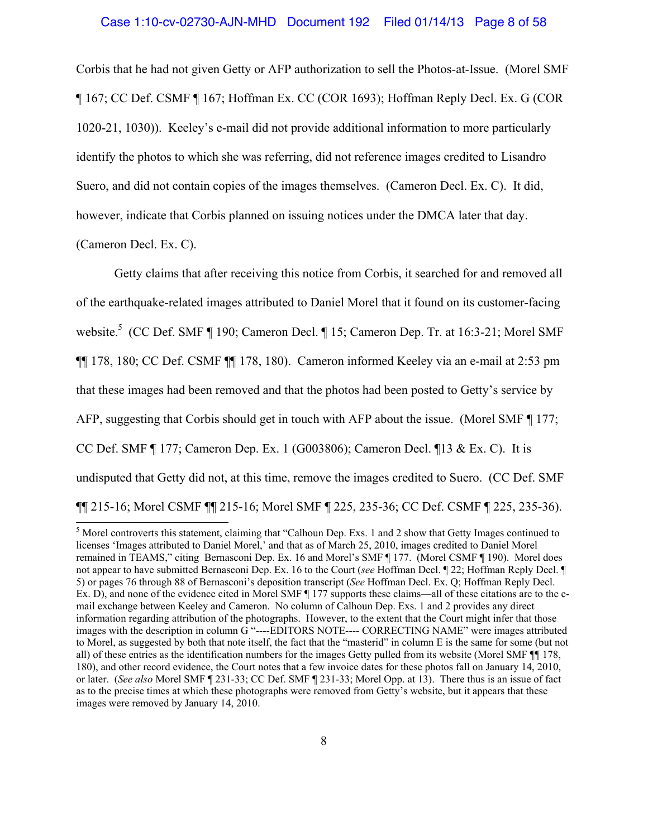## Case 1:10-cv-02730-AJN-MHD Document 192 Filed 01/14/13 Page 8 of 58

Corbis that he had not given Getty or AFP authorization to sell the Photos-at-Issue. (Morel SMF ¶ 167; CC Def. CSMF ¶ 167; Hoffman Ex. CC (COR 1693); Hoffman Reply Decl. Ex. G (COR 1020-21, 1030)). Keeley's e-mail did not provide additional information to more particularly identify the photos to which she was referring, did not reference images credited to Lisandro Suero, and did not contain copies of the images themselves. (Cameron Decl. Ex. C). It did, however, indicate that Corbis planned on issuing notices under the DMCA later that day.

(Cameron Decl. Ex. C).

 $\overline{\phantom{a}}$ 

 Getty claims that after receiving this notice from Corbis, it searched for and removed all of the earthquake-related images attributed to Daniel Morel that it found on its customer-facing website.<sup>5</sup> (CC Def. SMF ¶ 190; Cameron Decl. ¶ 15; Cameron Dep. Tr. at 16:3-21; Morel SMF ¶¶ 178, 180; CC Def. CSMF ¶¶ 178, 180). Cameron informed Keeley via an e-mail at 2:53 pm that these images had been removed and that the photos had been posted to Getty's service by AFP, suggesting that Corbis should get in touch with AFP about the issue. (Morel SMF ¶ 177; CC Def. SMF ¶ 177; Cameron Dep. Ex. 1 (G003806); Cameron Decl. ¶13 & Ex. C). It is undisputed that Getty did not, at this time, remove the images credited to Suero. (CC Def. SMF ¶¶ 215-16; Morel CSMF ¶¶ 215-16; Morel SMF ¶ 225, 235-36; CC Def. CSMF ¶ 225, 235-36).

<sup>&</sup>lt;sup>5</sup> Morel controverts this statement, claiming that "Calhoun Dep. Exs. 1 and 2 show that Getty Images continued to licenses 'Images attributed to Daniel Morel,' and that as of March 25, 2010, images credited to Daniel Morel remained in TEAMS," citing Bernasconi Dep. Ex. 16 and Morel's SMF ¶ 177. (Morel CSMF ¶ 190). Morel does not appear to have submitted Bernasconi Dep. Ex. 16 to the Court (*see* Hoffman Decl. ¶ 22; Hoffman Reply Decl. ¶ 5) or pages 76 through 88 of Bernasconi's deposition transcript (*See* Hoffman Decl. Ex. Q; Hoffman Reply Decl. Ex. D), and none of the evidence cited in Morel SMF ¶ 177 supports these claims—all of these citations are to the email exchange between Keeley and Cameron. No column of Calhoun Dep. Exs. 1 and 2 provides any direct information regarding attribution of the photographs. However, to the extent that the Court might infer that those images with the description in column G "----EDITORS NOTE---- CORRECTING NAME" were images attributed to Morel, as suggested by both that note itself, the fact that the "masterid" in column E is the same for some (but not all) of these entries as the identification numbers for the images Getty pulled from its website (Morel SMF ¶¶ 178, 180), and other record evidence, the Court notes that a few invoice dates for these photos fall on January 14, 2010, or later. (*See also* Morel SMF ¶ 231-33; CC Def. SMF ¶ 231-33; Morel Opp. at 13). There thus is an issue of fact as to the precise times at which these photographs were removed from Getty's website, but it appears that these images were removed by January 14, 2010.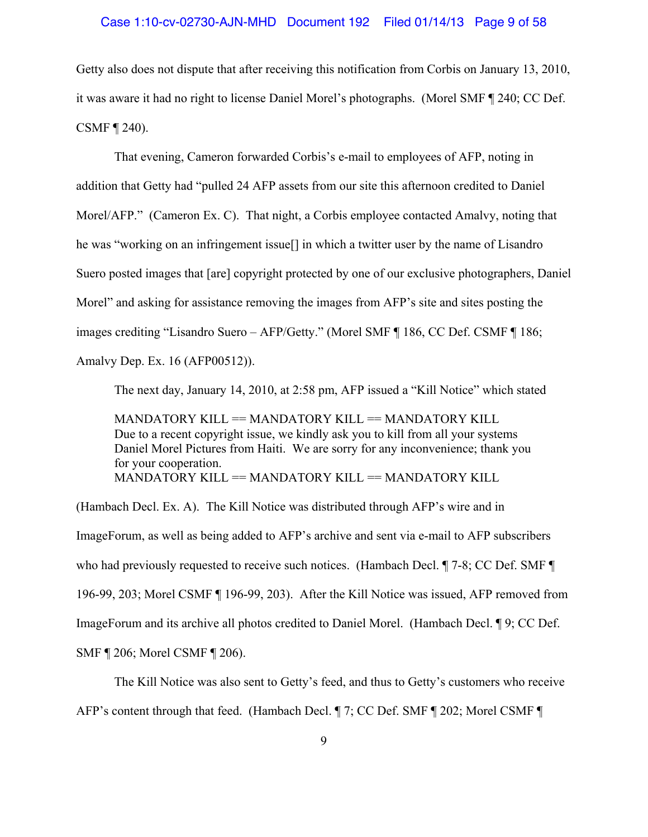## Case 1:10-cv-02730-AJN-MHD Document 192 Filed 01/14/13 Page 9 of 58

Getty also does not dispute that after receiving this notification from Corbis on January 13, 2010, it was aware it had no right to license Daniel Morel's photographs. (Morel SMF ¶ 240; CC Def. CSMF ¶ 240).

 That evening, Cameron forwarded Corbis's e-mail to employees of AFP, noting in addition that Getty had "pulled 24 AFP assets from our site this afternoon credited to Daniel Morel/AFP." (Cameron Ex. C). That night, a Corbis employee contacted Amalvy, noting that he was "working on an infringement issue[] in which a twitter user by the name of Lisandro Suero posted images that [are] copyright protected by one of our exclusive photographers, Daniel Morel" and asking for assistance removing the images from AFP's site and sites posting the images crediting "Lisandro Suero – AFP/Getty." (Morel SMF ¶ 186, CC Def. CSMF ¶ 186; Amalvy Dep. Ex. 16 (AFP00512)).

The next day, January 14, 2010, at 2:58 pm, AFP issued a "Kill Notice" which stated

MANDATORY KILL == MANDATORY KILL == MANDATORY KILL Due to a recent copyright issue, we kindly ask you to kill from all your systems Daniel Morel Pictures from Haiti. We are sorry for any inconvenience; thank you for your cooperation. MANDATORY KILL == MANDATORY KILL == MANDATORY KILL

(Hambach Decl. Ex. A). The Kill Notice was distributed through AFP's wire and in ImageForum, as well as being added to AFP's archive and sent via e-mail to AFP subscribers who had previously requested to receive such notices. (Hambach Decl.  $\P$  7-8; CC Def. SMF  $\P$ 196-99, 203; Morel CSMF ¶ 196-99, 203). After the Kill Notice was issued, AFP removed from ImageForum and its archive all photos credited to Daniel Morel. (Hambach Decl. ¶ 9; CC Def. SMF ¶ 206; Morel CSMF ¶ 206).

The Kill Notice was also sent to Getty's feed, and thus to Getty's customers who receive

AFP's content through that feed. (Hambach Decl. ¶ 7; CC Def. SMF ¶ 202; Morel CSMF ¶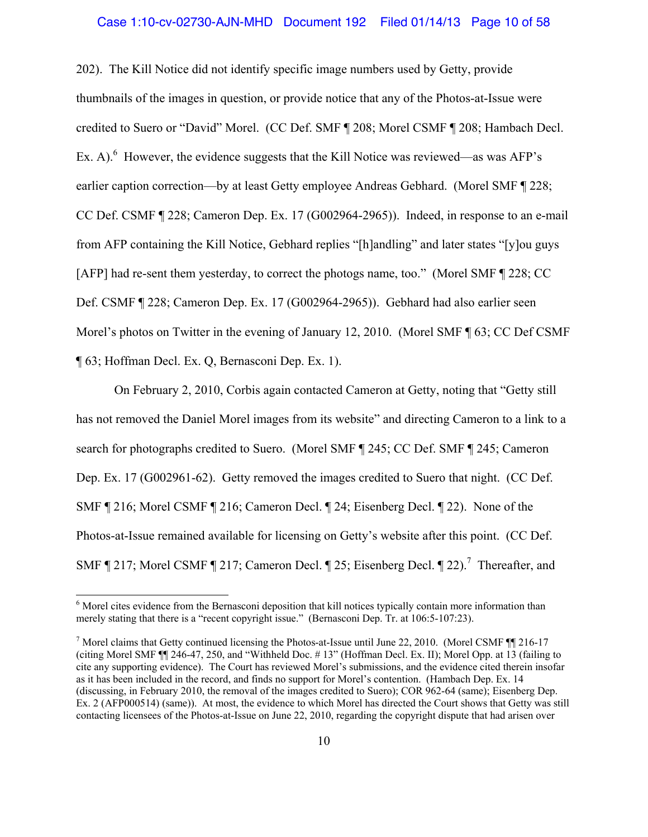# Case 1:10-cv-02730-AJN-MHD Document 192 Filed 01/14/13 Page 10 of 58

202). The Kill Notice did not identify specific image numbers used by Getty, provide thumbnails of the images in question, or provide notice that any of the Photos-at-Issue were credited to Suero or "David" Morel. (CC Def. SMF ¶ 208; Morel CSMF ¶ 208; Hambach Decl. Ex. A). <sup>6</sup> However, the evidence suggests that the Kill Notice was reviewed—as was AFP's earlier caption correction—by at least Getty employee Andreas Gebhard. (Morel SMF ¶ 228; CC Def. CSMF ¶ 228; Cameron Dep. Ex. 17 (G002964-2965)). Indeed, in response to an e-mail from AFP containing the Kill Notice, Gebhard replies "[h]andling" and later states "[y]ou guys [AFP] had re-sent them yesterday, to correct the photogs name, too." (Morel SMF ¶ 228; CC Def. CSMF ¶ 228; Cameron Dep. Ex. 17 (G002964-2965)). Gebhard had also earlier seen Morel's photos on Twitter in the evening of January 12, 2010. (Morel SMF ¶ 63; CC Def CSMF ¶ 63; Hoffman Decl. Ex. Q, Bernasconi Dep. Ex. 1).

 On February 2, 2010, Corbis again contacted Cameron at Getty, noting that "Getty still has not removed the Daniel Morel images from its website" and directing Cameron to a link to a search for photographs credited to Suero. (Morel SMF ¶ 245; CC Def. SMF ¶ 245; Cameron Dep. Ex. 17 (G002961-62). Getty removed the images credited to Suero that night. (CC Def. SMF ¶ 216; Morel CSMF ¶ 216; Cameron Decl. ¶ 24; Eisenberg Decl. ¶ 22). None of the Photos-at-Issue remained available for licensing on Getty's website after this point. (CC Def. SMF  $\P$  217; Morel CSMF  $\P$  217; Cameron Decl.  $\P$  25; Eisenberg Decl.  $\P$  22).<sup>7</sup> Thereafter, and

<sup>&</sup>lt;sup>6</sup> Morel cites evidence from the Bernasconi deposition that kill notices typically contain more information than merely stating that there is a "recent copyright issue." (Bernasconi Dep. Tr. at 106:5-107:23).

<sup>&</sup>lt;sup>7</sup> Morel claims that Getty continued licensing the Photos-at-Issue until June 22, 2010. (Morel CSMF ¶ 216-17 (citing Morel SMF ¶¶ 246-47, 250, and "Withheld Doc. # 13" (Hoffman Decl. Ex. II); Morel Opp. at 13 (failing to cite any supporting evidence). The Court has reviewed Morel's submissions, and the evidence cited therein insofar as it has been included in the record, and finds no support for Morel's contention. (Hambach Dep. Ex. 14 (discussing, in February 2010, the removal of the images credited to Suero); COR 962-64 (same); Eisenberg Dep. Ex. 2 (AFP000514) (same)). At most, the evidence to which Morel has directed the Court shows that Getty was still contacting licensees of the Photos-at-Issue on June 22, 2010, regarding the copyright dispute that had arisen over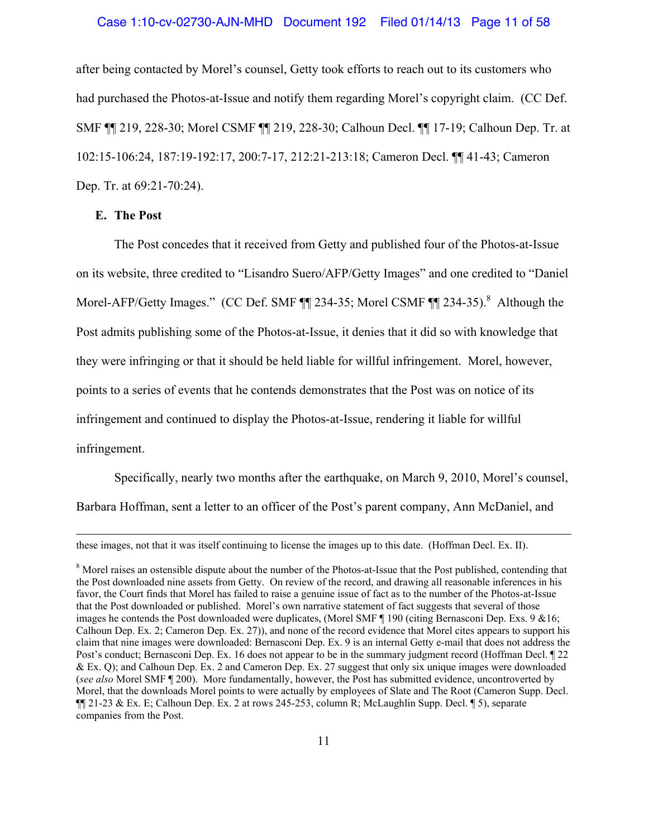# Case 1:10-cv-02730-AJN-MHD Document 192 Filed 01/14/13 Page 11 of 58

after being contacted by Morel's counsel, Getty took efforts to reach out to its customers who had purchased the Photos-at-Issue and notify them regarding Morel's copyright claim. (CC Def. SMF ¶¶ 219, 228-30; Morel CSMF ¶¶ 219, 228-30; Calhoun Decl. ¶¶ 17-19; Calhoun Dep. Tr. at 102:15-106:24, 187:19-192:17, 200:7-17, 212:21-213:18; Cameron Decl. ¶¶ 41-43; Cameron Dep. Tr. at 69:21-70:24).

# **E. The Post**

i

The Post concedes that it received from Getty and published four of the Photos-at-Issue on its website, three credited to "Lisandro Suero/AFP/Getty Images" and one credited to "Daniel Morel-AFP/Getty Images." (CC Def. SMF  $\P$ ] 234-35; Morel CSMF  $\P$ ] 234-35).<sup>8</sup> Although the Post admits publishing some of the Photos-at-Issue, it denies that it did so with knowledge that they were infringing or that it should be held liable for willful infringement. Morel, however, points to a series of events that he contends demonstrates that the Post was on notice of its infringement and continued to display the Photos-at-Issue, rendering it liable for willful infringement.

Specifically, nearly two months after the earthquake, on March 9, 2010, Morel's counsel, Barbara Hoffman, sent a letter to an officer of the Post's parent company, Ann McDaniel, and

these images, not that it was itself continuing to license the images up to this date. (Hoffman Decl. Ex. II).

<sup>&</sup>lt;sup>8</sup> Morel raises an ostensible dispute about the number of the Photos-at-Issue that the Post published, contending that the Post downloaded nine assets from Getty. On review of the record, and drawing all reasonable inferences in his favor, the Court finds that Morel has failed to raise a genuine issue of fact as to the number of the Photos-at-Issue that the Post downloaded or published. Morel's own narrative statement of fact suggests that several of those images he contends the Post downloaded were duplicates, (Morel SMF ¶ 190 (citing Bernasconi Dep. Exs. 9 &16; Calhoun Dep. Ex. 2; Cameron Dep. Ex. 27)), and none of the record evidence that Morel cites appears to support his claim that nine images were downloaded: Bernasconi Dep. Ex. 9 is an internal Getty e-mail that does not address the Post's conduct; Bernasconi Dep. Ex. 16 does not appear to be in the summary judgment record (Hoffman Decl. ¶ 22 & Ex. Q); and Calhoun Dep. Ex. 2 and Cameron Dep. Ex. 27 suggest that only six unique images were downloaded (*see also* Morel SMF ¶ 200). More fundamentally, however, the Post has submitted evidence, uncontroverted by Morel, that the downloads Morel points to were actually by employees of Slate and The Root (Cameron Supp. Decl. ¶¶ 21-23 & Ex. E; Calhoun Dep. Ex. 2 at rows 245-253, column R; McLaughlin Supp. Decl. ¶ 5), separate companies from the Post.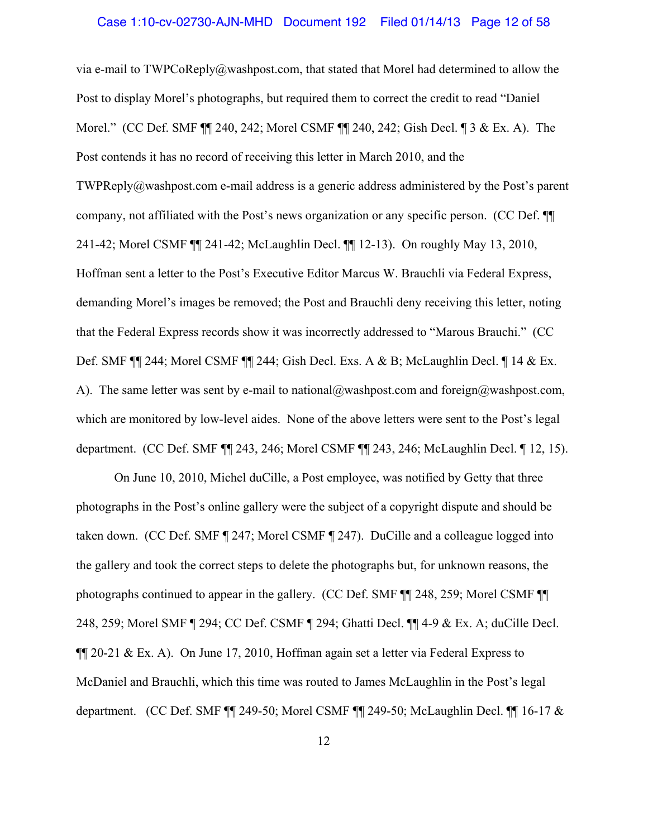## Case 1:10-cv-02730-AJN-MHD Document 192 Filed 01/14/13 Page 12 of 58

via e-mail to TWPCoReply@washpost.com, that stated that Morel had determined to allow the Post to display Morel's photographs, but required them to correct the credit to read "Daniel Morel." (CC Def. SMF ¶¶ 240, 242; Morel CSMF ¶¶ 240, 242; Gish Decl. ¶ 3 & Ex. A). The Post contends it has no record of receiving this letter in March 2010, and the TWPReply@washpost.com e-mail address is a generic address administered by the Post's parent company, not affiliated with the Post's news organization or any specific person. (CC Def. ¶¶ 241-42; Morel CSMF ¶¶ 241-42; McLaughlin Decl. ¶¶ 12-13). On roughly May 13, 2010, Hoffman sent a letter to the Post's Executive Editor Marcus W. Brauchli via Federal Express, demanding Morel's images be removed; the Post and Brauchli deny receiving this letter, noting that the Federal Express records show it was incorrectly addressed to "Marous Brauchi." (CC Def. SMF ¶¶ 244; Morel CSMF ¶¶ 244; Gish Decl. Exs. A & B; McLaughlin Decl. ¶ 14 & Ex. A). The same letter was sent by e-mail to national@washpost.com and foreign@washpost.com, which are monitored by low-level aides. None of the above letters were sent to the Post's legal department. (CC Def. SMF ¶¶ 243, 246; Morel CSMF ¶¶ 243, 246; McLaughlin Decl. ¶ 12, 15).

On June 10, 2010, Michel duCille, a Post employee, was notified by Getty that three photographs in the Post's online gallery were the subject of a copyright dispute and should be taken down. (CC Def. SMF ¶ 247; Morel CSMF ¶ 247). DuCille and a colleague logged into the gallery and took the correct steps to delete the photographs but, for unknown reasons, the photographs continued to appear in the gallery. (CC Def. SMF ¶¶ 248, 259; Morel CSMF ¶¶ 248, 259; Morel SMF ¶ 294; CC Def. CSMF ¶ 294; Ghatti Decl. ¶¶ 4-9 & Ex. A; duCille Decl.  $\P$ [[ 20-21 & Ex. A). On June 17, 2010, Hoffman again set a letter via Federal Express to McDaniel and Brauchli, which this time was routed to James McLaughlin in the Post's legal department. (CC Def. SMF ¶¶ 249-50; Morel CSMF ¶¶ 249-50; McLaughlin Decl. ¶¶ 16-17 &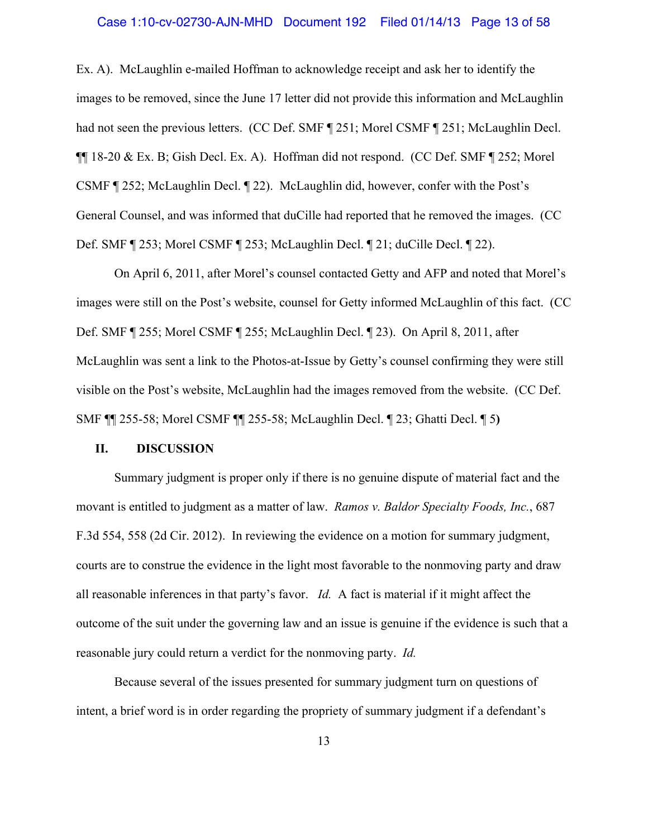## Case 1:10-cv-02730-AJN-MHD Document 192 Filed 01/14/13 Page 13 of 58

Ex. A). McLaughlin e-mailed Hoffman to acknowledge receipt and ask her to identify the images to be removed, since the June 17 letter did not provide this information and McLaughlin had not seen the previous letters. (CC Def. SMF ¶ 251; Morel CSMF ¶ 251; McLaughlin Decl. ¶¶ 18-20 & Ex. B; Gish Decl. Ex. A). Hoffman did not respond. (CC Def. SMF ¶ 252; Morel CSMF ¶ 252; McLaughlin Decl. ¶ 22). McLaughlin did, however, confer with the Post's General Counsel, and was informed that duCille had reported that he removed the images. (CC Def. SMF ¶ 253; Morel CSMF ¶ 253; McLaughlin Decl. ¶ 21; duCille Decl. ¶ 22).

On April 6, 2011, after Morel's counsel contacted Getty and AFP and noted that Morel's images were still on the Post's website, counsel for Getty informed McLaughlin of this fact. (CC Def. SMF ¶ 255; Morel CSMF ¶ 255; McLaughlin Decl. ¶ 23). On April 8, 2011, after McLaughlin was sent a link to the Photos-at-Issue by Getty's counsel confirming they were still visible on the Post's website, McLaughlin had the images removed from the website. (CC Def. SMF ¶¶ 255-58; Morel CSMF ¶¶ 255-58; McLaughlin Decl. ¶ 23; Ghatti Decl. ¶ 5**)** 

## **II. DISCUSSION**

Summary judgment is proper only if there is no genuine dispute of material fact and the movant is entitled to judgment as a matter of law. *Ramos v. Baldor Specialty Foods, Inc.*, 687 F.3d 554, 558 (2d Cir. 2012). In reviewing the evidence on a motion for summary judgment, courts are to construe the evidence in the light most favorable to the nonmoving party and draw all reasonable inferences in that party's favor. *Id.* A fact is material if it might affect the outcome of the suit under the governing law and an issue is genuine if the evidence is such that a reasonable jury could return a verdict for the nonmoving party. *Id.*

Because several of the issues presented for summary judgment turn on questions of intent, a brief word is in order regarding the propriety of summary judgment if a defendant's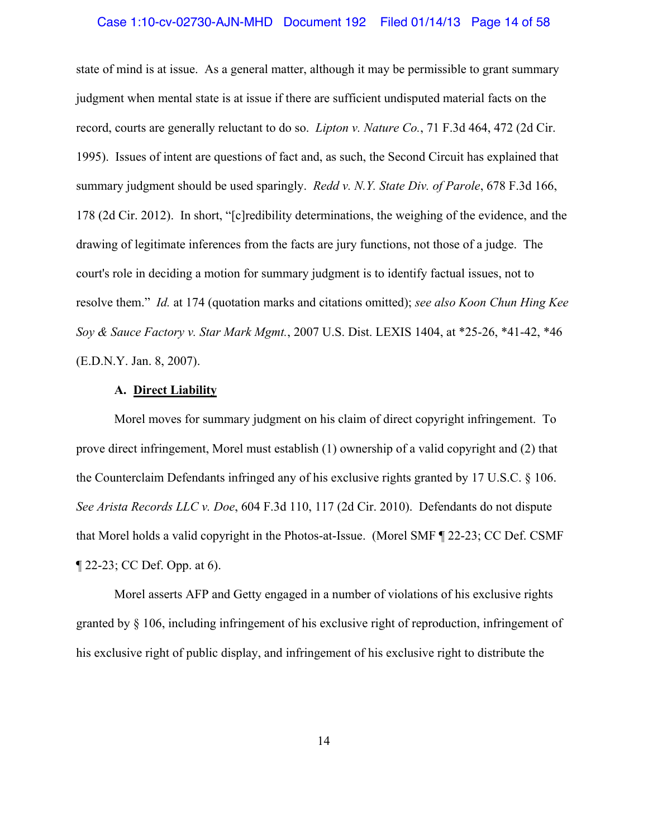#### Case 1:10-cv-02730-AJN-MHD Document 192 Filed 01/14/13 Page 14 of 58

state of mind is at issue. As a general matter, although it may be permissible to grant summary judgment when mental state is at issue if there are sufficient undisputed material facts on the record, courts are generally reluctant to do so. *Lipton v. Nature Co.*, 71 F.3d 464, 472 (2d Cir. 1995). Issues of intent are questions of fact and, as such, the Second Circuit has explained that summary judgment should be used sparingly. *Redd v. N.Y. State Div. of Parole*, 678 F.3d 166, 178 (2d Cir. 2012). In short, "[c]redibility determinations, the weighing of the evidence, and the drawing of legitimate inferences from the facts are jury functions, not those of a judge. The court's role in deciding a motion for summary judgment is to identify factual issues, not to resolve them." *Id.* at 174 (quotation marks and citations omitted); *see also Koon Chun Hing Kee Soy & Sauce Factory v. Star Mark Mgmt.*, 2007 U.S. Dist. LEXIS 1404, at \*25-26, \*41-42, \*46 (E.D.N.Y. Jan. 8, 2007).

# **A. Direct Liability**

Morel moves for summary judgment on his claim of direct copyright infringement. To prove direct infringement, Morel must establish (1) ownership of a valid copyright and (2) that the Counterclaim Defendants infringed any of his exclusive rights granted by 17 U.S.C. § 106. *See Arista Records LLC v. Doe*, 604 F.3d 110, 117 (2d Cir. 2010). Defendants do not dispute that Morel holds a valid copyright in the Photos-at-Issue. (Morel SMF ¶ 22-23; CC Def. CSMF ¶ 22-23; CC Def. Opp. at 6).

Morel asserts AFP and Getty engaged in a number of violations of his exclusive rights granted by § 106, including infringement of his exclusive right of reproduction, infringement of his exclusive right of public display, and infringement of his exclusive right to distribute the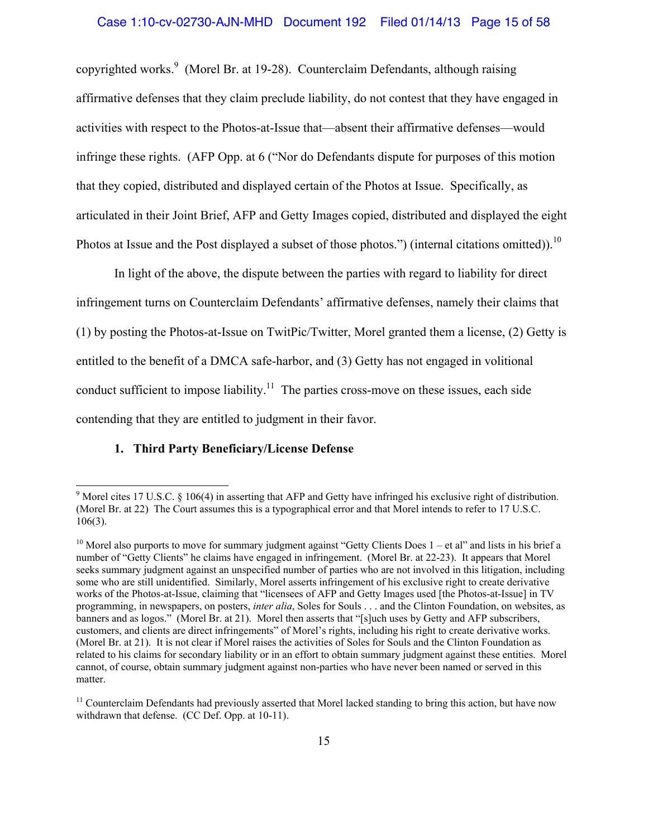copyrighted works.<sup>9</sup> (Morel Br. at 19-28). Counterclaim Defendants, although raising affirmative defenses that they claim preclude liability, do not contest that they have engaged in activities with respect to the Photos-at-Issue that—absent their affirmative defenses—would infringe these rights. (AFP Opp. at 6 ("Nor do Defendants dispute for purposes of this motion that they copied, distributed and displayed certain of the Photos at Issue. Specifically, as articulated in their Joint Brief, AFP and Getty Images copied, distributed and displayed the eight Photos at Issue and the Post displayed a subset of those photos.") (internal citations omitted)).<sup>10</sup>

 In light of the above, the dispute between the parties with regard to liability for direct infringement turns on Counterclaim Defendants' affirmative defenses, namely their claims that (1) by posting the Photos-at-Issue on TwitPic/Twitter, Morel granted them a license, (2) Getty is entitled to the benefit of a DMCA safe-harbor, and (3) Getty has not engaged in volitional conduct sufficient to impose liability.<sup>11</sup> The parties cross-move on these issues, each side contending that they are entitled to judgment in their favor.

# **1. Third Party Beneficiary/License Defense**

<sup>&</sup>lt;sup>9</sup> Morel cites 17 U.S.C. § 106(4) in asserting that AFP and Getty have infringed his exclusive right of distribution. (Morel Br. at 22) The Court assumes this is a typographical error and that Morel intends to refer to 17 U.S.C. 106(3).

<sup>&</sup>lt;sup>10</sup> Morel also purports to move for summary judgment against "Getty Clients Does  $1 - et$  al" and lists in his brief a number of "Getty Clients" he claims have engaged in infringement. (Morel Br. at 22-23). It appears that Morel seeks summary judgment against an unspecified number of parties who are not involved in this litigation, including some who are still unidentified. Similarly, Morel asserts infringement of his exclusive right to create derivative works of the Photos-at-Issue, claiming that "licensees of AFP and Getty Images used [the Photos-at-Issue] in TV programming, in newspapers, on posters, *inter alia*, Soles for Souls . . . and the Clinton Foundation, on websites, as banners and as logos." (Morel Br. at 21). Morel then asserts that "[s]uch uses by Getty and AFP subscribers, customers, and clients are direct infringements" of Morel's rights, including his right to create derivative works. (Morel Br. at 21). It is not clear if Morel raises the activities of Soles for Souls and the Clinton Foundation as related to his claims for secondary liability or in an effort to obtain summary judgment against these entities. Morel cannot, of course, obtain summary judgment against non-parties who have never been named or served in this matter.

 $11$  Counterclaim Defendants had previously asserted that Morel lacked standing to bring this action, but have now withdrawn that defense. (CC Def. Opp. at 10-11).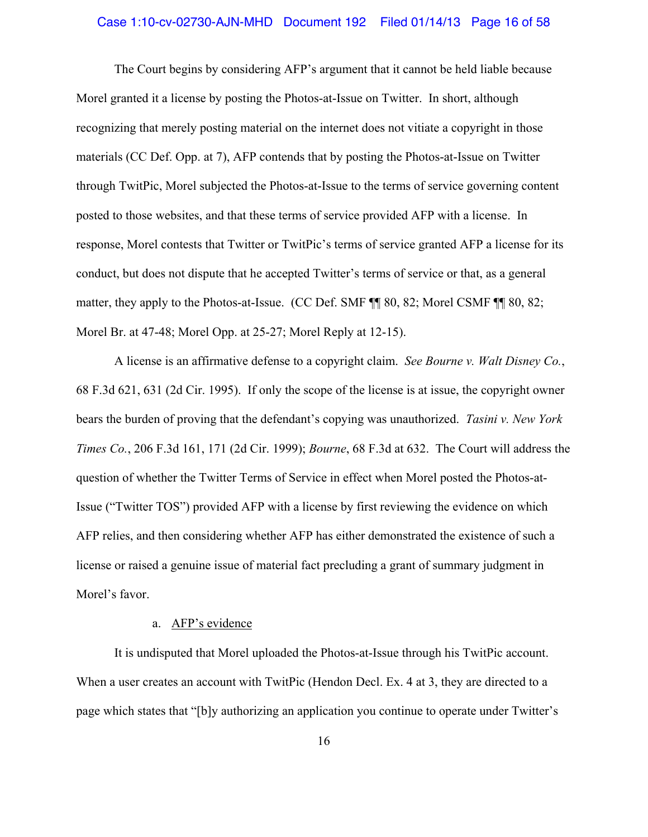## Case 1:10-cv-02730-AJN-MHD Document 192 Filed 01/14/13 Page 16 of 58

The Court begins by considering AFP's argument that it cannot be held liable because Morel granted it a license by posting the Photos-at-Issue on Twitter. In short, although recognizing that merely posting material on the internet does not vitiate a copyright in those materials (CC Def. Opp. at 7), AFP contends that by posting the Photos-at-Issue on Twitter through TwitPic, Morel subjected the Photos-at-Issue to the terms of service governing content posted to those websites, and that these terms of service provided AFP with a license. In response, Morel contests that Twitter or TwitPic's terms of service granted AFP a license for its conduct, but does not dispute that he accepted Twitter's terms of service or that, as a general matter, they apply to the Photos-at-Issue. (CC Def. SMF ¶¶ 80, 82; Morel CSMF ¶¶ 80, 82; Morel Br. at 47-48; Morel Opp. at 25-27; Morel Reply at 12-15).

A license is an affirmative defense to a copyright claim. *See Bourne v. Walt Disney Co.*, 68 F.3d 621, 631 (2d Cir. 1995). If only the scope of the license is at issue, the copyright owner bears the burden of proving that the defendant's copying was unauthorized. *Tasini v. New York Times Co.*, 206 F.3d 161, 171 (2d Cir. 1999); *Bourne*, 68 F.3d at 632. The Court will address the question of whether the Twitter Terms of Service in effect when Morel posted the Photos-at-Issue ("Twitter TOS") provided AFP with a license by first reviewing the evidence on which AFP relies, and then considering whether AFP has either demonstrated the existence of such a license or raised a genuine issue of material fact precluding a grant of summary judgment in Morel's favor.

# a. AFP's evidence

It is undisputed that Morel uploaded the Photos-at-Issue through his TwitPic account. When a user creates an account with TwitPic (Hendon Decl. Ex. 4 at 3, they are directed to a page which states that "[b]y authorizing an application you continue to operate under Twitter's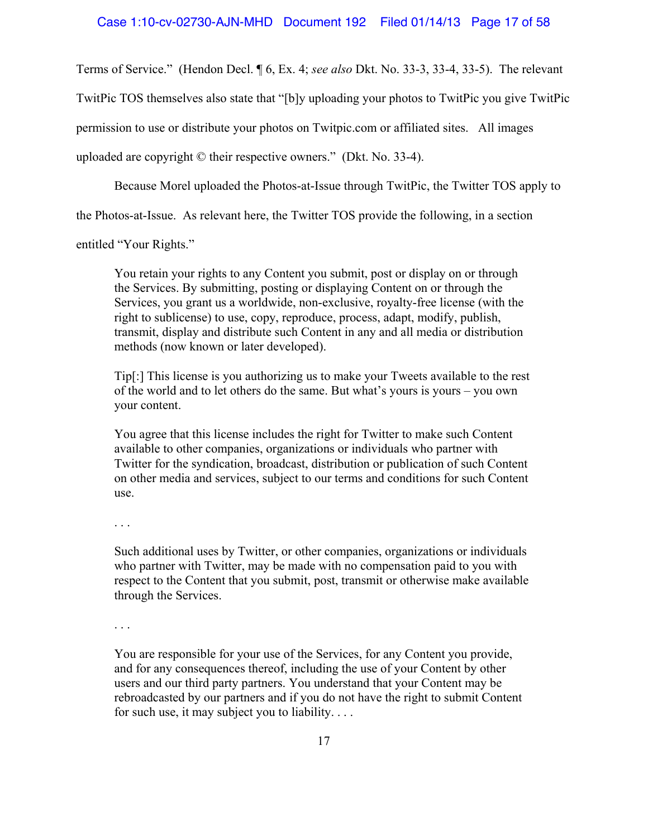Terms of Service." (Hendon Decl. ¶ 6, Ex. 4; *see also* Dkt. No. 33-3, 33-4, 33-5). The relevant TwitPic TOS themselves also state that "[b]y uploading your photos to TwitPic you give TwitPic permission to use or distribute your photos on Twitpic.com or affiliated sites. All images uploaded are copyright © their respective owners." (Dkt. No. 33-4).

 Because Morel uploaded the Photos-at-Issue through TwitPic, the Twitter TOS apply to the Photos-at-Issue. As relevant here, the Twitter TOS provide the following, in a section

entitled "Your Rights."

You retain your rights to any Content you submit, post or display on or through the Services. By submitting, posting or displaying Content on or through the Services, you grant us a worldwide, non-exclusive, royalty-free license (with the right to sublicense) to use, copy, reproduce, process, adapt, modify, publish, transmit, display and distribute such Content in any and all media or distribution methods (now known or later developed).

Tip[:] This license is you authorizing us to make your Tweets available to the rest of the world and to let others do the same. But what's yours is yours – you own your content.

You agree that this license includes the right for Twitter to make such Content available to other companies, organizations or individuals who partner with Twitter for the syndication, broadcast, distribution or publication of such Content on other media and services, subject to our terms and conditions for such Content use.

. . .

Such additional uses by Twitter, or other companies, organizations or individuals who partner with Twitter, may be made with no compensation paid to you with respect to the Content that you submit, post, transmit or otherwise make available through the Services.

. . .

You are responsible for your use of the Services, for any Content you provide, and for any consequences thereof, including the use of your Content by other users and our third party partners. You understand that your Content may be rebroadcasted by our partners and if you do not have the right to submit Content for such use, it may subject you to liability. . . .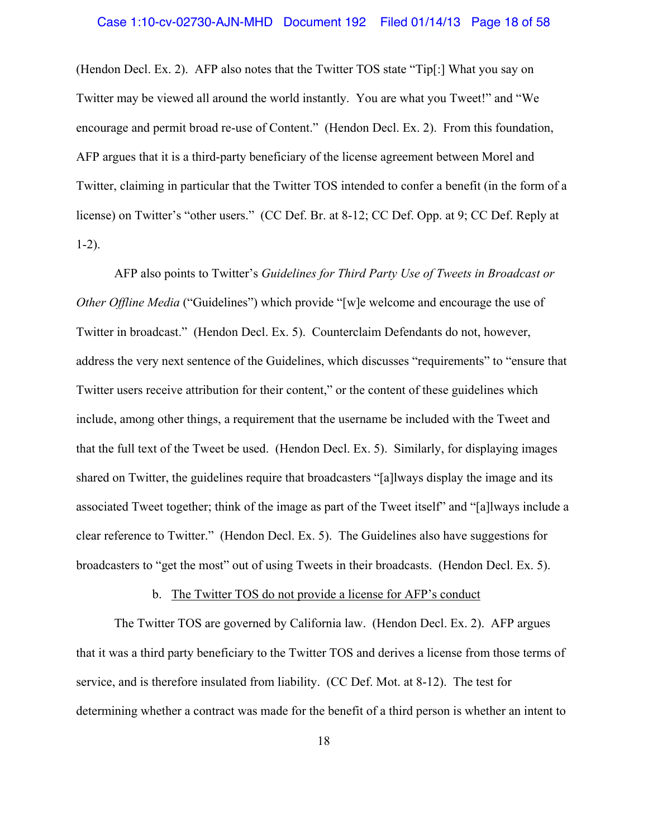(Hendon Decl. Ex. 2). AFP also notes that the Twitter TOS state "Tip[:] What you say on Twitter may be viewed all around the world instantly. You are what you Tweet!" and "We encourage and permit broad re-use of Content." (Hendon Decl. Ex. 2). From this foundation, AFP argues that it is a third-party beneficiary of the license agreement between Morel and Twitter, claiming in particular that the Twitter TOS intended to confer a benefit (in the form of a license) on Twitter's "other users." (CC Def. Br. at 8-12; CC Def. Opp. at 9; CC Def. Reply at 1-2).

AFP also points to Twitter's *Guidelines for Third Party Use of Tweets in Broadcast or Other Offline Media* ("Guidelines") which provide "[w]e welcome and encourage the use of Twitter in broadcast." (Hendon Decl. Ex. 5). Counterclaim Defendants do not, however, address the very next sentence of the Guidelines, which discusses "requirements" to "ensure that Twitter users receive attribution for their content," or the content of these guidelines which include, among other things, a requirement that the username be included with the Tweet and that the full text of the Tweet be used. (Hendon Decl. Ex. 5). Similarly, for displaying images shared on Twitter, the guidelines require that broadcasters "[a]lways display the image and its associated Tweet together; think of the image as part of the Tweet itself" and "[a]lways include a clear reference to Twitter." (Hendon Decl. Ex. 5). The Guidelines also have suggestions for broadcasters to "get the most" out of using Tweets in their broadcasts. (Hendon Decl. Ex. 5).

## b. The Twitter TOS do not provide a license for AFP's conduct

The Twitter TOS are governed by California law. (Hendon Decl. Ex. 2). AFP argues that it was a third party beneficiary to the Twitter TOS and derives a license from those terms of service, and is therefore insulated from liability. (CC Def. Mot. at 8-12). The test for determining whether a contract was made for the benefit of a third person is whether an intent to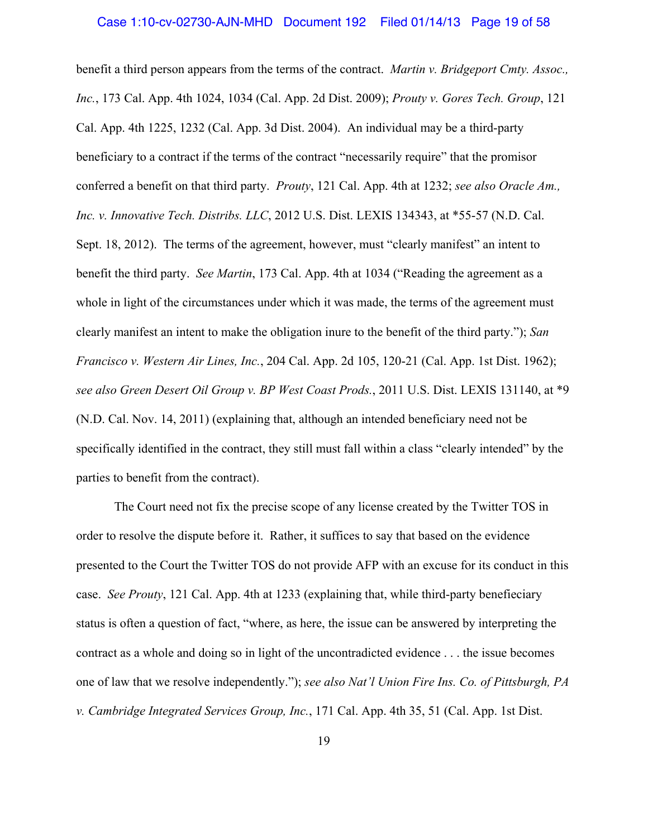benefit a third person appears from the terms of the contract. *Martin v. Bridgeport Cmty. Assoc., Inc.*, 173 Cal. App. 4th 1024, 1034 (Cal. App. 2d Dist. 2009); *Prouty v. Gores Tech. Group*, 121 Cal. App. 4th 1225, 1232 (Cal. App. 3d Dist. 2004). An individual may be a third-party beneficiary to a contract if the terms of the contract "necessarily require" that the promisor conferred a benefit on that third party. *Prouty*, 121 Cal. App. 4th at 1232; *see also Oracle Am., Inc. v. Innovative Tech. Distribs. LLC*, 2012 U.S. Dist. LEXIS 134343, at \*55-57 (N.D. Cal. Sept. 18, 2012). The terms of the agreement, however, must "clearly manifest" an intent to benefit the third party. *See Martin*, 173 Cal. App. 4th at 1034 ("Reading the agreement as a whole in light of the circumstances under which it was made, the terms of the agreement must clearly manifest an intent to make the obligation inure to the benefit of the third party."); *San Francisco v. Western Air Lines, Inc.*, 204 Cal. App. 2d 105, 120-21 (Cal. App. 1st Dist. 1962); *see also Green Desert Oil Group v. BP West Coast Prods.*, 2011 U.S. Dist. LEXIS 131140, at \*9 (N.D. Cal. Nov. 14, 2011) (explaining that, although an intended beneficiary need not be specifically identified in the contract, they still must fall within a class "clearly intended" by the parties to benefit from the contract).

 The Court need not fix the precise scope of any license created by the Twitter TOS in order to resolve the dispute before it. Rather, it suffices to say that based on the evidence presented to the Court the Twitter TOS do not provide AFP with an excuse for its conduct in this case. *See Prouty*, 121 Cal. App. 4th at 1233 (explaining that, while third-party benefieciary status is often a question of fact, "where, as here, the issue can be answered by interpreting the contract as a whole and doing so in light of the uncontradicted evidence . . . the issue becomes one of law that we resolve independently."); *see also Nat'l Union Fire Ins. Co. of Pittsburgh, PA v. Cambridge Integrated Services Group, Inc.*, 171 Cal. App. 4th 35, 51 (Cal. App. 1st Dist.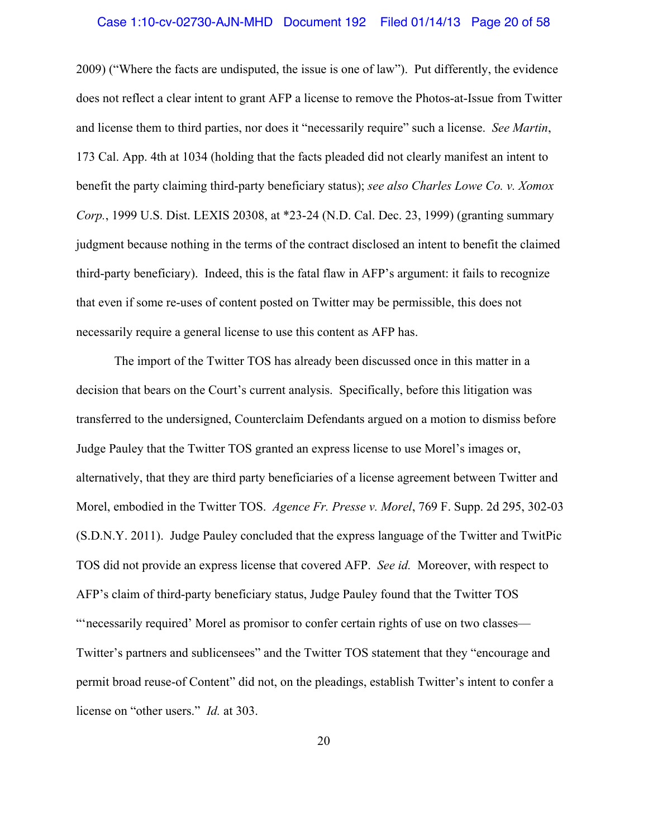## Case 1:10-cv-02730-AJN-MHD Document 192 Filed 01/14/13 Page 20 of 58

2009) ("Where the facts are undisputed, the issue is one of law"). Put differently, the evidence does not reflect a clear intent to grant AFP a license to remove the Photos-at-Issue from Twitter and license them to third parties, nor does it "necessarily require" such a license. *See Martin*, 173 Cal. App. 4th at 1034 (holding that the facts pleaded did not clearly manifest an intent to benefit the party claiming third-party beneficiary status); *see also Charles Lowe Co. v. Xomox Corp.*, 1999 U.S. Dist. LEXIS 20308, at \*23-24 (N.D. Cal. Dec. 23, 1999) (granting summary judgment because nothing in the terms of the contract disclosed an intent to benefit the claimed third-party beneficiary). Indeed, this is the fatal flaw in AFP's argument: it fails to recognize that even if some re-uses of content posted on Twitter may be permissible, this does not necessarily require a general license to use this content as AFP has.

The import of the Twitter TOS has already been discussed once in this matter in a decision that bears on the Court's current analysis. Specifically, before this litigation was transferred to the undersigned, Counterclaim Defendants argued on a motion to dismiss before Judge Pauley that the Twitter TOS granted an express license to use Morel's images or, alternatively, that they are third party beneficiaries of a license agreement between Twitter and Morel, embodied in the Twitter TOS. *Agence Fr. Presse v. Morel*, 769 F. Supp. 2d 295, 302-03 (S.D.N.Y. 2011). Judge Pauley concluded that the express language of the Twitter and TwitPic TOS did not provide an express license that covered AFP. *See id.* Moreover, with respect to AFP's claim of third-party beneficiary status, Judge Pauley found that the Twitter TOS "'necessarily required' Morel as promisor to confer certain rights of use on two classes— Twitter's partners and sublicensees" and the Twitter TOS statement that they "encourage and permit broad reuse-of Content" did not, on the pleadings, establish Twitter's intent to confer a license on "other users." *Id.* at 303.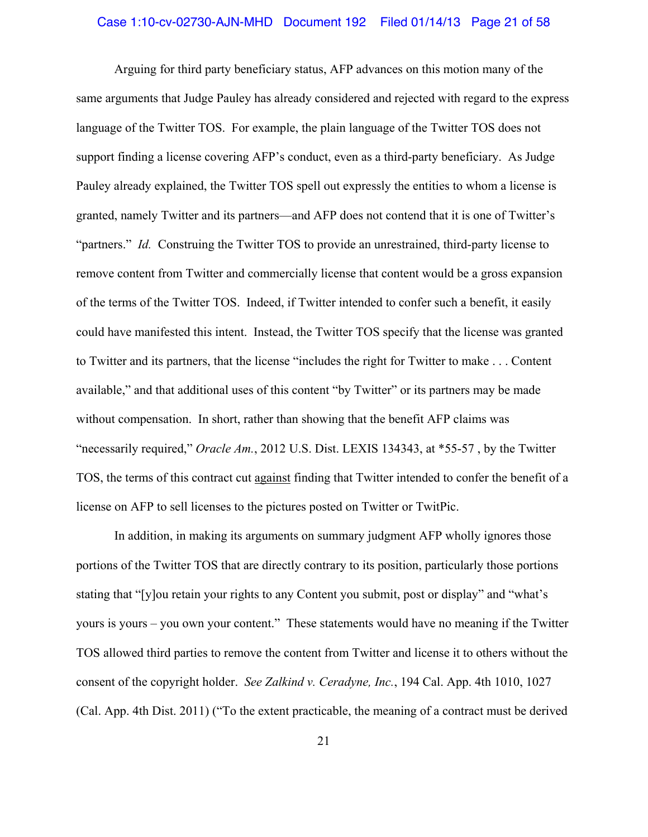## Case 1:10-cv-02730-AJN-MHD Document 192 Filed 01/14/13 Page 21 of 58

Arguing for third party beneficiary status, AFP advances on this motion many of the same arguments that Judge Pauley has already considered and rejected with regard to the express language of the Twitter TOS. For example, the plain language of the Twitter TOS does not support finding a license covering AFP's conduct, even as a third-party beneficiary. As Judge Pauley already explained, the Twitter TOS spell out expressly the entities to whom a license is granted, namely Twitter and its partners—and AFP does not contend that it is one of Twitter's "partners." *Id.* Construing the Twitter TOS to provide an unrestrained, third-party license to remove content from Twitter and commercially license that content would be a gross expansion of the terms of the Twitter TOS. Indeed, if Twitter intended to confer such a benefit, it easily could have manifested this intent. Instead, the Twitter TOS specify that the license was granted to Twitter and its partners, that the license "includes the right for Twitter to make . . . Content available," and that additional uses of this content "by Twitter" or its partners may be made without compensation. In short, rather than showing that the benefit AFP claims was "necessarily required," *Oracle Am.*, 2012 U.S. Dist. LEXIS 134343, at \*55-57 , by the Twitter TOS, the terms of this contract cut against finding that Twitter intended to confer the benefit of a license on AFP to sell licenses to the pictures posted on Twitter or TwitPic.

In addition, in making its arguments on summary judgment AFP wholly ignores those portions of the Twitter TOS that are directly contrary to its position, particularly those portions stating that "[y]ou retain your rights to any Content you submit, post or display" and "what's yours is yours – you own your content." These statements would have no meaning if the Twitter TOS allowed third parties to remove the content from Twitter and license it to others without the consent of the copyright holder. *See Zalkind v. Ceradyne, Inc.*, 194 Cal. App. 4th 1010, 1027 (Cal. App. 4th Dist. 2011) ("To the extent practicable, the meaning of a contract must be derived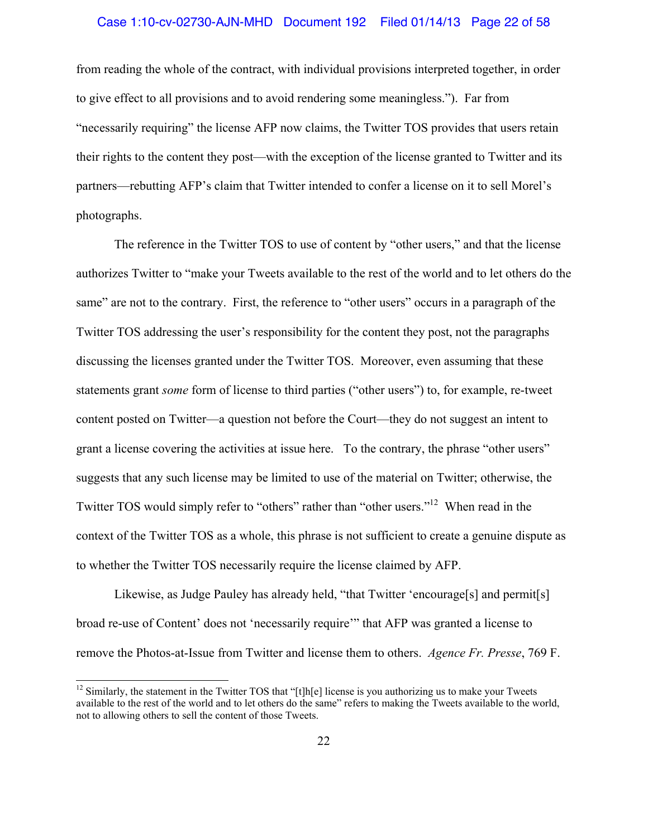# Case 1:10-cv-02730-AJN-MHD Document 192 Filed 01/14/13 Page 22 of 58

from reading the whole of the contract, with individual provisions interpreted together, in order to give effect to all provisions and to avoid rendering some meaningless."). Far from "necessarily requiring" the license AFP now claims, the Twitter TOS provides that users retain their rights to the content they post—with the exception of the license granted to Twitter and its partners—rebutting AFP's claim that Twitter intended to confer a license on it to sell Morel's photographs.

 The reference in the Twitter TOS to use of content by "other users," and that the license authorizes Twitter to "make your Tweets available to the rest of the world and to let others do the same" are not to the contrary. First, the reference to "other users" occurs in a paragraph of the Twitter TOS addressing the user's responsibility for the content they post, not the paragraphs discussing the licenses granted under the Twitter TOS. Moreover, even assuming that these statements grant *some* form of license to third parties ("other users") to, for example, re-tweet content posted on Twitter—a question not before the Court—they do not suggest an intent to grant a license covering the activities at issue here. To the contrary, the phrase "other users" suggests that any such license may be limited to use of the material on Twitter; otherwise, the Twitter TOS would simply refer to "others" rather than "other users."12 When read in the context of the Twitter TOS as a whole, this phrase is not sufficient to create a genuine dispute as to whether the Twitter TOS necessarily require the license claimed by AFP.

Likewise, as Judge Pauley has already held, "that Twitter 'encourage[s] and permit[s] broad re-use of Content' does not 'necessarily require'" that AFP was granted a license to remove the Photos-at-Issue from Twitter and license them to others. *Agence Fr. Presse*, 769 F.

 $\overline{a}$ 

 $12$  Similarly, the statement in the Twitter TOS that "[t]h[e] license is you authorizing us to make your Tweets available to the rest of the world and to let others do the same" refers to making the Tweets available to the world, not to allowing others to sell the content of those Tweets.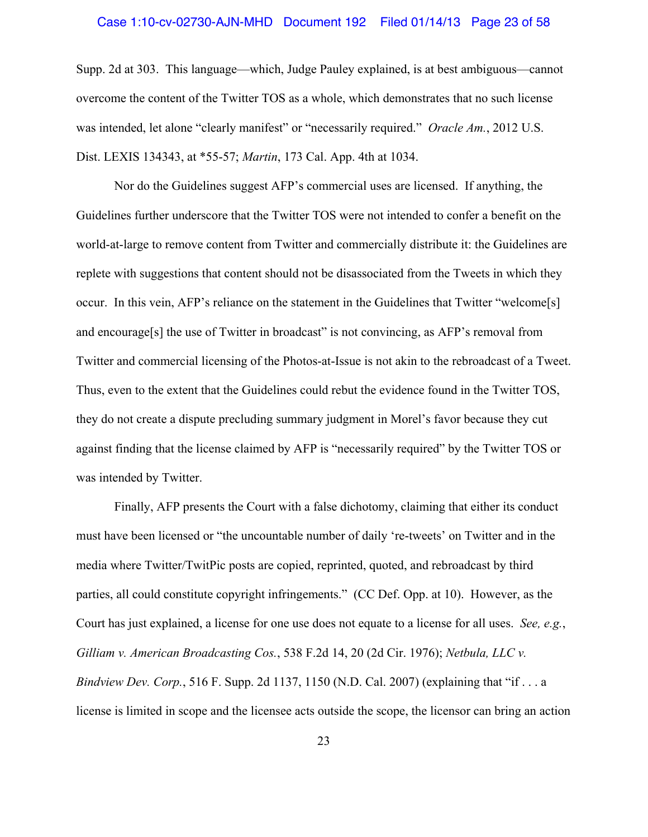## Case 1:10-cv-02730-AJN-MHD Document 192 Filed 01/14/13 Page 23 of 58

Supp. 2d at 303. This language—which, Judge Pauley explained, is at best ambiguous—cannot overcome the content of the Twitter TOS as a whole, which demonstrates that no such license was intended, let alone "clearly manifest" or "necessarily required." *Oracle Am.*, 2012 U.S. Dist. LEXIS 134343, at \*55-57; *Martin*, 173 Cal. App. 4th at 1034.

 Nor do the Guidelines suggest AFP's commercial uses are licensed. If anything, the Guidelines further underscore that the Twitter TOS were not intended to confer a benefit on the world-at-large to remove content from Twitter and commercially distribute it: the Guidelines are replete with suggestions that content should not be disassociated from the Tweets in which they occur. In this vein, AFP's reliance on the statement in the Guidelines that Twitter "welcome[s] and encourage[s] the use of Twitter in broadcast" is not convincing, as AFP's removal from Twitter and commercial licensing of the Photos-at-Issue is not akin to the rebroadcast of a Tweet. Thus, even to the extent that the Guidelines could rebut the evidence found in the Twitter TOS, they do not create a dispute precluding summary judgment in Morel's favor because they cut against finding that the license claimed by AFP is "necessarily required" by the Twitter TOS or was intended by Twitter.

 Finally, AFP presents the Court with a false dichotomy, claiming that either its conduct must have been licensed or "the uncountable number of daily 're-tweets' on Twitter and in the media where Twitter/TwitPic posts are copied, reprinted, quoted, and rebroadcast by third parties, all could constitute copyright infringements." (CC Def. Opp. at 10). However, as the Court has just explained, a license for one use does not equate to a license for all uses. *See, e.g.*, *Gilliam v. American Broadcasting Cos.*, 538 F.2d 14, 20 (2d Cir. 1976); *Netbula, LLC v. Bindview Dev. Corp.*, 516 F. Supp. 2d 1137, 1150 (N.D. Cal. 2007) (explaining that "if . . . a license is limited in scope and the licensee acts outside the scope, the licensor can bring an action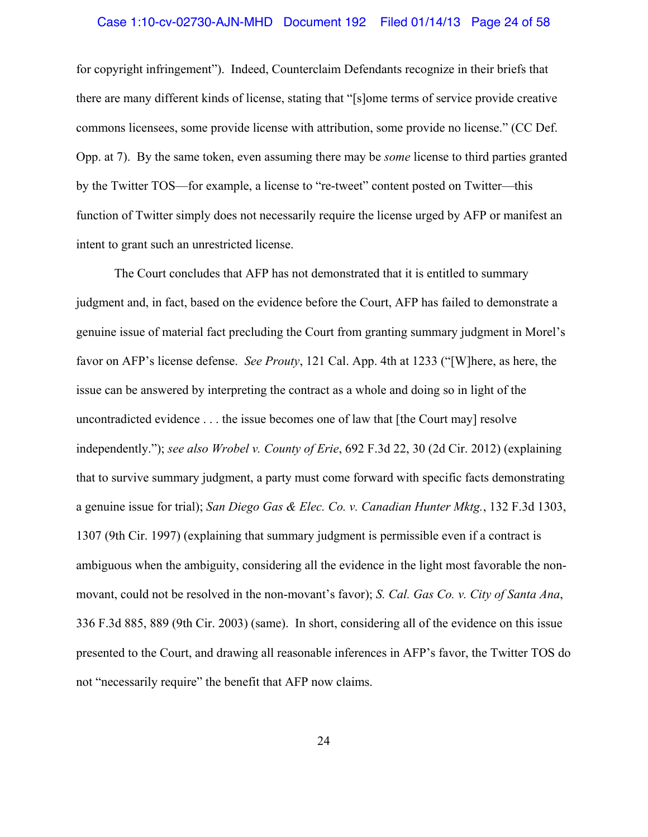#### Case 1:10-cv-02730-AJN-MHD Document 192 Filed 01/14/13 Page 24 of 58

for copyright infringement"). Indeed, Counterclaim Defendants recognize in their briefs that there are many different kinds of license, stating that "[s]ome terms of service provide creative commons licensees, some provide license with attribution, some provide no license." (CC Def. Opp. at 7). By the same token, even assuming there may be *some* license to third parties granted by the Twitter TOS—for example, a license to "re-tweet" content posted on Twitter—this function of Twitter simply does not necessarily require the license urged by AFP or manifest an intent to grant such an unrestricted license.

The Court concludes that AFP has not demonstrated that it is entitled to summary judgment and, in fact, based on the evidence before the Court, AFP has failed to demonstrate a genuine issue of material fact precluding the Court from granting summary judgment in Morel's favor on AFP's license defense. *See Prouty*, 121 Cal. App. 4th at 1233 ("[W]here, as here, the issue can be answered by interpreting the contract as a whole and doing so in light of the uncontradicted evidence . . . the issue becomes one of law that [the Court may] resolve independently."); *see also Wrobel v. County of Erie*, 692 F.3d 22, 30 (2d Cir. 2012) (explaining that to survive summary judgment, a party must come forward with specific facts demonstrating a genuine issue for trial); *San Diego Gas & Elec. Co. v. Canadian Hunter Mktg.*, 132 F.3d 1303, 1307 (9th Cir. 1997) (explaining that summary judgment is permissible even if a contract is ambiguous when the ambiguity, considering all the evidence in the light most favorable the nonmovant, could not be resolved in the non-movant's favor); *S. Cal. Gas Co. v. City of Santa Ana*, 336 F.3d 885, 889 (9th Cir. 2003) (same). In short, considering all of the evidence on this issue presented to the Court, and drawing all reasonable inferences in AFP's favor, the Twitter TOS do not "necessarily require" the benefit that AFP now claims.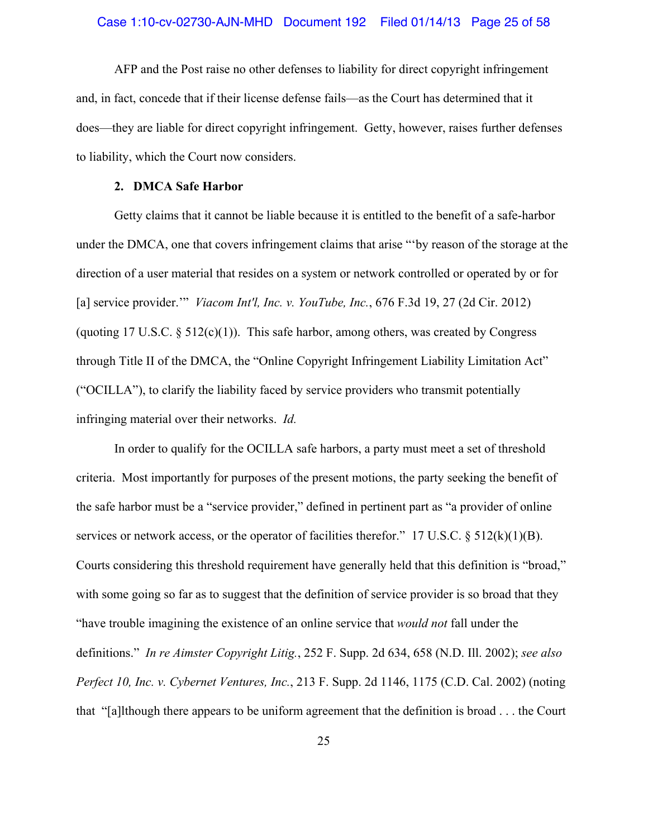## Case 1:10-cv-02730-AJN-MHD Document 192 Filed 01/14/13 Page 25 of 58

AFP and the Post raise no other defenses to liability for direct copyright infringement and, in fact, concede that if their license defense fails—as the Court has determined that it does—they are liable for direct copyright infringement. Getty, however, raises further defenses to liability, which the Court now considers.

# **2. DMCA Safe Harbor**

Getty claims that it cannot be liable because it is entitled to the benefit of a safe-harbor under the DMCA, one that covers infringement claims that arise "'by reason of the storage at the direction of a user material that resides on a system or network controlled or operated by or for [a] service provider.'" *Viacom Int'l, Inc. v. YouTube, Inc.*, 676 F.3d 19, 27 (2d Cir. 2012) (quoting 17 U.S.C.  $\S 512(c)(1)$ ). This safe harbor, among others, was created by Congress through Title II of the DMCA, the "Online Copyright Infringement Liability Limitation Act" ("OCILLA"), to clarify the liability faced by service providers who transmit potentially infringing material over their networks. *Id.* 

 In order to qualify for the OCILLA safe harbors, a party must meet a set of threshold criteria. Most importantly for purposes of the present motions, the party seeking the benefit of the safe harbor must be a "service provider," defined in pertinent part as "a provider of online services or network access, or the operator of facilities therefor." 17 U.S.C.  $\S$  512(k)(1)(B). Courts considering this threshold requirement have generally held that this definition is "broad," with some going so far as to suggest that the definition of service provider is so broad that they "have trouble imagining the existence of an online service that *would not* fall under the definitions." *In re Aimster Copyright Litig.*, 252 F. Supp. 2d 634, 658 (N.D. Ill. 2002); *see also Perfect 10, Inc. v. Cybernet Ventures, Inc.*, 213 F. Supp. 2d 1146, 1175 (C.D. Cal. 2002) (noting that "[a]lthough there appears to be uniform agreement that the definition is broad . . . the Court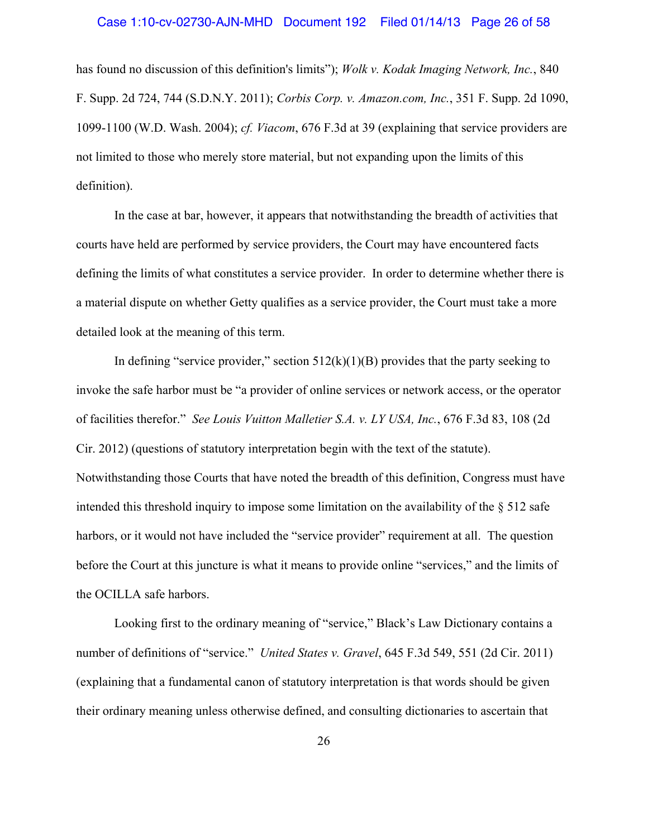## Case 1:10-cv-02730-AJN-MHD Document 192 Filed 01/14/13 Page 26 of 58

has found no discussion of this definition's limits"); *Wolk v. Kodak Imaging Network, Inc.*, 840 F. Supp. 2d 724, 744 (S.D.N.Y. 2011); *Corbis Corp. v. Amazon.com, Inc.*, 351 F. Supp. 2d 1090, 1099-1100 (W.D. Wash. 2004); *cf. Viacom*, 676 F.3d at 39 (explaining that service providers are not limited to those who merely store material, but not expanding upon the limits of this definition).

In the case at bar, however, it appears that notwithstanding the breadth of activities that courts have held are performed by service providers, the Court may have encountered facts defining the limits of what constitutes a service provider. In order to determine whether there is a material dispute on whether Getty qualifies as a service provider, the Court must take a more detailed look at the meaning of this term.

In defining "service provider," section  $512(k)(1)(B)$  provides that the party seeking to invoke the safe harbor must be "a provider of online services or network access, or the operator of facilities therefor." *See Louis Vuitton Malletier S.A. v. LY USA, Inc.*, 676 F.3d 83, 108 (2d Cir. 2012) (questions of statutory interpretation begin with the text of the statute). Notwithstanding those Courts that have noted the breadth of this definition, Congress must have intended this threshold inquiry to impose some limitation on the availability of the  $\S 512$  safe harbors, or it would not have included the "service provider" requirement at all. The question before the Court at this juncture is what it means to provide online "services," and the limits of the OCILLA safe harbors.

Looking first to the ordinary meaning of "service," Black's Law Dictionary contains a number of definitions of "service." *United States v. Gravel*, 645 F.3d 549, 551 (2d Cir. 2011) (explaining that a fundamental canon of statutory interpretation is that words should be given their ordinary meaning unless otherwise defined, and consulting dictionaries to ascertain that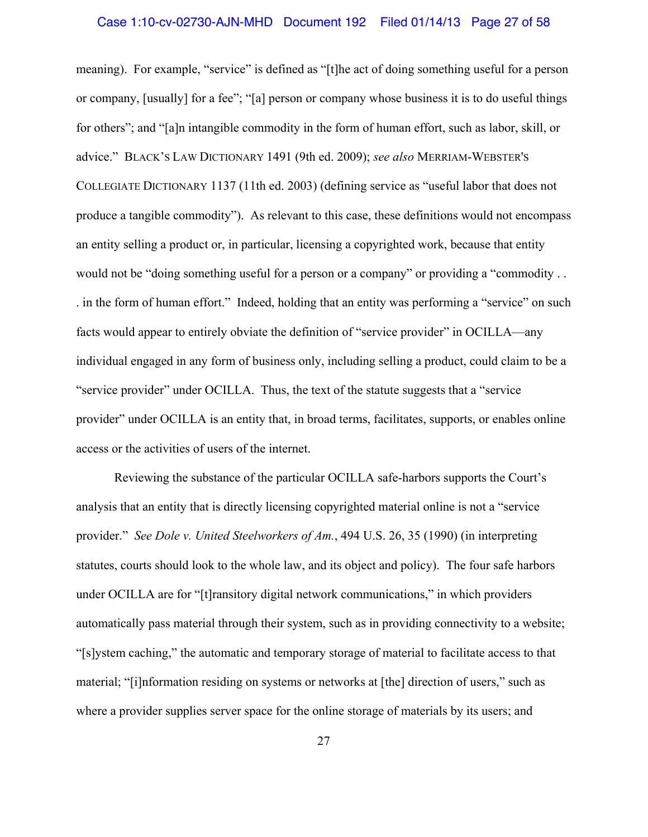#### Case 1:10-cv-02730-AJN-MHD Document 192 Filed 01/14/13 Page 27 of 58

meaning). For example, "service" is defined as "[t]he act of doing something useful for a person or company, [usually] for a fee"; "[a] person or company whose business it is to do useful things for others"; and "[a]n intangible commodity in the form of human effort, such as labor, skill, or advice." BLACK'S LAW DICTIONARY 1491 (9th ed. 2009); *see also* MERRIAM-WEBSTER'S COLLEGIATE DICTIONARY 1137 (11th ed. 2003) (defining service as "useful labor that does not produce a tangible commodity"). As relevant to this case, these definitions would not encompass an entity selling a product or, in particular, licensing a copyrighted work, because that entity would not be "doing something useful for a person or a company" or providing a "commodity . . . in the form of human effort." Indeed, holding that an entity was performing a "service" on such facts would appear to entirely obviate the definition of "service provider" in OCILLA—any individual engaged in any form of business only, including selling a product, could claim to be a "service provider" under OCILLA. Thus, the text of the statute suggests that a "service provider" under OCILLA is an entity that, in broad terms, facilitates, supports, or enables online access or the activities of users of the internet.

Reviewing the substance of the particular OCILLA safe-harbors supports the Court's analysis that an entity that is directly licensing copyrighted material online is not a "service provider." *See Dole v. United Steelworkers of Am.*, 494 U.S. 26, 35 (1990) (in interpreting statutes, courts should look to the whole law, and its object and policy). The four safe harbors under OCILLA are for "[t]ransitory digital network communications," in which providers automatically pass material through their system, such as in providing connectivity to a website; "[s]ystem caching," the automatic and temporary storage of material to facilitate access to that material; "[i]nformation residing on systems or networks at [the] direction of users," such as where a provider supplies server space for the online storage of materials by its users; and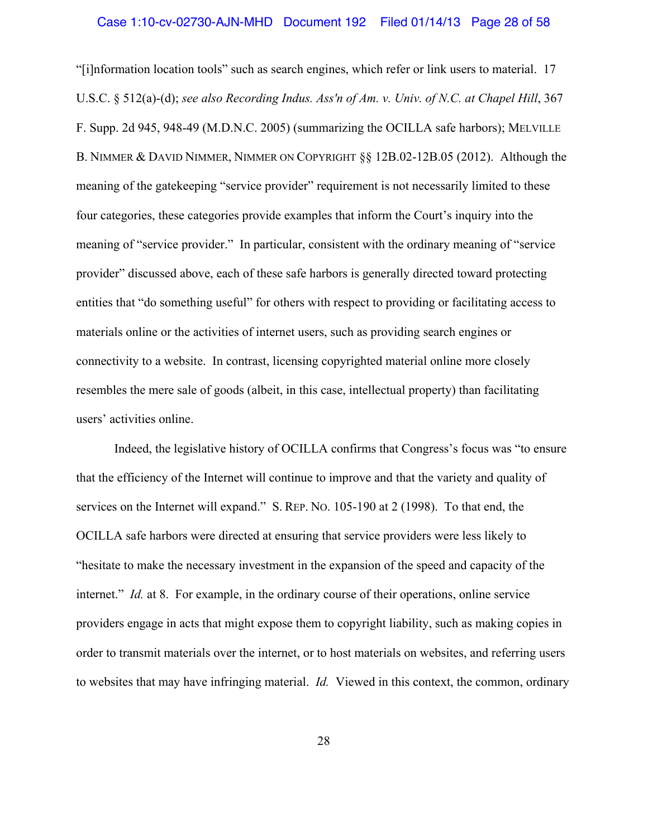"[i]nformation location tools" such as search engines, which refer or link users to material. 17 U.S.C. § 512(a)-(d); *see also Recording Indus. Ass'n of Am. v. Univ. of N.C. at Chapel Hill*, 367 F. Supp. 2d 945, 948-49 (M.D.N.C. 2005) (summarizing the OCILLA safe harbors); MELVILLE B. NIMMER & DAVID NIMMER, NIMMER ON COPYRIGHT §§ 12B.02-12B.05 (2012). Although the meaning of the gatekeeping "service provider" requirement is not necessarily limited to these four categories, these categories provide examples that inform the Court's inquiry into the meaning of "service provider." In particular, consistent with the ordinary meaning of "service provider" discussed above, each of these safe harbors is generally directed toward protecting entities that "do something useful" for others with respect to providing or facilitating access to materials online or the activities of internet users, such as providing search engines or connectivity to a website. In contrast, licensing copyrighted material online more closely resembles the mere sale of goods (albeit, in this case, intellectual property) than facilitating users' activities online.

Indeed, the legislative history of OCILLA confirms that Congress's focus was "to ensure that the efficiency of the Internet will continue to improve and that the variety and quality of services on the Internet will expand." S. REP. NO. 105-190 at 2 (1998). To that end, the OCILLA safe harbors were directed at ensuring that service providers were less likely to "hesitate to make the necessary investment in the expansion of the speed and capacity of the internet." *Id.* at 8. For example, in the ordinary course of their operations, online service providers engage in acts that might expose them to copyright liability, such as making copies in order to transmit materials over the internet, or to host materials on websites, and referring users to websites that may have infringing material. *Id.* Viewed in this context, the common, ordinary

28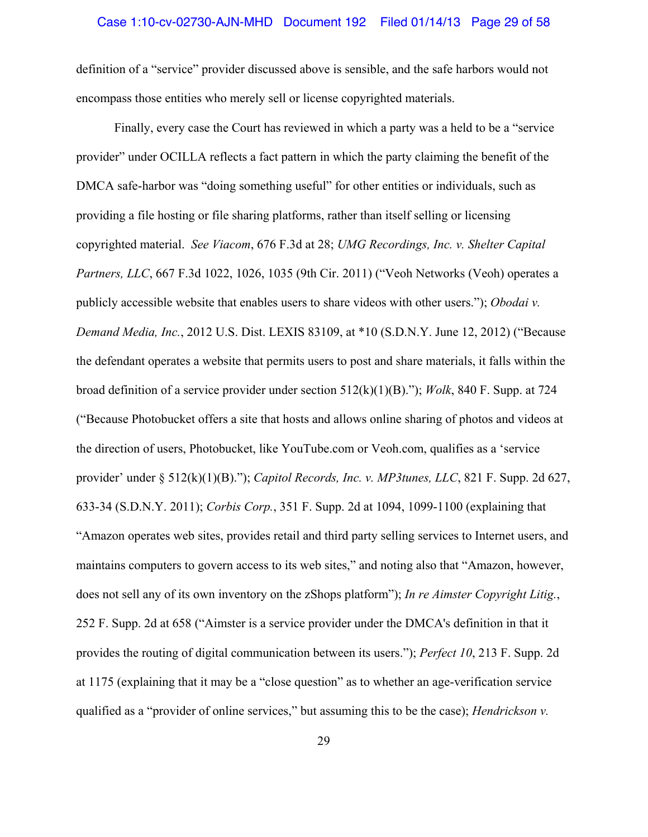#### Case 1:10-cv-02730-AJN-MHD Document 192 Filed 01/14/13 Page 29 of 58

definition of a "service" provider discussed above is sensible, and the safe harbors would not encompass those entities who merely sell or license copyrighted materials.

Finally, every case the Court has reviewed in which a party was a held to be a "service provider" under OCILLA reflects a fact pattern in which the party claiming the benefit of the DMCA safe-harbor was "doing something useful" for other entities or individuals, such as providing a file hosting or file sharing platforms, rather than itself selling or licensing copyrighted material. *See Viacom*, 676 F.3d at 28; *UMG Recordings, Inc. v. Shelter Capital Partners, LLC*, 667 F.3d 1022, 1026, 1035 (9th Cir. 2011) ("Veoh Networks (Veoh) operates a publicly accessible website that enables users to share videos with other users."); *Obodai v. Demand Media, Inc.*, 2012 U.S. Dist. LEXIS 83109, at \*10 (S.D.N.Y. June 12, 2012) ("Because the defendant operates a website that permits users to post and share materials, it falls within the broad definition of a service provider under section 512(k)(1)(B)."); *Wolk*, 840 F. Supp. at 724 ("Because Photobucket offers a site that hosts and allows online sharing of photos and videos at the direction of users, Photobucket, like YouTube.com or Veoh.com, qualifies as a 'service provider' under § 512(k)(1)(B)."); *Capitol Records, Inc. v. MP3tunes, LLC*, 821 F. Supp. 2d 627, 633-34 (S.D.N.Y. 2011); *Corbis Corp.*, 351 F. Supp. 2d at 1094, 1099-1100 (explaining that "Amazon operates web sites, provides retail and third party selling services to Internet users, and maintains computers to govern access to its web sites," and noting also that "Amazon, however, does not sell any of its own inventory on the zShops platform"); *In re Aimster Copyright Litig.*, 252 F. Supp. 2d at 658 ("Aimster is a service provider under the DMCA's definition in that it provides the routing of digital communication between its users."); *Perfect 10*, 213 F. Supp. 2d at 1175 (explaining that it may be a "close question" as to whether an age-verification service qualified as a "provider of online services," but assuming this to be the case); *Hendrickson v.*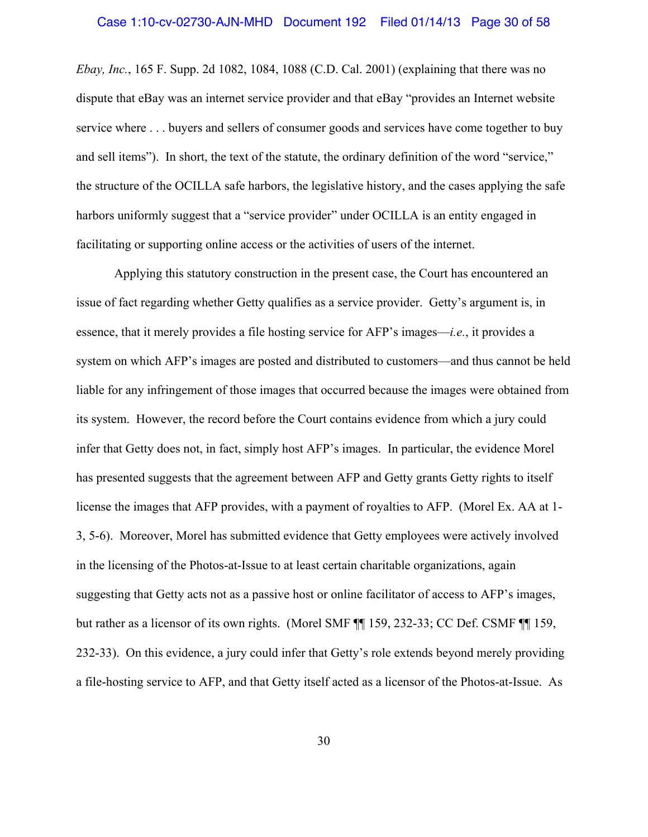#### Case 1:10-cv-02730-AJN-MHD Document 192 Filed 01/14/13 Page 30 of 58

*Ebay, Inc.*, 165 F. Supp. 2d 1082, 1084, 1088 (C.D. Cal. 2001) (explaining that there was no dispute that eBay was an internet service provider and that eBay "provides an Internet website service where . . . buyers and sellers of consumer goods and services have come together to buy and sell items"). In short, the text of the statute, the ordinary definition of the word "service," the structure of the OCILLA safe harbors, the legislative history, and the cases applying the safe harbors uniformly suggest that a "service provider" under OCILLA is an entity engaged in facilitating or supporting online access or the activities of users of the internet.

Applying this statutory construction in the present case, the Court has encountered an issue of fact regarding whether Getty qualifies as a service provider. Getty's argument is, in essence, that it merely provides a file hosting service for AFP's images—*i.e.*, it provides a system on which AFP's images are posted and distributed to customers—and thus cannot be held liable for any infringement of those images that occurred because the images were obtained from its system. However, the record before the Court contains evidence from which a jury could infer that Getty does not, in fact, simply host AFP's images. In particular, the evidence Morel has presented suggests that the agreement between AFP and Getty grants Getty rights to itself license the images that AFP provides, with a payment of royalties to AFP. (Morel Ex. AA at 1- 3, 5-6). Moreover, Morel has submitted evidence that Getty employees were actively involved in the licensing of the Photos-at-Issue to at least certain charitable organizations, again suggesting that Getty acts not as a passive host or online facilitator of access to AFP's images, but rather as a licensor of its own rights. (Morel SMF  $\P$  159, 232-33; CC Def. CSMF  $\P$  159, 232-33). On this evidence, a jury could infer that Getty's role extends beyond merely providing a file-hosting service to AFP, and that Getty itself acted as a licensor of the Photos-at-Issue. As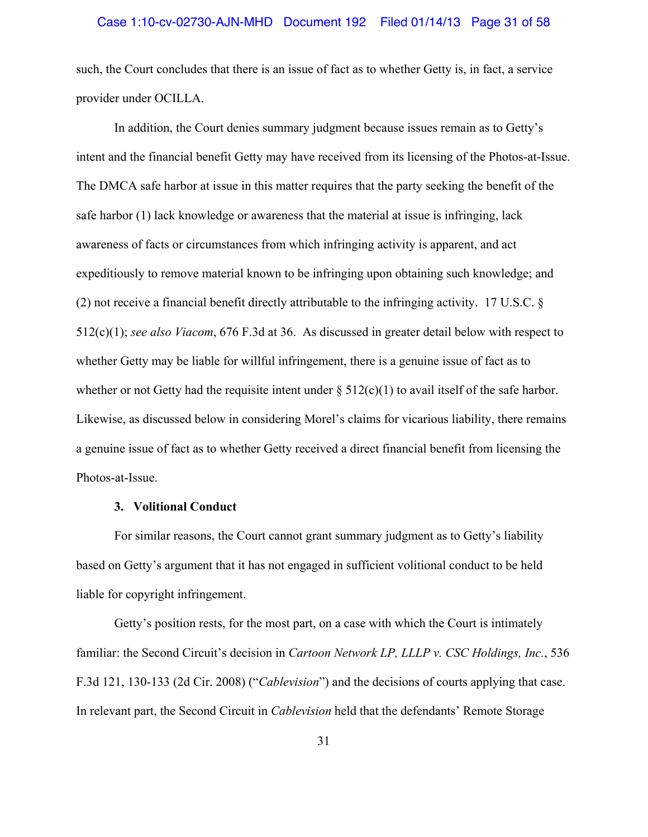## Case 1:10-cv-02730-AJN-MHD Document 192 Filed 01/14/13 Page 31 of 58

such, the Court concludes that there is an issue of fact as to whether Getty is, in fact, a service provider under OCILLA.

In addition, the Court denies summary judgment because issues remain as to Getty's intent and the financial benefit Getty may have received from its licensing of the Photos-at-Issue. The DMCA safe harbor at issue in this matter requires that the party seeking the benefit of the safe harbor (1) lack knowledge or awareness that the material at issue is infringing, lack awareness of facts or circumstances from which infringing activity is apparent, and act expeditiously to remove material known to be infringing upon obtaining such knowledge; and (2) not receive a financial benefit directly attributable to the infringing activity. 17 U.S.C. § 512(c)(1); *see also Viacom*, 676 F.3d at 36. As discussed in greater detail below with respect to whether Getty may be liable for willful infringement, there is a genuine issue of fact as to whether or not Getty had the requisite intent under  $\S 512(c)(1)$  to avail itself of the safe harbor. Likewise, as discussed below in considering Morel's claims for vicarious liability, there remains a genuine issue of fact as to whether Getty received a direct financial benefit from licensing the Photos-at-Issue.

# **3. Volitional Conduct**

For similar reasons, the Court cannot grant summary judgment as to Getty's liability based on Getty's argument that it has not engaged in sufficient volitional conduct to be held liable for copyright infringement.

Getty's position rests, for the most part, on a case with which the Court is intimately familiar: the Second Circuit's decision in *Cartoon Network LP, LLLP v. CSC Holdings, Inc.*, 536 F.3d 121, 130-133 (2d Cir. 2008) ("*Cablevision*") and the decisions of courts applying that case. In relevant part, the Second Circuit in *Cablevision* held that the defendants' Remote Storage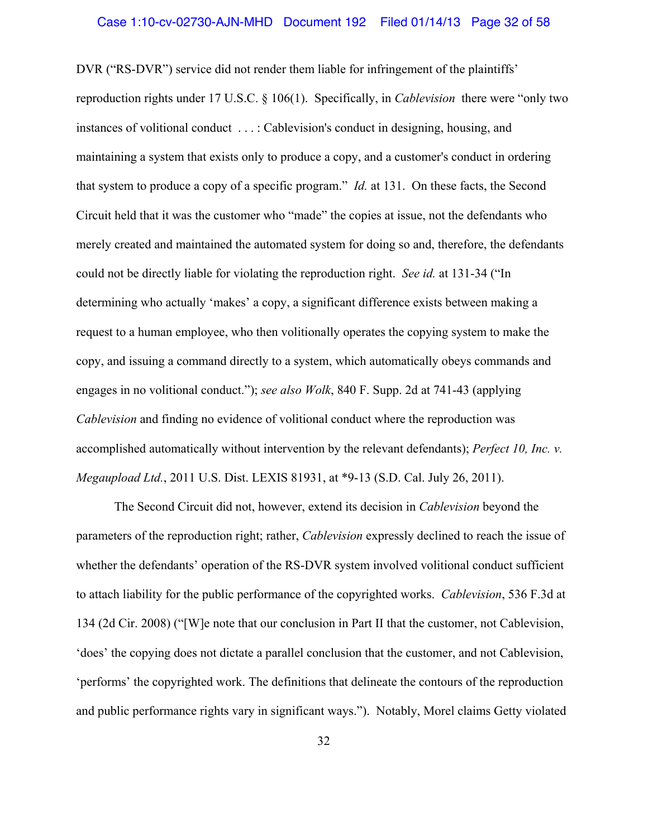DVR ("RS-DVR") service did not render them liable for infringement of the plaintiffs' reproduction rights under 17 U.S.C. § 106(1). Specifically, in *Cablevision* there were "only two instances of volitional conduct . . . : Cablevision's conduct in designing, housing, and maintaining a system that exists only to produce a copy, and a customer's conduct in ordering that system to produce a copy of a specific program." *Id.* at 131. On these facts, the Second Circuit held that it was the customer who "made" the copies at issue, not the defendants who merely created and maintained the automated system for doing so and, therefore, the defendants could not be directly liable for violating the reproduction right. *See id.* at 131-34 ("In determining who actually 'makes' a copy, a significant difference exists between making a request to a human employee, who then volitionally operates the copying system to make the copy, and issuing a command directly to a system, which automatically obeys commands and engages in no volitional conduct."); *see also Wolk*, 840 F. Supp. 2d at 741-43 (applying *Cablevision* and finding no evidence of volitional conduct where the reproduction was accomplished automatically without intervention by the relevant defendants); *Perfect 10, Inc. v. Megaupload Ltd.*, 2011 U.S. Dist. LEXIS 81931, at \*9-13 (S.D. Cal. July 26, 2011).

The Second Circuit did not, however, extend its decision in *Cablevision* beyond the parameters of the reproduction right; rather, *Cablevision* expressly declined to reach the issue of whether the defendants' operation of the RS-DVR system involved volitional conduct sufficient to attach liability for the public performance of the copyrighted works. *Cablevision*, 536 F.3d at 134 (2d Cir. 2008) ("[W]e note that our conclusion in Part II that the customer, not Cablevision, 'does' the copying does not dictate a parallel conclusion that the customer, and not Cablevision, 'performs' the copyrighted work. The definitions that delineate the contours of the reproduction and public performance rights vary in significant ways."). Notably, Morel claims Getty violated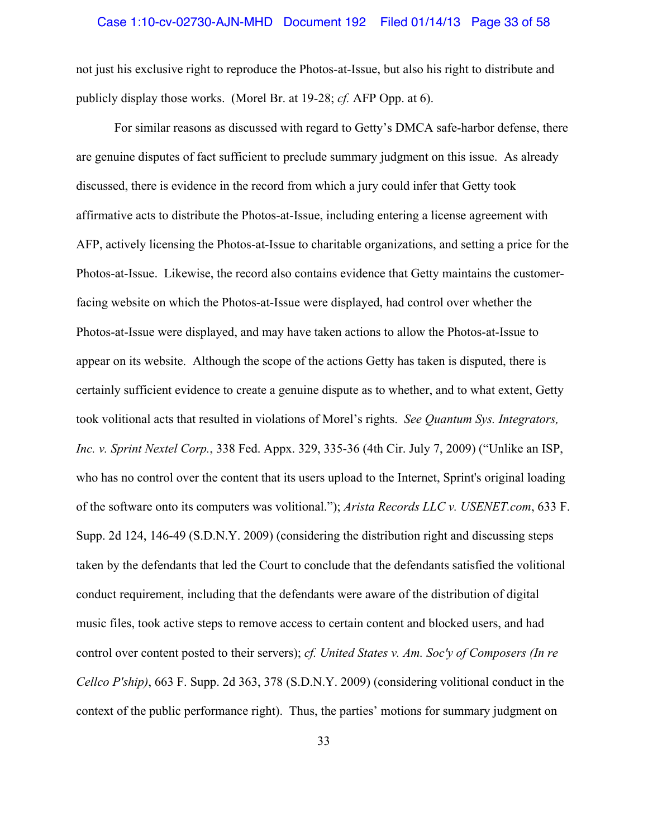## Case 1:10-cv-02730-AJN-MHD Document 192 Filed 01/14/13 Page 33 of 58

not just his exclusive right to reproduce the Photos-at-Issue, but also his right to distribute and publicly display those works. (Morel Br. at 19-28; *cf.* AFP Opp. at 6).

For similar reasons as discussed with regard to Getty's DMCA safe-harbor defense, there are genuine disputes of fact sufficient to preclude summary judgment on this issue. As already discussed, there is evidence in the record from which a jury could infer that Getty took affirmative acts to distribute the Photos-at-Issue, including entering a license agreement with AFP, actively licensing the Photos-at-Issue to charitable organizations, and setting a price for the Photos-at-Issue. Likewise, the record also contains evidence that Getty maintains the customerfacing website on which the Photos-at-Issue were displayed, had control over whether the Photos-at-Issue were displayed, and may have taken actions to allow the Photos-at-Issue to appear on its website. Although the scope of the actions Getty has taken is disputed, there is certainly sufficient evidence to create a genuine dispute as to whether, and to what extent, Getty took volitional acts that resulted in violations of Morel's rights. *See Quantum Sys. Integrators, Inc. v. Sprint Nextel Corp.*, 338 Fed. Appx. 329, 335-36 (4th Cir. July 7, 2009) ("Unlike an ISP, who has no control over the content that its users upload to the Internet, Sprint's original loading of the software onto its computers was volitional."); *Arista Records LLC v. USENET.com*, 633 F. Supp. 2d 124, 146-49 (S.D.N.Y. 2009) (considering the distribution right and discussing steps taken by the defendants that led the Court to conclude that the defendants satisfied the volitional conduct requirement, including that the defendants were aware of the distribution of digital music files, took active steps to remove access to certain content and blocked users, and had control over content posted to their servers); *cf. United States v. Am. Soc'y of Composers (In re Cellco P'ship)*, 663 F. Supp. 2d 363, 378 (S.D.N.Y. 2009) (considering volitional conduct in the context of the public performance right). Thus, the parties' motions for summary judgment on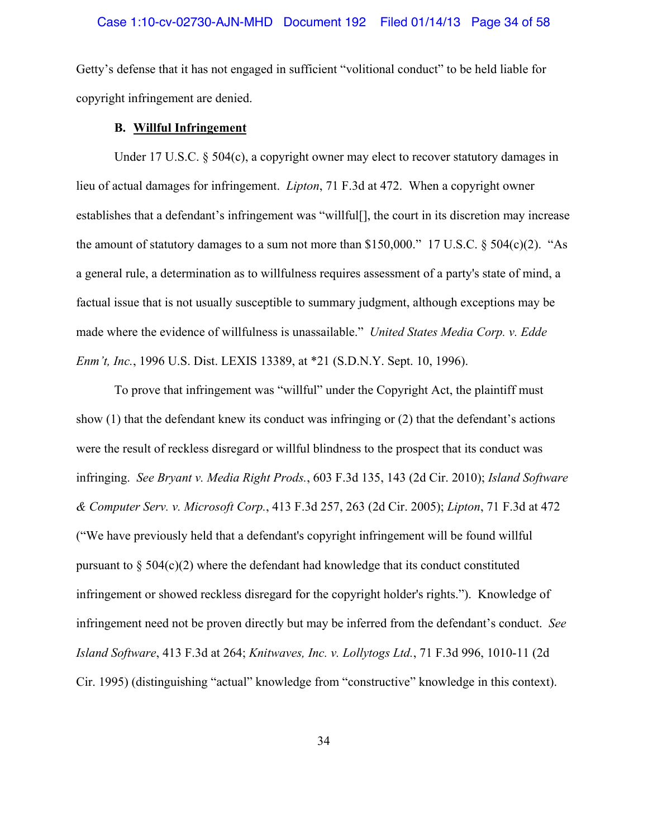Getty's defense that it has not engaged in sufficient "volitional conduct" to be held liable for copyright infringement are denied.

## **B. Willful Infringement**

Under 17 U.S.C. § 504(c), a copyright owner may elect to recover statutory damages in lieu of actual damages for infringement. *Lipton*, 71 F.3d at 472. When a copyright owner establishes that a defendant's infringement was "willful[], the court in its discretion may increase the amount of statutory damages to a sum not more than \$150,000." 17 U.S.C. § 504(c)(2). "As a general rule, a determination as to willfulness requires assessment of a party's state of mind, a factual issue that is not usually susceptible to summary judgment, although exceptions may be made where the evidence of willfulness is unassailable." *United States Media Corp. v. Edde Enm't, Inc.*, 1996 U.S. Dist. LEXIS 13389, at \*21 (S.D.N.Y. Sept. 10, 1996).

To prove that infringement was "willful" under the Copyright Act, the plaintiff must show (1) that the defendant knew its conduct was infringing or (2) that the defendant's actions were the result of reckless disregard or willful blindness to the prospect that its conduct was infringing. *See Bryant v. Media Right Prods.*, 603 F.3d 135, 143 (2d Cir. 2010); *Island Software & Computer Serv. v. Microsoft Corp.*, 413 F.3d 257, 263 (2d Cir. 2005); *Lipton*, 71 F.3d at 472 ("We have previously held that a defendant's copyright infringement will be found willful pursuant to  $\S$  504(c)(2) where the defendant had knowledge that its conduct constituted infringement or showed reckless disregard for the copyright holder's rights."). Knowledge of infringement need not be proven directly but may be inferred from the defendant's conduct. *See Island Software*, 413 F.3d at 264; *Knitwaves, Inc. v. Lollytogs Ltd.*, 71 F.3d 996, 1010-11 (2d Cir. 1995) (distinguishing "actual" knowledge from "constructive" knowledge in this context).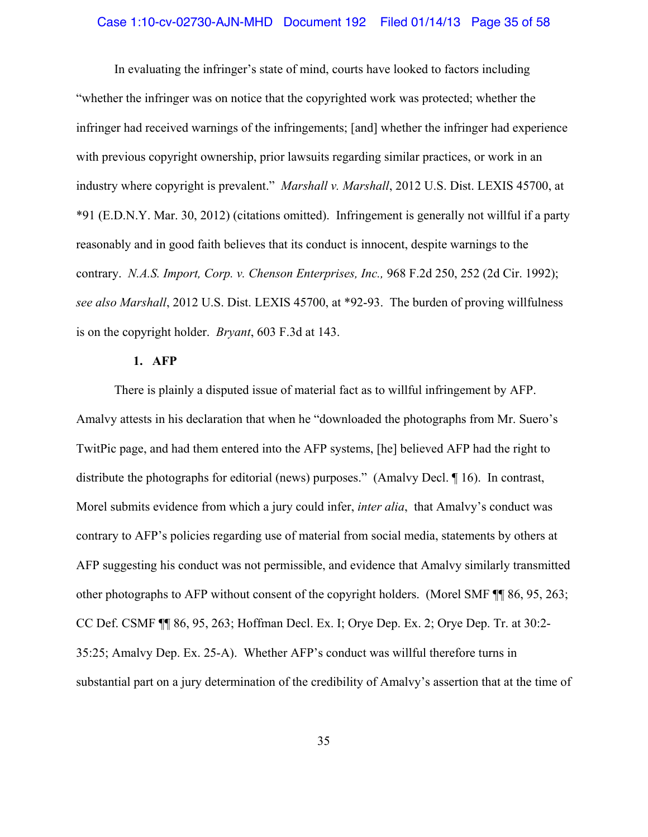## Case 1:10-cv-02730-AJN-MHD Document 192 Filed 01/14/13 Page 35 of 58

 In evaluating the infringer's state of mind, courts have looked to factors including "whether the infringer was on notice that the copyrighted work was protected; whether the infringer had received warnings of the infringements; [and] whether the infringer had experience with previous copyright ownership, prior lawsuits regarding similar practices, or work in an industry where copyright is prevalent." *Marshall v. Marshall*, 2012 U.S. Dist. LEXIS 45700, at \*91 (E.D.N.Y. Mar. 30, 2012) (citations omitted). Infringement is generally not willful if a party reasonably and in good faith believes that its conduct is innocent, despite warnings to the contrary. *N.A.S. Import, Corp. v. Chenson Enterprises, Inc.,* 968 F.2d 250, 252 (2d Cir. 1992); *see also Marshall*, 2012 U.S. Dist. LEXIS 45700, at \*92-93. The burden of proving willfulness is on the copyright holder. *Bryant*, 603 F.3d at 143.

## **1. AFP**

There is plainly a disputed issue of material fact as to willful infringement by AFP. Amalvy attests in his declaration that when he "downloaded the photographs from Mr. Suero's TwitPic page, and had them entered into the AFP systems, [he] believed AFP had the right to distribute the photographs for editorial (news) purposes." (Amalvy Decl. ¶ 16). In contrast, Morel submits evidence from which a jury could infer, *inter alia*, that Amalvy's conduct was contrary to AFP's policies regarding use of material from social media, statements by others at AFP suggesting his conduct was not permissible, and evidence that Amalvy similarly transmitted other photographs to AFP without consent of the copyright holders. (Morel SMF ¶¶ 86, 95, 263; CC Def. CSMF ¶¶ 86, 95, 263; Hoffman Decl. Ex. I; Orye Dep. Ex. 2; Orye Dep. Tr. at 30:2- 35:25; Amalvy Dep. Ex. 25-A). Whether AFP's conduct was willful therefore turns in substantial part on a jury determination of the credibility of Amalvy's assertion that at the time of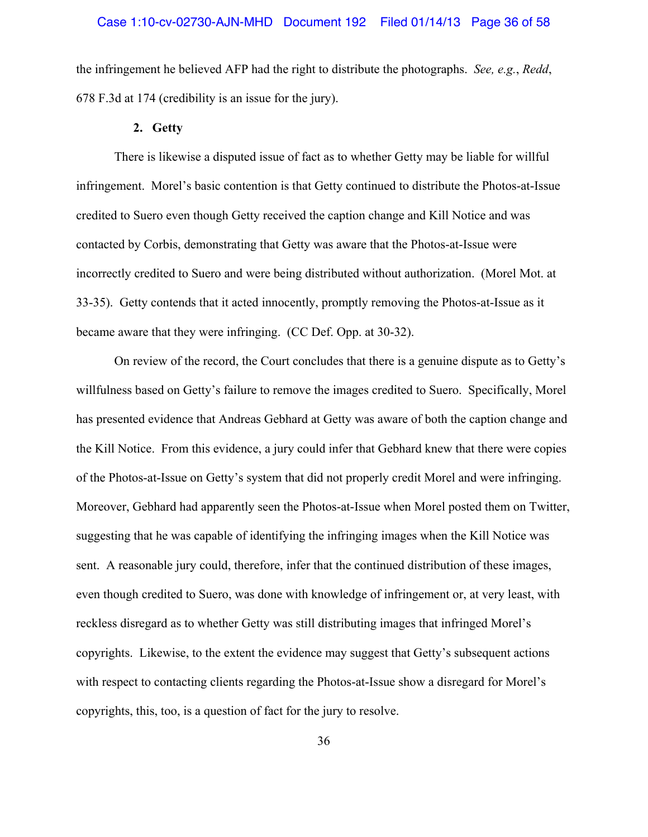the infringement he believed AFP had the right to distribute the photographs. *See, e.g.*, *Redd*, 678 F.3d at 174 (credibility is an issue for the jury).

## **2. Getty**

There is likewise a disputed issue of fact as to whether Getty may be liable for willful infringement. Morel's basic contention is that Getty continued to distribute the Photos-at-Issue credited to Suero even though Getty received the caption change and Kill Notice and was contacted by Corbis, demonstrating that Getty was aware that the Photos-at-Issue were incorrectly credited to Suero and were being distributed without authorization. (Morel Mot. at 33-35). Getty contends that it acted innocently, promptly removing the Photos-at-Issue as it became aware that they were infringing. (CC Def. Opp. at 30-32).

On review of the record, the Court concludes that there is a genuine dispute as to Getty's willfulness based on Getty's failure to remove the images credited to Suero. Specifically, Morel has presented evidence that Andreas Gebhard at Getty was aware of both the caption change and the Kill Notice. From this evidence, a jury could infer that Gebhard knew that there were copies of the Photos-at-Issue on Getty's system that did not properly credit Morel and were infringing. Moreover, Gebhard had apparently seen the Photos-at-Issue when Morel posted them on Twitter, suggesting that he was capable of identifying the infringing images when the Kill Notice was sent. A reasonable jury could, therefore, infer that the continued distribution of these images, even though credited to Suero, was done with knowledge of infringement or, at very least, with reckless disregard as to whether Getty was still distributing images that infringed Morel's copyrights. Likewise, to the extent the evidence may suggest that Getty's subsequent actions with respect to contacting clients regarding the Photos-at-Issue show a disregard for Morel's copyrights, this, too, is a question of fact for the jury to resolve.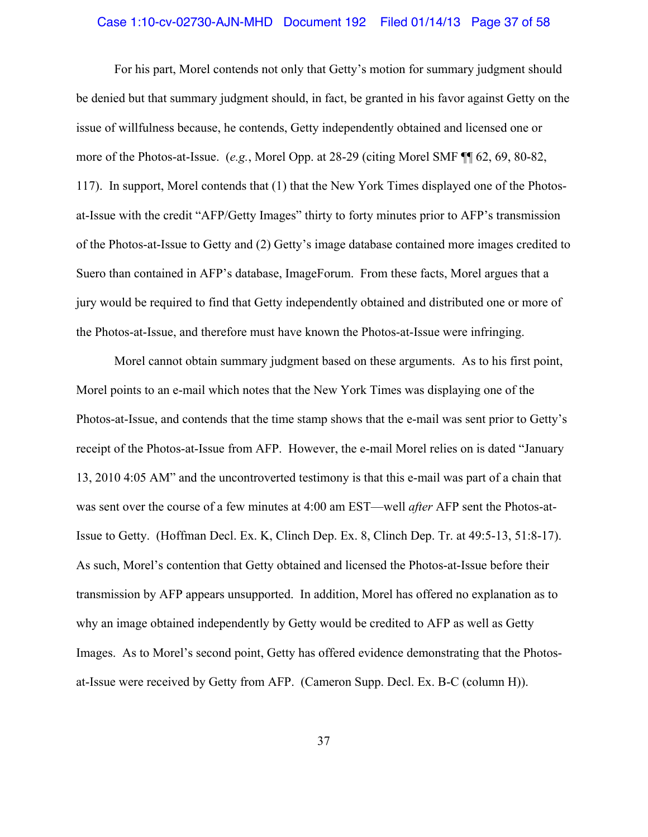#### Case 1:10-cv-02730-AJN-MHD Document 192 Filed 01/14/13 Page 37 of 58

For his part, Morel contends not only that Getty's motion for summary judgment should be denied but that summary judgment should, in fact, be granted in his favor against Getty on the issue of willfulness because, he contends, Getty independently obtained and licensed one or more of the Photos-at-Issue. (*e.g.*, Morel Opp. at 28-29 (citing Morel SMF ¶¶ 62, 69, 80-82, 117). In support, Morel contends that (1) that the New York Times displayed one of the Photosat-Issue with the credit "AFP/Getty Images" thirty to forty minutes prior to AFP's transmission of the Photos-at-Issue to Getty and (2) Getty's image database contained more images credited to Suero than contained in AFP's database, ImageForum. From these facts, Morel argues that a jury would be required to find that Getty independently obtained and distributed one or more of the Photos-at-Issue, and therefore must have known the Photos-at-Issue were infringing.

Morel cannot obtain summary judgment based on these arguments. As to his first point, Morel points to an e-mail which notes that the New York Times was displaying one of the Photos-at-Issue, and contends that the time stamp shows that the e-mail was sent prior to Getty's receipt of the Photos-at-Issue from AFP. However, the e-mail Morel relies on is dated "January 13, 2010 4:05 AM" and the uncontroverted testimony is that this e-mail was part of a chain that was sent over the course of a few minutes at 4:00 am EST—well *after* AFP sent the Photos-at-Issue to Getty. (Hoffman Decl. Ex. K, Clinch Dep. Ex. 8, Clinch Dep. Tr. at 49:5-13, 51:8-17). As such, Morel's contention that Getty obtained and licensed the Photos-at-Issue before their transmission by AFP appears unsupported. In addition, Morel has offered no explanation as to why an image obtained independently by Getty would be credited to AFP as well as Getty Images. As to Morel's second point, Getty has offered evidence demonstrating that the Photosat-Issue were received by Getty from AFP. (Cameron Supp. Decl. Ex. B-C (column H)).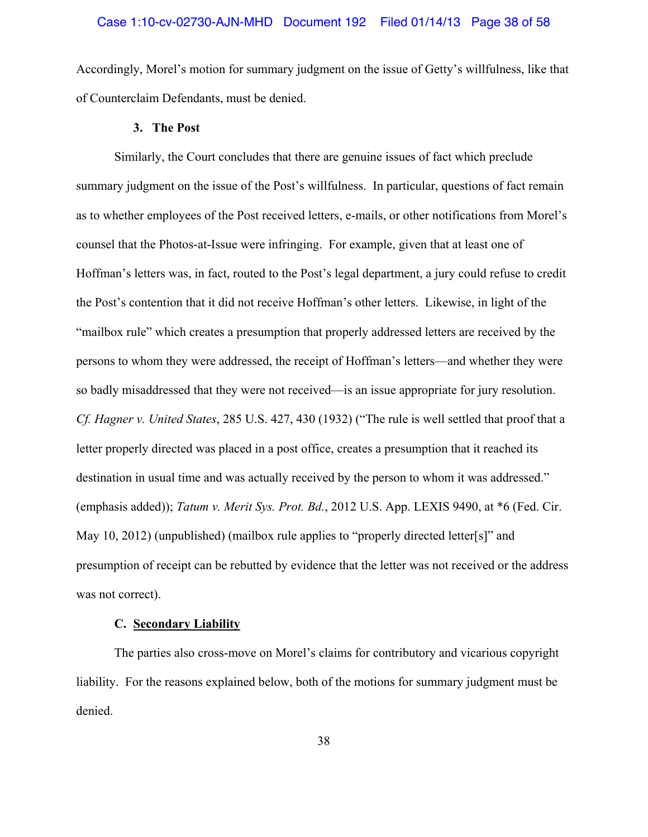## Case 1:10-cv-02730-AJN-MHD Document 192 Filed 01/14/13 Page 38 of 58

Accordingly, Morel's motion for summary judgment on the issue of Getty's willfulness, like that of Counterclaim Defendants, must be denied.

## **3. The Post**

Similarly, the Court concludes that there are genuine issues of fact which preclude summary judgment on the issue of the Post's willfulness. In particular, questions of fact remain as to whether employees of the Post received letters, e-mails, or other notifications from Morel's counsel that the Photos-at-Issue were infringing. For example, given that at least one of Hoffman's letters was, in fact, routed to the Post's legal department, a jury could refuse to credit the Post's contention that it did not receive Hoffman's other letters. Likewise, in light of the "mailbox rule" which creates a presumption that properly addressed letters are received by the persons to whom they were addressed, the receipt of Hoffman's letters—and whether they were so badly misaddressed that they were not received—is an issue appropriate for jury resolution. *Cf. Hagner v. United States*, 285 U.S. 427, 430 (1932) ("The rule is well settled that proof that a letter properly directed was placed in a post office, creates a presumption that it reached its destination in usual time and was actually received by the person to whom it was addressed." (emphasis added)); *Tatum v. Merit Sys. Prot. Bd.*, 2012 U.S. App. LEXIS 9490, at \*6 (Fed. Cir. May 10, 2012) (unpublished) (mailbox rule applies to "properly directed letter[s]" and presumption of receipt can be rebutted by evidence that the letter was not received or the address was not correct).

# **C. Secondary Liability**

The parties also cross-move on Morel's claims for contributory and vicarious copyright liability. For the reasons explained below, both of the motions for summary judgment must be denied.

38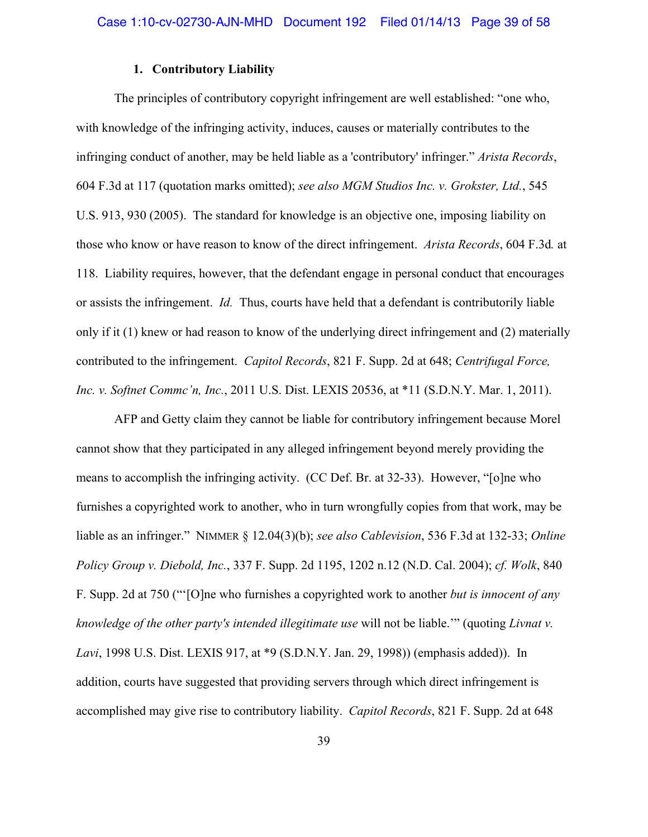# **1. Contributory Liability**

The principles of contributory copyright infringement are well established: "one who, with knowledge of the infringing activity, induces, causes or materially contributes to the infringing conduct of another, may be held liable as a 'contributory' infringer." *Arista Records*, 604 F.3d at 117 (quotation marks omitted); *see also MGM Studios Inc. v. Grokster, Ltd.*, 545 U.S. 913, 930 (2005). The standard for knowledge is an objective one, imposing liability on those who know or have reason to know of the direct infringement. *Arista Records*, 604 F.3d*.* at 118. Liability requires, however, that the defendant engage in personal conduct that encourages or assists the infringement. *Id.* Thus, courts have held that a defendant is contributorily liable only if it (1) knew or had reason to know of the underlying direct infringement and (2) materially contributed to the infringement. *Capitol Records*, 821 F. Supp. 2d at 648; *Centrifugal Force, Inc. v. Softnet Commc'n, Inc.*, 2011 U.S. Dist. LEXIS 20536, at \*11 (S.D.N.Y. Mar. 1, 2011).

AFP and Getty claim they cannot be liable for contributory infringement because Morel cannot show that they participated in any alleged infringement beyond merely providing the means to accomplish the infringing activity. (CC Def. Br. at 32-33). However, "[o]ne who furnishes a copyrighted work to another, who in turn wrongfully copies from that work, may be liable as an infringer." NIMMER § 12.04(3)(b); *see also Cablevision*, 536 F.3d at 132-33; *Online Policy Group v. Diebold, Inc.*, 337 F. Supp. 2d 1195, 1202 n.12 (N.D. Cal. 2004); *cf. Wolk*, 840 F. Supp. 2d at 750 ("'[O]ne who furnishes a copyrighted work to another *but is innocent of any knowledge of the other party's intended illegitimate use* will not be liable.'" (quoting *Livnat v. Lavi*, 1998 U.S. Dist. LEXIS 917, at \*9 (S.D.N.Y. Jan. 29, 1998)) (emphasis added)). In addition, courts have suggested that providing servers through which direct infringement is accomplished may give rise to contributory liability. *Capitol Records*, 821 F. Supp. 2d at 648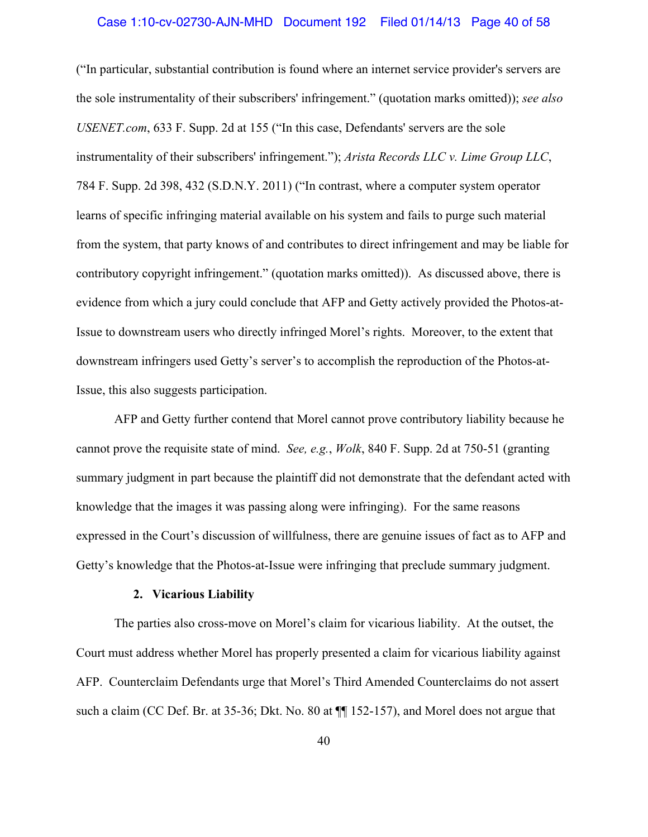## Case 1:10-cv-02730-AJN-MHD Document 192 Filed 01/14/13 Page 40 of 58

("In particular, substantial contribution is found where an internet service provider's servers are the sole instrumentality of their subscribers' infringement." (quotation marks omitted)); *see also USENET.com*, 633 F. Supp. 2d at 155 ("In this case, Defendants' servers are the sole instrumentality of their subscribers' infringement."); *Arista Records LLC v. Lime Group LLC*, 784 F. Supp. 2d 398, 432 (S.D.N.Y. 2011) ("In contrast, where a computer system operator learns of specific infringing material available on his system and fails to purge such material from the system, that party knows of and contributes to direct infringement and may be liable for contributory copyright infringement." (quotation marks omitted)). As discussed above, there is evidence from which a jury could conclude that AFP and Getty actively provided the Photos-at-Issue to downstream users who directly infringed Morel's rights. Moreover, to the extent that downstream infringers used Getty's server's to accomplish the reproduction of the Photos-at-Issue, this also suggests participation.

AFP and Getty further contend that Morel cannot prove contributory liability because he cannot prove the requisite state of mind. *See, e.g.*, *Wolk*, 840 F. Supp. 2d at 750-51 (granting summary judgment in part because the plaintiff did not demonstrate that the defendant acted with knowledge that the images it was passing along were infringing). For the same reasons expressed in the Court's discussion of willfulness, there are genuine issues of fact as to AFP and Getty's knowledge that the Photos-at-Issue were infringing that preclude summary judgment.

## **2. Vicarious Liability**

The parties also cross-move on Morel's claim for vicarious liability. At the outset, the Court must address whether Morel has properly presented a claim for vicarious liability against AFP. Counterclaim Defendants urge that Morel's Third Amended Counterclaims do not assert such a claim (CC Def. Br. at 35-36; Dkt. No. 80 at  $\P\P$  152-157), and Morel does not argue that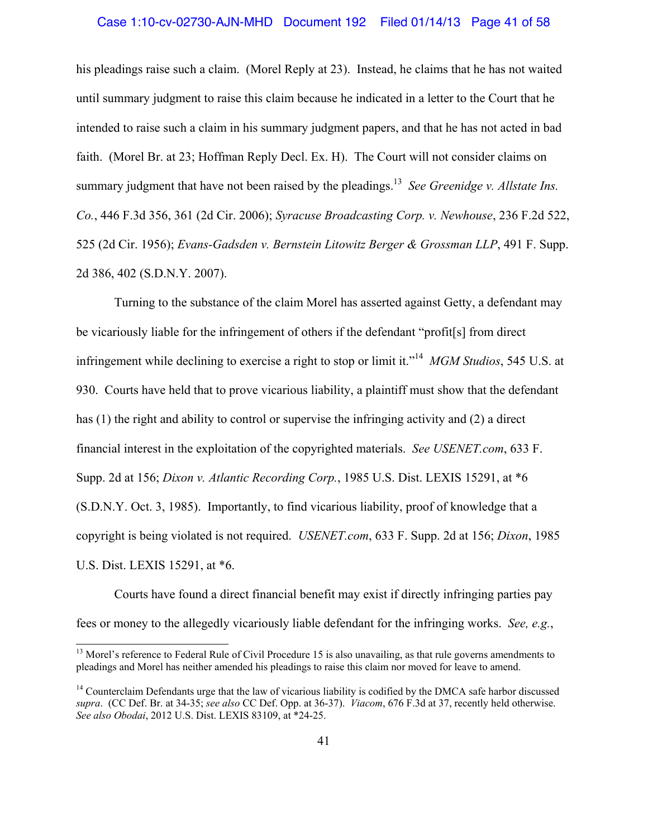## Case 1:10-cv-02730-AJN-MHD Document 192 Filed 01/14/13 Page 41 of 58

his pleadings raise such a claim. (Morel Reply at 23). Instead, he claims that he has not waited until summary judgment to raise this claim because he indicated in a letter to the Court that he intended to raise such a claim in his summary judgment papers, and that he has not acted in bad faith. (Morel Br. at 23; Hoffman Reply Decl. Ex. H). The Court will not consider claims on summary judgment that have not been raised by the pleadings.<sup>13</sup> *See Greenidge v. Allstate Ins. Co.*, 446 F.3d 356, 361 (2d Cir. 2006); *Syracuse Broadcasting Corp. v. Newhouse*, 236 F.2d 522, 525 (2d Cir. 1956); *Evans-Gadsden v. Bernstein Litowitz Berger & Grossman LLP*, 491 F. Supp. 2d 386, 402 (S.D.N.Y. 2007).

Turning to the substance of the claim Morel has asserted against Getty, a defendant may be vicariously liable for the infringement of others if the defendant "profit[s] from direct infringement while declining to exercise a right to stop or limit it."14 *MGM Studios*, 545 U.S. at 930. Courts have held that to prove vicarious liability, a plaintiff must show that the defendant has (1) the right and ability to control or supervise the infringing activity and (2) a direct financial interest in the exploitation of the copyrighted materials. *See USENET.com*, 633 F. Supp. 2d at 156; *Dixon v. Atlantic Recording Corp.*, 1985 U.S. Dist. LEXIS 15291, at \*6 (S.D.N.Y. Oct. 3, 1985). Importantly, to find vicarious liability, proof of knowledge that a copyright is being violated is not required. *USENET.com*, 633 F. Supp. 2d at 156; *Dixon*, 1985 U.S. Dist. LEXIS 15291, at \*6.

 Courts have found a direct financial benefit may exist if directly infringing parties pay fees or money to the allegedly vicariously liable defendant for the infringing works. *See, e.g.*,

 $\overline{a}$ 

 $<sup>13</sup>$  Morel's reference to Federal Rule of Civil Procedure 15 is also unavailing, as that rule governs amendments to</sup> pleadings and Morel has neither amended his pleadings to raise this claim nor moved for leave to amend.

 $<sup>14</sup>$  Counterclaim Defendants urge that the law of vicarious liability is codified by the DMCA safe harbor discussed</sup> *supra*. (CC Def. Br. at 34-35; *see also* CC Def. Opp. at 36-37). *Viacom*, 676 F.3d at 37, recently held otherwise. *See also Obodai*, 2012 U.S. Dist. LEXIS 83109, at \*24-25.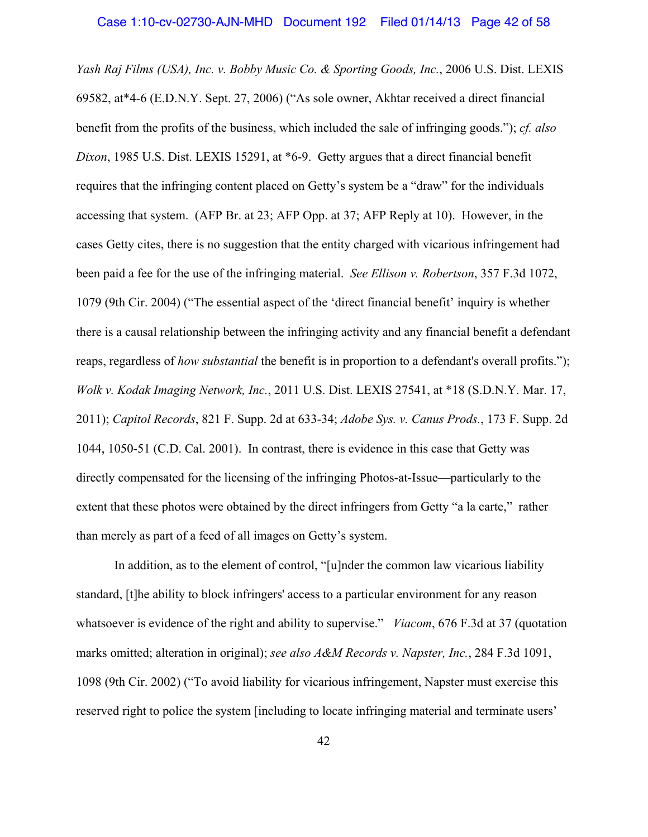*Yash Raj Films (USA), Inc. v. Bobby Music Co. & Sporting Goods, Inc.*, 2006 U.S. Dist. LEXIS 69582, at\*4-6 (E.D.N.Y. Sept. 27, 2006) ("As sole owner, Akhtar received a direct financial benefit from the profits of the business, which included the sale of infringing goods."); *cf. also Dixon*, 1985 U.S. Dist. LEXIS 15291, at \*6-9. Getty argues that a direct financial benefit requires that the infringing content placed on Getty's system be a "draw" for the individuals accessing that system. (AFP Br. at 23; AFP Opp. at 37; AFP Reply at 10). However, in the cases Getty cites, there is no suggestion that the entity charged with vicarious infringement had been paid a fee for the use of the infringing material. *See Ellison v. Robertson*, 357 F.3d 1072, 1079 (9th Cir. 2004) ("The essential aspect of the 'direct financial benefit' inquiry is whether there is a causal relationship between the infringing activity and any financial benefit a defendant reaps, regardless of *how substantial* the benefit is in proportion to a defendant's overall profits."); *Wolk v. Kodak Imaging Network, Inc.*, 2011 U.S. Dist. LEXIS 27541, at \*18 (S.D.N.Y. Mar. 17, 2011); *Capitol Records*, 821 F. Supp. 2d at 633-34; *Adobe Sys. v. Canus Prods.*, 173 F. Supp. 2d 1044, 1050-51 (C.D. Cal. 2001).In contrast, there is evidence in this case that Getty was directly compensated for the licensing of the infringing Photos-at-Issue—particularly to the extent that these photos were obtained by the direct infringers from Getty "a la carte," rather than merely as part of a feed of all images on Getty's system.

In addition, as to the element of control, "[u]nder the common law vicarious liability standard, [t]he ability to block infringers' access to a particular environment for any reason whatsoever is evidence of the right and ability to supervise." *Viacom*, 676 F.3d at 37 (quotation marks omitted; alteration in original); *see also A&M Records v. Napster, Inc.*, 284 F.3d 1091, 1098 (9th Cir. 2002) ("To avoid liability for vicarious infringement, Napster must exercise this reserved right to police the system [including to locate infringing material and terminate users'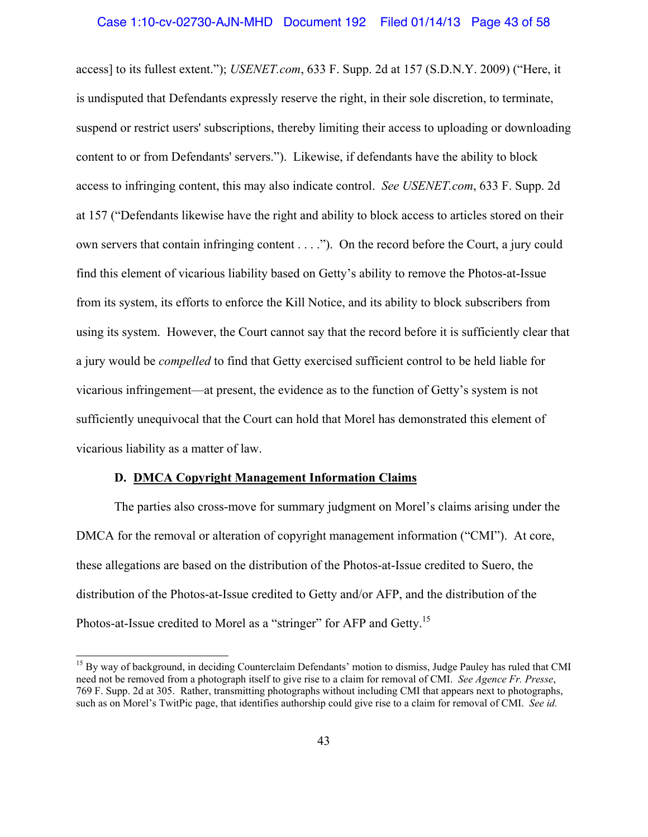access] to its fullest extent."); *USENET.com*, 633 F. Supp. 2d at 157 (S.D.N.Y. 2009) ("Here, it is undisputed that Defendants expressly reserve the right, in their sole discretion, to terminate, suspend or restrict users' subscriptions, thereby limiting their access to uploading or downloading content to or from Defendants' servers."). Likewise, if defendants have the ability to block access to infringing content, this may also indicate control. *See USENET.com*, 633 F. Supp. 2d at 157 ("Defendants likewise have the right and ability to block access to articles stored on their own servers that contain infringing content . . . ."). On the record before the Court, a jury could find this element of vicarious liability based on Getty's ability to remove the Photos-at-Issue from its system, its efforts to enforce the Kill Notice, and its ability to block subscribers from using its system. However, the Court cannot say that the record before it is sufficiently clear that a jury would be *compelled* to find that Getty exercised sufficient control to be held liable for vicarious infringement—at present, the evidence as to the function of Getty's system is not sufficiently unequivocal that the Court can hold that Morel has demonstrated this element of vicarious liability as a matter of law.

# **D. DMCA Copyright Management Information Claims**

i

The parties also cross-move for summary judgment on Morel's claims arising under the DMCA for the removal or alteration of copyright management information ("CMI"). At core, these allegations are based on the distribution of the Photos-at-Issue credited to Suero, the distribution of the Photos-at-Issue credited to Getty and/or AFP, and the distribution of the Photos-at-Issue credited to Morel as a "stringer" for AFP and Getty.<sup>15</sup>

<sup>&</sup>lt;sup>15</sup> By way of background, in deciding Counterclaim Defendants' motion to dismiss, Judge Pauley has ruled that CMI need not be removed from a photograph itself to give rise to a claim for removal of CMI. *See Agence Fr. Presse*, 769 F. Supp. 2d at 305. Rather, transmitting photographs without including CMI that appears next to photographs, such as on Morel's TwitPic page, that identifies authorship could give rise to a claim for removal of CMI. *See id.*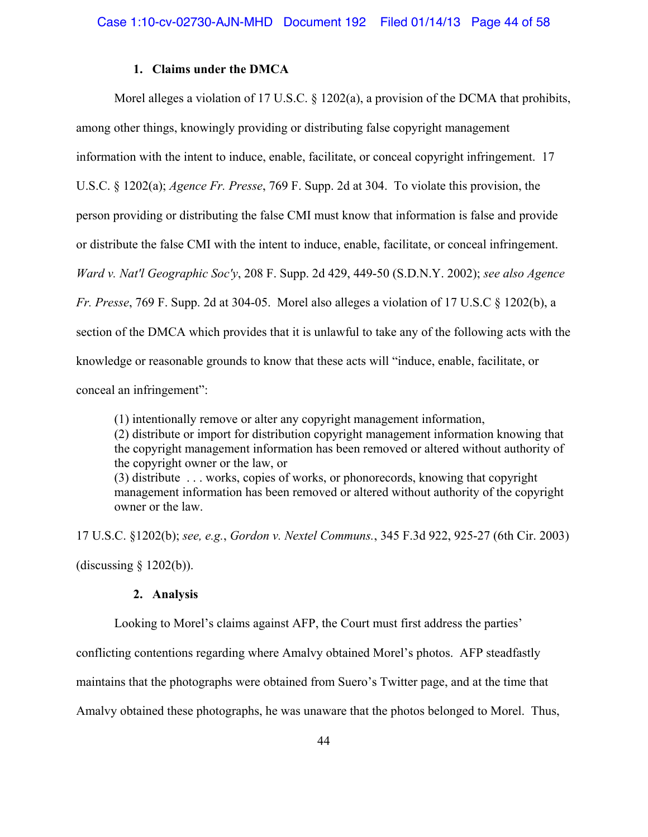# **1. Claims under the DMCA**

Morel alleges a violation of 17 U.S.C. § 1202(a), a provision of the DCMA that prohibits, among other things, knowingly providing or distributing false copyright management information with the intent to induce, enable, facilitate, or conceal copyright infringement. 17 U.S.C. § 1202(a); *Agence Fr. Presse*, 769 F. Supp. 2d at 304. To violate this provision, the person providing or distributing the false CMI must know that information is false and provide or distribute the false CMI with the intent to induce, enable, facilitate, or conceal infringement. *Ward v. Nat'l Geographic Soc'y*, 208 F. Supp. 2d 429, 449-50 (S.D.N.Y. 2002); *see also Agence Fr. Presse*, 769 F. Supp. 2d at 304-05. Morel also alleges a violation of 17 U.S.C § 1202(b), a section of the DMCA which provides that it is unlawful to take any of the following acts with the knowledge or reasonable grounds to know that these acts will "induce, enable, facilitate, or conceal an infringement":

(1) intentionally remove or alter any copyright management information,

(2) distribute or import for distribution copyright management information knowing that the copyright management information has been removed or altered without authority of the copyright owner or the law, or (3) distribute . . . works, copies of works, or phonorecords, knowing that copyright

management information has been removed or altered without authority of the copyright owner or the law.

17 U.S.C. §1202(b); *see, e.g.*, *Gordon v. Nextel Communs.*, 345 F.3d 922, 925-27 (6th Cir. 2003) (discussing  $§$  1202(b)).

## **2. Analysis**

Looking to Morel's claims against AFP, the Court must first address the parties'

conflicting contentions regarding where Amalvy obtained Morel's photos. AFP steadfastly

maintains that the photographs were obtained from Suero's Twitter page, and at the time that

Amalvy obtained these photographs, he was unaware that the photos belonged to Morel. Thus,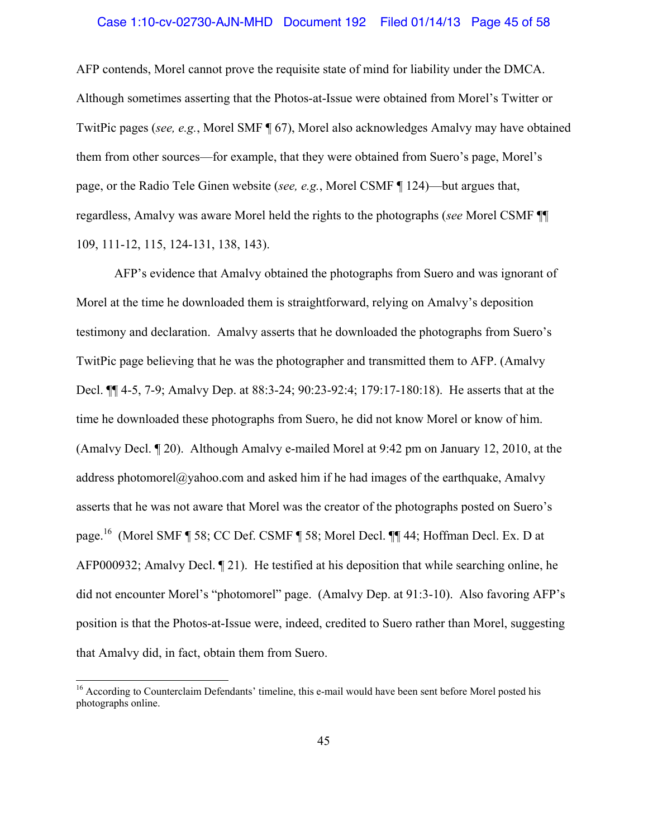#### Case 1:10-cv-02730-AJN-MHD Document 192 Filed 01/14/13 Page 45 of 58

AFP contends, Morel cannot prove the requisite state of mind for liability under the DMCA. Although sometimes asserting that the Photos-at-Issue were obtained from Morel's Twitter or TwitPic pages (*see, e.g.*, Morel SMF ¶ 67), Morel also acknowledges Amalvy may have obtained them from other sources—for example, that they were obtained from Suero's page, Morel's page, or the Radio Tele Ginen website (*see, e.g.*, Morel CSMF ¶ 124)—but argues that, regardless, Amalvy was aware Morel held the rights to the photographs (*see* Morel CSMF ¶¶ 109, 111-12, 115, 124-131, 138, 143).

AFP's evidence that Amalvy obtained the photographs from Suero and was ignorant of Morel at the time he downloaded them is straightforward, relying on Amalvy's deposition testimony and declaration. Amalvy asserts that he downloaded the photographs from Suero's TwitPic page believing that he was the photographer and transmitted them to AFP. (Amalvy Decl. ¶¶ 4-5, 7-9; Amalvy Dep. at 88:3-24; 90:23-92:4; 179:17-180:18). He asserts that at the time he downloaded these photographs from Suero, he did not know Morel or know of him. (Amalvy Decl. ¶ 20). Although Amalvy e-mailed Morel at 9:42 pm on January 12, 2010, at the address photomorel@yahoo.com and asked him if he had images of the earthquake, Amalyy asserts that he was not aware that Morel was the creator of the photographs posted on Suero's page.16 (Morel SMF ¶ 58; CC Def. CSMF ¶ 58; Morel Decl. ¶¶ 44; Hoffman Decl. Ex. D at AFP000932; Amalvy Decl. ¶ 21). He testified at his deposition that while searching online, he did not encounter Morel's "photomorel" page. (Amalvy Dep. at 91:3-10). Also favoring AFP's position is that the Photos-at-Issue were, indeed, credited to Suero rather than Morel, suggesting that Amalvy did, in fact, obtain them from Suero.

 $\overline{\phantom{a}}$ 

<sup>&</sup>lt;sup>16</sup> According to Counterclaim Defendants' timeline, this e-mail would have been sent before Morel posted his photographs online.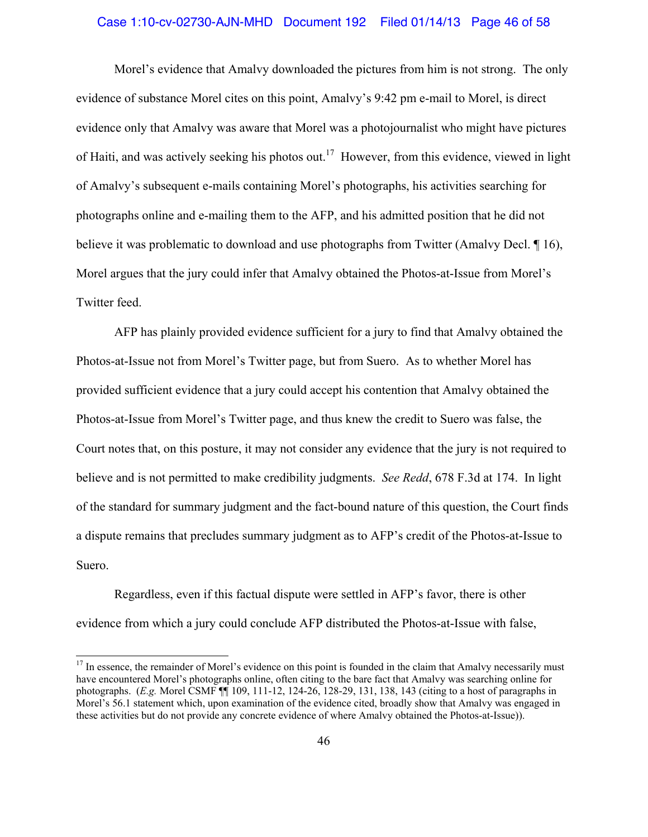## Case 1:10-cv-02730-AJN-MHD Document 192 Filed 01/14/13 Page 46 of 58

Morel's evidence that Amalvy downloaded the pictures from him is not strong. The only evidence of substance Morel cites on this point, Amalvy's 9:42 pm e-mail to Morel, is direct evidence only that Amalvy was aware that Morel was a photojournalist who might have pictures of Haiti, and was actively seeking his photos out.<sup>17</sup> However, from this evidence, viewed in light of Amalvy's subsequent e-mails containing Morel's photographs, his activities searching for photographs online and e-mailing them to the AFP, and his admitted position that he did not believe it was problematic to download and use photographs from Twitter (Amalvy Decl. 16), Morel argues that the jury could infer that Amalvy obtained the Photos-at-Issue from Morel's Twitter feed.

AFP has plainly provided evidence sufficient for a jury to find that Amalvy obtained the Photos-at-Issue not from Morel's Twitter page, but from Suero. As to whether Morel has provided sufficient evidence that a jury could accept his contention that Amalvy obtained the Photos-at-Issue from Morel's Twitter page, and thus knew the credit to Suero was false, the Court notes that, on this posture, it may not consider any evidence that the jury is not required to believe and is not permitted to make credibility judgments. *See Redd*, 678 F.3d at 174. In light of the standard for summary judgment and the fact-bound nature of this question, the Court finds a dispute remains that precludes summary judgment as to AFP's credit of the Photos-at-Issue to Suero.

Regardless, even if this factual dispute were settled in AFP's favor, there is other evidence from which a jury could conclude AFP distributed the Photos-at-Issue with false,

i

 $17$  In essence, the remainder of Morel's evidence on this point is founded in the claim that Amalvy necessarily must have encountered Morel's photographs online, often citing to the bare fact that Amalvy was searching online for photographs. (*E.g.* Morel CSMF ¶¶ 109, 111-12, 124-26, 128-29, 131, 138, 143 (citing to a host of paragraphs in Morel's 56.1 statement which, upon examination of the evidence cited, broadly show that Amalvy was engaged in these activities but do not provide any concrete evidence of where Amalvy obtained the Photos-at-Issue)).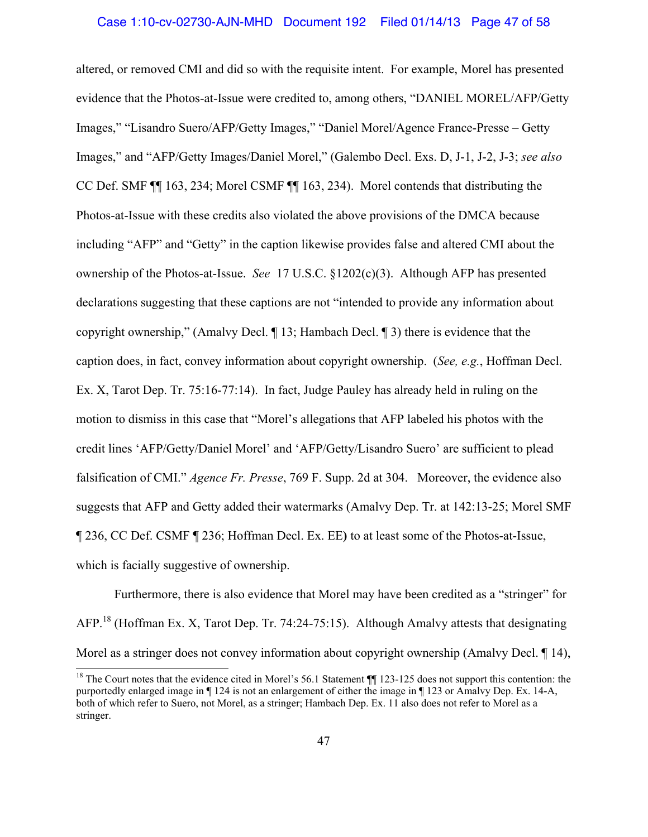# Case 1:10-cv-02730-AJN-MHD Document 192 Filed 01/14/13 Page 47 of 58

altered, or removed CMI and did so with the requisite intent. For example, Morel has presented evidence that the Photos-at-Issue were credited to, among others, "DANIEL MOREL/AFP/Getty Images," "Lisandro Suero/AFP/Getty Images," "Daniel Morel/Agence France-Presse – Getty Images," and "AFP/Getty Images/Daniel Morel," (Galembo Decl. Exs. D, J-1, J-2, J-3; *see also*  CC Def. SMF ¶¶ 163, 234; Morel CSMF ¶¶ 163, 234). Morel contends that distributing the Photos-at-Issue with these credits also violated the above provisions of the DMCA because including "AFP" and "Getty" in the caption likewise provides false and altered CMI about the ownership of the Photos-at-Issue. *See* 17 U.S.C. §1202(c)(3). Although AFP has presented declarations suggesting that these captions are not "intended to provide any information about copyright ownership," (Amalvy Decl. ¶ 13; Hambach Decl. ¶ 3) there is evidence that the caption does, in fact, convey information about copyright ownership. (*See, e.g.*, Hoffman Decl. Ex. X, Tarot Dep. Tr. 75:16-77:14). In fact, Judge Pauley has already held in ruling on the motion to dismiss in this case that "Morel's allegations that AFP labeled his photos with the credit lines 'AFP/Getty/Daniel Morel' and 'AFP/Getty/Lisandro Suero' are sufficient to plead falsification of CMI." *Agence Fr. Presse*, 769 F. Supp. 2d at 304. Moreover, the evidence also suggests that AFP and Getty added their watermarks (Amalvy Dep. Tr. at 142:13-25; Morel SMF ¶ 236, CC Def. CSMF ¶ 236; Hoffman Decl. Ex. EE**)** to at least some of the Photos-at-Issue, which is facially suggestive of ownership.

Furthermore, there is also evidence that Morel may have been credited as a "stringer" for AFP<sup>18</sup> (Hoffman Ex. X, Tarot Dep. Tr. 74:24-75:15). Although Amalvy attests that designating Morel as a stringer does not convey information about copyright ownership (Amalvy Decl. 14),

 $\frac{1}{1}$ 

<sup>&</sup>lt;sup>18</sup> The Court notes that the evidence cited in Morel's 56.1 Statement  $\P$  123-125 does not support this contention: the purportedly enlarged image in ¶ 124 is not an enlargement of either the image in ¶ 123 or Amalvy Dep. Ex. 14-A, both of which refer to Suero, not Morel, as a stringer; Hambach Dep. Ex. 11 also does not refer to Morel as a stringer.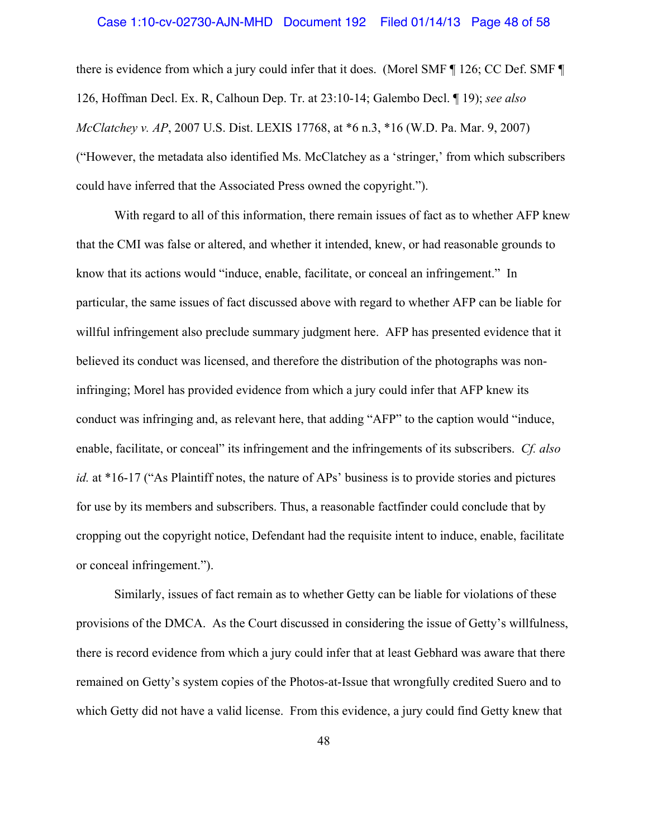## Case 1:10-cv-02730-AJN-MHD Document 192 Filed 01/14/13 Page 48 of 58

there is evidence from which a jury could infer that it does. (Morel SMF ¶ 126; CC Def. SMF ¶ 126, Hoffman Decl. Ex. R, Calhoun Dep. Tr. at 23:10-14; Galembo Decl. ¶ 19); *see also McClatchey v. AP*, 2007 U.S. Dist. LEXIS 17768, at \*6 n.3, \*16 (W.D. Pa. Mar. 9, 2007) ("However, the metadata also identified Ms. McClatchey as a 'stringer,' from which subscribers could have inferred that the Associated Press owned the copyright.").

With regard to all of this information, there remain issues of fact as to whether AFP knew that the CMI was false or altered, and whether it intended, knew, or had reasonable grounds to know that its actions would "induce, enable, facilitate, or conceal an infringement." In particular, the same issues of fact discussed above with regard to whether AFP can be liable for willful infringement also preclude summary judgment here. AFP has presented evidence that it believed its conduct was licensed, and therefore the distribution of the photographs was noninfringing; Morel has provided evidence from which a jury could infer that AFP knew its conduct was infringing and, as relevant here, that adding "AFP" to the caption would "induce, enable, facilitate, or conceal" its infringement and the infringements of its subscribers. *Cf. also id.* at \*16-17 ("As Plaintiff notes, the nature of APs' business is to provide stories and pictures for use by its members and subscribers. Thus, a reasonable factfinder could conclude that by cropping out the copyright notice, Defendant had the requisite intent to induce, enable, facilitate or conceal infringement.").

Similarly, issues of fact remain as to whether Getty can be liable for violations of these provisions of the DMCA. As the Court discussed in considering the issue of Getty's willfulness, there is record evidence from which a jury could infer that at least Gebhard was aware that there remained on Getty's system copies of the Photos-at-Issue that wrongfully credited Suero and to which Getty did not have a valid license. From this evidence, a jury could find Getty knew that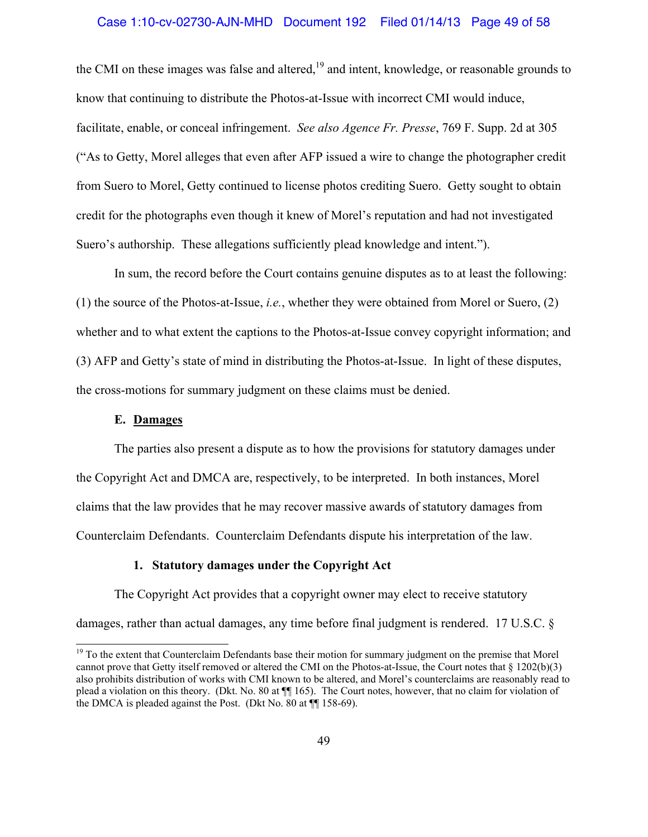# Case 1:10-cv-02730-AJN-MHD Document 192 Filed 01/14/13 Page 49 of 58

the CMI on these images was false and altered, $19$  and intent, knowledge, or reasonable grounds to know that continuing to distribute the Photos-at-Issue with incorrect CMI would induce, facilitate, enable, or conceal infringement. *See also Agence Fr. Presse*, 769 F. Supp. 2d at 305 ("As to Getty, Morel alleges that even after AFP issued a wire to change the photographer credit from Suero to Morel, Getty continued to license photos crediting Suero. Getty sought to obtain credit for the photographs even though it knew of Morel's reputation and had not investigated Suero's authorship. These allegations sufficiently plead knowledge and intent.").

In sum, the record before the Court contains genuine disputes as to at least the following: (1) the source of the Photos-at-Issue, *i.e.*, whether they were obtained from Morel or Suero, (2) whether and to what extent the captions to the Photos-at-Issue convey copyright information; and (3) AFP and Getty's state of mind in distributing the Photos-at-Issue. In light of these disputes, the cross-motions for summary judgment on these claims must be denied.

## **E. Damages**

 $\frac{1}{1}$ 

The parties also present a dispute as to how the provisions for statutory damages under the Copyright Act and DMCA are, respectively, to be interpreted. In both instances, Morel claims that the law provides that he may recover massive awards of statutory damages from Counterclaim Defendants. Counterclaim Defendants dispute his interpretation of the law.

## **1. Statutory damages under the Copyright Act**

The Copyright Act provides that a copyright owner may elect to receive statutory damages, rather than actual damages, any time before final judgment is rendered. 17 U.S.C. §

<sup>&</sup>lt;sup>19</sup> To the extent that Counterclaim Defendants base their motion for summary judgment on the premise that Morel cannot prove that Getty itself removed or altered the CMI on the Photos-at-Issue, the Court notes that § 1202(b)(3) also prohibits distribution of works with CMI known to be altered, and Morel's counterclaims are reasonably read to plead a violation on this theory. (Dkt. No. 80 at ¶¶ 165). The Court notes, however, that no claim for violation of the DMCA is pleaded against the Post. (Dkt No. 80 at ¶¶ 158-69).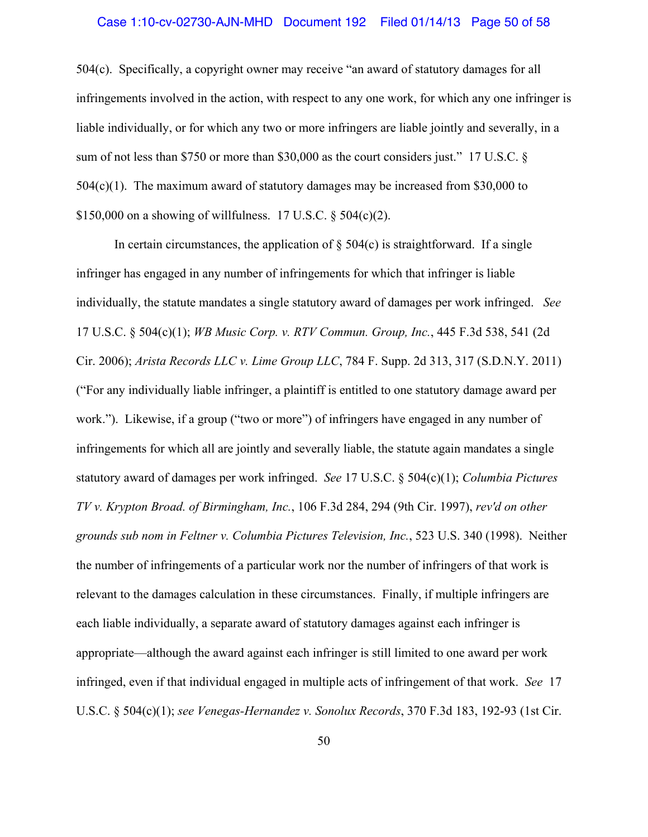#### Case 1:10-cv-02730-AJN-MHD Document 192 Filed 01/14/13 Page 50 of 58

504(c). Specifically, a copyright owner may receive "an award of statutory damages for all infringements involved in the action, with respect to any one work, for which any one infringer is liable individually, or for which any two or more infringers are liable jointly and severally, in a sum of not less than \$750 or more than \$30,000 as the court considers just." 17 U.S.C. § 504(c)(1). The maximum award of statutory damages may be increased from \$30,000 to \$150,000 on a showing of willfulness.  $17 \text{ U.S.C. }$  \$504(c)(2).

In certain circumstances, the application of  $\S$  504(c) is straightforward. If a single infringer has engaged in any number of infringements for which that infringer is liable individually, the statute mandates a single statutory award of damages per work infringed. *See*  17 U.S.C. § 504(c)(1); *WB Music Corp. v. RTV Commun. Group, Inc.*, 445 F.3d 538, 541 (2d Cir. 2006); *Arista Records LLC v. Lime Group LLC*, 784 F. Supp. 2d 313, 317 (S.D.N.Y. 2011) ("For any individually liable infringer, a plaintiff is entitled to one statutory damage award per work."). Likewise, if a group ("two or more") of infringers have engaged in any number of infringements for which all are jointly and severally liable, the statute again mandates a single statutory award of damages per work infringed. *See* 17 U.S.C. § 504(c)(1); *Columbia Pictures TV v. Krypton Broad. of Birmingham, Inc.*, 106 F.3d 284, 294 (9th Cir. 1997), *rev'd on other grounds sub nom in Feltner v. Columbia Pictures Television, Inc.*, 523 U.S. 340 (1998). Neither the number of infringements of a particular work nor the number of infringers of that work is relevant to the damages calculation in these circumstances. Finally, if multiple infringers are each liable individually, a separate award of statutory damages against each infringer is appropriate—although the award against each infringer is still limited to one award per work infringed, even if that individual engaged in multiple acts of infringement of that work. *See* 17 U.S.C. § 504(c)(1); *see Venegas-Hernandez v. Sonolux Records*, 370 F.3d 183, 192-93 (1st Cir.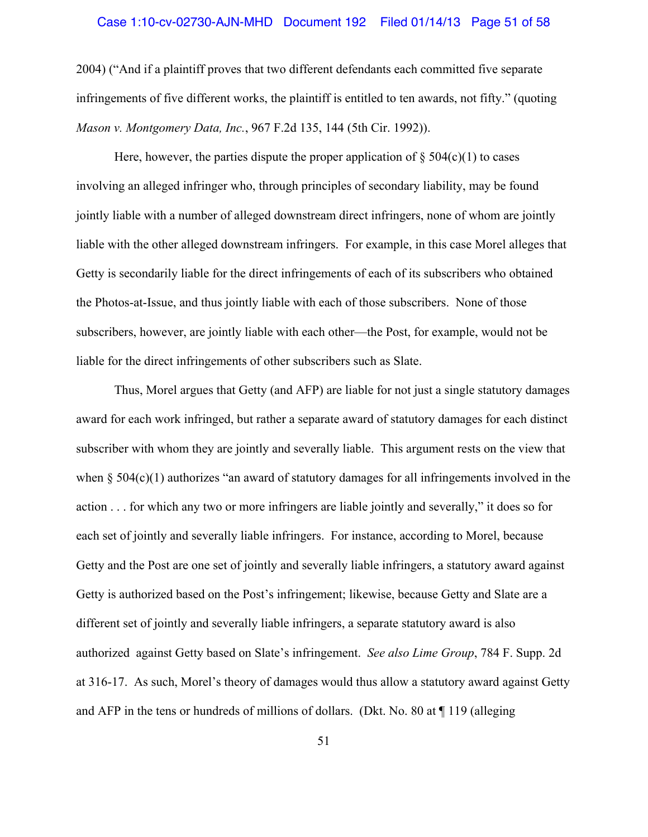#### Case 1:10-cv-02730-AJN-MHD Document 192 Filed 01/14/13 Page 51 of 58

2004) ("And if a plaintiff proves that two different defendants each committed five separate infringements of five different works, the plaintiff is entitled to ten awards, not fifty." (quoting *Mason v. Montgomery Data, Inc.*, 967 F.2d 135, 144 (5th Cir. 1992)).

Here, however, the parties dispute the proper application of  $\S 504(c)(1)$  to cases involving an alleged infringer who, through principles of secondary liability, may be found jointly liable with a number of alleged downstream direct infringers, none of whom are jointly liable with the other alleged downstream infringers. For example, in this case Morel alleges that Getty is secondarily liable for the direct infringements of each of its subscribers who obtained the Photos-at-Issue, and thus jointly liable with each of those subscribers. None of those subscribers, however, are jointly liable with each other—the Post, for example, would not be liable for the direct infringements of other subscribers such as Slate.

Thus, Morel argues that Getty (and AFP) are liable for not just a single statutory damages award for each work infringed, but rather a separate award of statutory damages for each distinct subscriber with whom they are jointly and severally liable. This argument rests on the view that when  $\delta$  504(c)(1) authorizes "an award of statutory damages for all infringements involved in the action . . . for which any two or more infringers are liable jointly and severally," it does so for each set of jointly and severally liable infringers. For instance, according to Morel, because Getty and the Post are one set of jointly and severally liable infringers, a statutory award against Getty is authorized based on the Post's infringement; likewise, because Getty and Slate are a different set of jointly and severally liable infringers, a separate statutory award is also authorized against Getty based on Slate's infringement. *See also Lime Group*, 784 F. Supp. 2d at 316-17. As such, Morel's theory of damages would thus allow a statutory award against Getty and AFP in the tens or hundreds of millions of dollars. (Dkt. No. 80 at ¶ 119 (alleging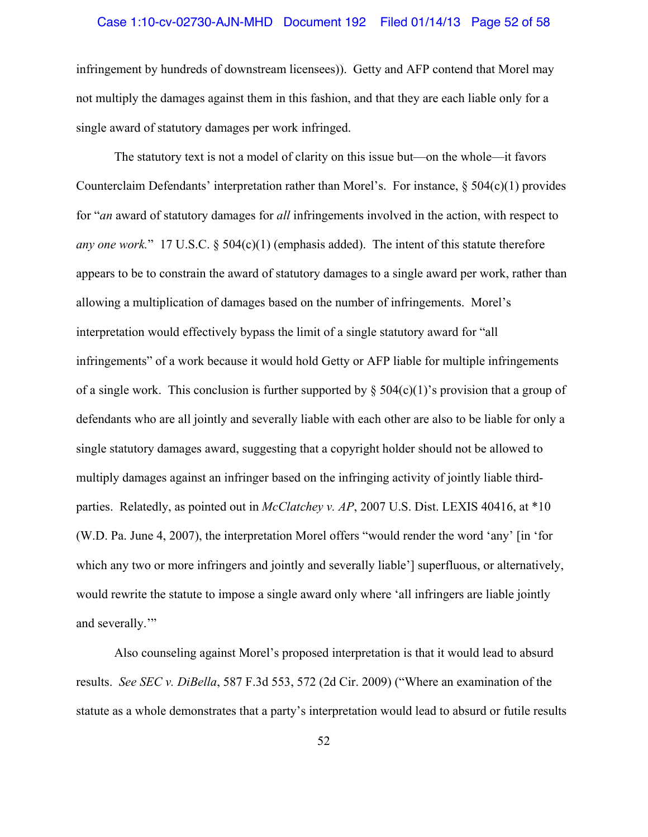## Case 1:10-cv-02730-AJN-MHD Document 192 Filed 01/14/13 Page 52 of 58

infringement by hundreds of downstream licensees)). Getty and AFP contend that Morel may not multiply the damages against them in this fashion, and that they are each liable only for a single award of statutory damages per work infringed.

The statutory text is not a model of clarity on this issue but—on the whole—it favors Counterclaim Defendants' interpretation rather than Morel's. For instance,  $\S 504(c)(1)$  provides for "*an* award of statutory damages for *all* infringements involved in the action, with respect to *any one work.*" 17 U.S.C. § 504(c)(1) (emphasis added). The intent of this statute therefore appears to be to constrain the award of statutory damages to a single award per work, rather than allowing a multiplication of damages based on the number of infringements. Morel's interpretation would effectively bypass the limit of a single statutory award for "all infringements" of a work because it would hold Getty or AFP liable for multiple infringements of a single work. This conclusion is further supported by  $\S$  504(c)(1)'s provision that a group of defendants who are all jointly and severally liable with each other are also to be liable for only a single statutory damages award, suggesting that a copyright holder should not be allowed to multiply damages against an infringer based on the infringing activity of jointly liable thirdparties. Relatedly, as pointed out in *McClatchey v. AP*, 2007 U.S. Dist. LEXIS 40416, at \*10 (W.D. Pa. June 4, 2007), the interpretation Morel offers "would render the word 'any' [in 'for which any two or more infringers and jointly and severally liable'] superfluous, or alternatively, would rewrite the statute to impose a single award only where 'all infringers are liable jointly and severally.'"

Also counseling against Morel's proposed interpretation is that it would lead to absurd results. *See SEC v. DiBella*, 587 F.3d 553, 572 (2d Cir. 2009) ("Where an examination of the statute as a whole demonstrates that a party's interpretation would lead to absurd or futile results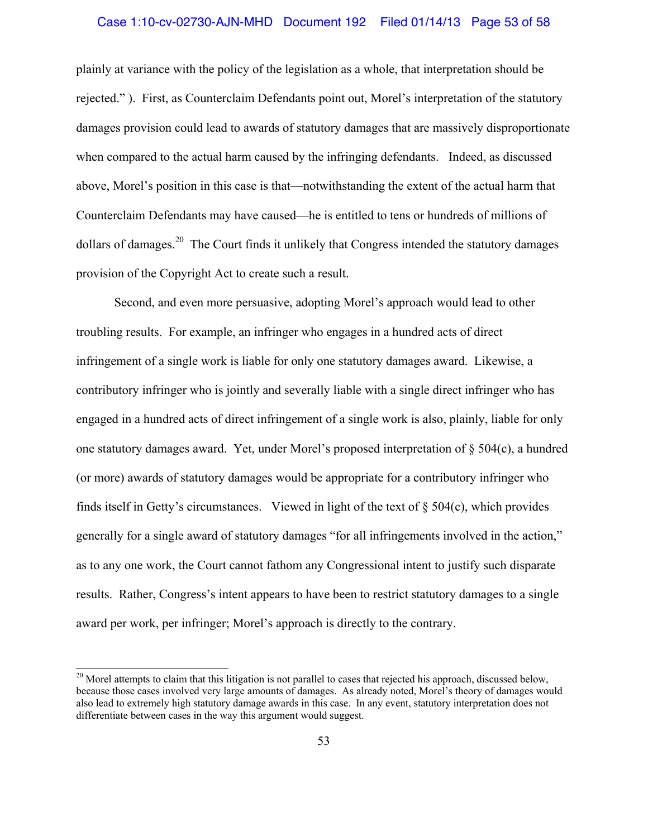## Case 1:10-cv-02730-AJN-MHD Document 192 Filed 01/14/13 Page 53 of 58

plainly at variance with the policy of the legislation as a whole, that interpretation should be rejected." ). First, as Counterclaim Defendants point out, Morel's interpretation of the statutory damages provision could lead to awards of statutory damages that are massively disproportionate when compared to the actual harm caused by the infringing defendants. Indeed, as discussed above, Morel's position in this case is that—notwithstanding the extent of the actual harm that Counterclaim Defendants may have caused—he is entitled to tens or hundreds of millions of dollars of damages.<sup>20</sup> The Court finds it unlikely that Congress intended the statutory damages provision of the Copyright Act to create such a result.

Second, and even more persuasive, adopting Morel's approach would lead to other troubling results. For example, an infringer who engages in a hundred acts of direct infringement of a single work is liable for only one statutory damages award. Likewise, a contributory infringer who is jointly and severally liable with a single direct infringer who has engaged in a hundred acts of direct infringement of a single work is also, plainly, liable for only one statutory damages award. Yet, under Morel's proposed interpretation of § 504(c), a hundred (or more) awards of statutory damages would be appropriate for a contributory infringer who finds itself in Getty's circumstances. Viewed in light of the text of  $\S$  504(c), which provides generally for a single award of statutory damages "for all infringements involved in the action," as to any one work, the Court cannot fathom any Congressional intent to justify such disparate results. Rather, Congress's intent appears to have been to restrict statutory damages to a single award per work, per infringer; Morel's approach is directly to the contrary.

 $\overline{\phantom{a}}$ 

 $20$  Morel attempts to claim that this litigation is not parallel to cases that rejected his approach, discussed below, because those cases involved very large amounts of damages. As already noted, Morel's theory of damages would also lead to extremely high statutory damage awards in this case. In any event, statutory interpretation does not differentiate between cases in the way this argument would suggest.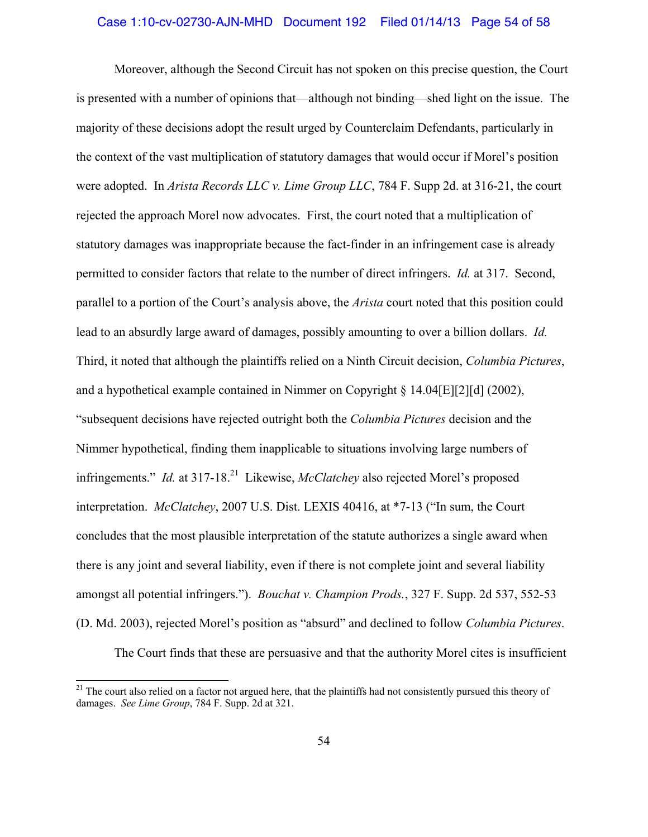#### Case 1:10-cv-02730-AJN-MHD Document 192 Filed 01/14/13 Page 54 of 58

Moreover, although the Second Circuit has not spoken on this precise question, the Court is presented with a number of opinions that—although not binding—shed light on the issue. The majority of these decisions adopt the result urged by Counterclaim Defendants, particularly in the context of the vast multiplication of statutory damages that would occur if Morel's position were adopted. In *Arista Records LLC v. Lime Group LLC*, 784 F. Supp 2d. at 316-21, the court rejected the approach Morel now advocates. First, the court noted that a multiplication of statutory damages was inappropriate because the fact-finder in an infringement case is already permitted to consider factors that relate to the number of direct infringers. *Id.* at 317. Second, parallel to a portion of the Court's analysis above, the *Arista* court noted that this position could lead to an absurdly large award of damages, possibly amounting to over a billion dollars. *Id.* Third, it noted that although the plaintiffs relied on a Ninth Circuit decision, *Columbia Pictures*, and a hypothetical example contained in Nimmer on Copyright § 14.04[E][2][d] (2002), "subsequent decisions have rejected outright both the *Columbia Pictures* decision and the Nimmer hypothetical, finding them inapplicable to situations involving large numbers of infringements." *Id.* at 317-18.<sup>21</sup> Likewise, *McClatchey* also rejected Morel's proposed interpretation. *McClatchey*, 2007 U.S. Dist. LEXIS 40416, at \*7-13 ("In sum, the Court concludes that the most plausible interpretation of the statute authorizes a single award when there is any joint and several liability, even if there is not complete joint and several liability amongst all potential infringers."). *Bouchat v. Champion Prods.*, 327 F. Supp. 2d 537, 552-53 (D. Md. 2003), rejected Morel's position as "absurd" and declined to follow *Columbia Pictures*.

The Court finds that these are persuasive and that the authority Morel cites is insufficient

 $\overline{\phantom{a}}$ 

<sup>&</sup>lt;sup>21</sup> The court also relied on a factor not argued here, that the plaintiffs had not consistently pursued this theory of damages. *See Lime Group*, 784 F. Supp. 2d at 321.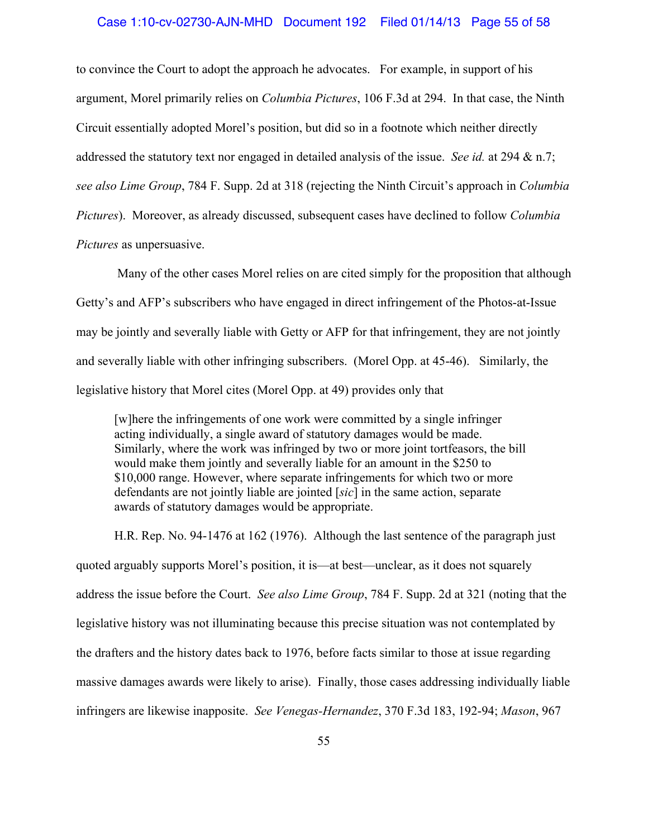# Case 1:10-cv-02730-AJN-MHD Document 192 Filed 01/14/13 Page 55 of 58

to convince the Court to adopt the approach he advocates. For example, in support of his argument, Morel primarily relies on *Columbia Pictures*, 106 F.3d at 294. In that case, the Ninth Circuit essentially adopted Morel's position, but did so in a footnote which neither directly addressed the statutory text nor engaged in detailed analysis of the issue. *See id.* at 294 & n.7; *see also Lime Group*, 784 F. Supp. 2d at 318 (rejecting the Ninth Circuit's approach in *Columbia Pictures*). Moreover, as already discussed, subsequent cases have declined to follow *Columbia Pictures* as unpersuasive.

 Many of the other cases Morel relies on are cited simply for the proposition that although Getty's and AFP's subscribers who have engaged in direct infringement of the Photos-at-Issue may be jointly and severally liable with Getty or AFP for that infringement, they are not jointly and severally liable with other infringing subscribers. (Morel Opp. at 45-46). Similarly, the legislative history that Morel cites (Morel Opp. at 49) provides only that

[w]here the infringements of one work were committed by a single infringer acting individually, a single award of statutory damages would be made. Similarly, where the work was infringed by two or more joint tortfeasors, the bill would make them jointly and severally liable for an amount in the \$250 to \$10,000 range. However, where separate infringements for which two or more defendants are not jointly liable are jointed [*sic*] in the same action, separate awards of statutory damages would be appropriate.

H.R. Rep. No. 94-1476 at 162 (1976). Although the last sentence of the paragraph just quoted arguably supports Morel's position, it is—at best—unclear, as it does not squarely address the issue before the Court. *See also Lime Group*, 784 F. Supp. 2d at 321 (noting that the legislative history was not illuminating because this precise situation was not contemplated by the drafters and the history dates back to 1976, before facts similar to those at issue regarding massive damages awards were likely to arise). Finally, those cases addressing individually liable infringers are likewise inapposite. *See Venegas-Hernandez*, 370 F.3d 183, 192-94; *Mason*, 967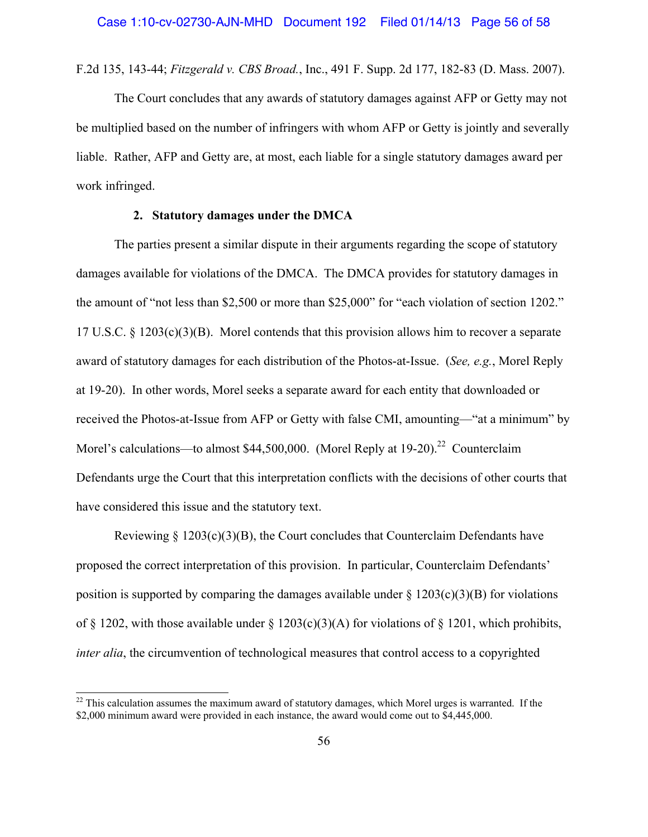F.2d 135, 143-44; *Fitzgerald v. CBS Broad.*, Inc., 491 F. Supp. 2d 177, 182-83 (D. Mass. 2007).

The Court concludes that any awards of statutory damages against AFP or Getty may not be multiplied based on the number of infringers with whom AFP or Getty is jointly and severally liable. Rather, AFP and Getty are, at most, each liable for a single statutory damages award per work infringed.

# **2. Statutory damages under the DMCA**

The parties present a similar dispute in their arguments regarding the scope of statutory damages available for violations of the DMCA. The DMCA provides for statutory damages in the amount of "not less than \$2,500 or more than \$25,000" for "each violation of section 1202." 17 U.S.C. § 1203(c)(3)(B). Morel contends that this provision allows him to recover a separate award of statutory damages for each distribution of the Photos-at-Issue. (*See, e.g.*, Morel Reply at 19-20). In other words, Morel seeks a separate award for each entity that downloaded or received the Photos-at-Issue from AFP or Getty with false CMI, amounting—"at a minimum" by Morel's calculations—to almost \$44,500,000. (Morel Reply at  $19-20$ ).<sup>22</sup> Counterclaim Defendants urge the Court that this interpretation conflicts with the decisions of other courts that have considered this issue and the statutory text.

Reviewing  $\S 1203(c)(3)(B)$ , the Court concludes that Counterclaim Defendants have proposed the correct interpretation of this provision. In particular, Counterclaim Defendants' position is supported by comparing the damages available under  $\S 1203(c)(3)(B)$  for violations of  $\S$  1202, with those available under  $\S$  1203(c)(3)(A) for violations of  $\S$  1201, which prohibits, *inter alia*, the circumvention of technological measures that control access to a copyrighted

i

 $22$  This calculation assumes the maximum award of statutory damages, which Morel urges is warranted. If the \$2,000 minimum award were provided in each instance, the award would come out to \$4,445,000.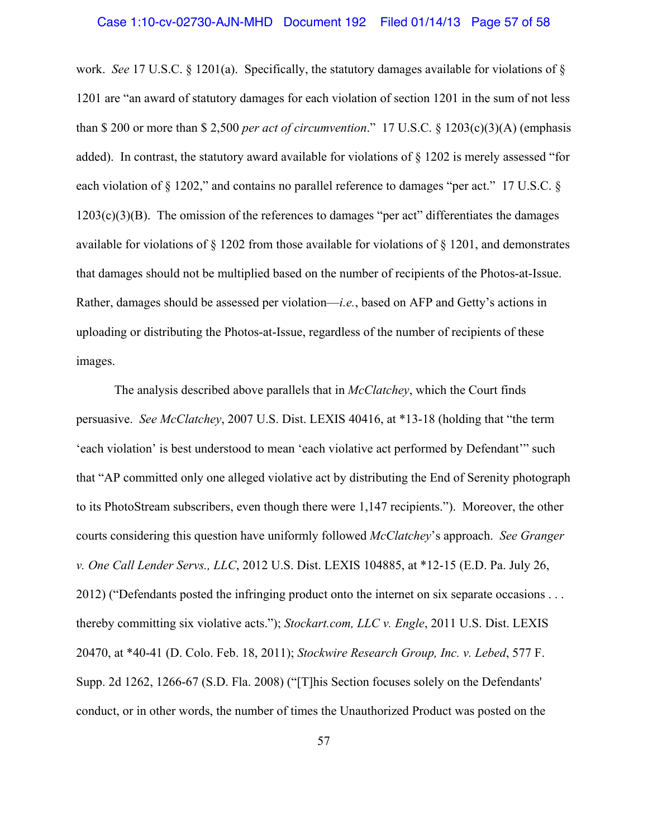#### Case 1:10-cv-02730-AJN-MHD Document 192 Filed 01/14/13 Page 57 of 58

work. *See* 17 U.S.C. § 1201(a). Specifically, the statutory damages available for violations of § 1201 are "an award of statutory damages for each violation of section 1201 in the sum of not less than \$ 200 or more than \$ 2,500 *per act of circumvention*." 17 U.S.C. § 1203(c)(3)(A) (emphasis added). In contrast, the statutory award available for violations of § 1202 is merely assessed "for each violation of § 1202," and contains no parallel reference to damages "per act." 17 U.S.C. §  $1203(c)(3)(B)$ . The omission of the references to damages "per act" differentiates the damages available for violations of § 1202 from those available for violations of § 1201, and demonstrates that damages should not be multiplied based on the number of recipients of the Photos-at-Issue. Rather, damages should be assessed per violation—*i.e.*, based on AFP and Getty's actions in uploading or distributing the Photos-at-Issue, regardless of the number of recipients of these images.

The analysis described above parallels that in *McClatchey*, which the Court finds persuasive. *See McClatchey*, 2007 U.S. Dist. LEXIS 40416, at \*13-18 (holding that "the term 'each violation' is best understood to mean 'each violative act performed by Defendant'" such that "AP committed only one alleged violative act by distributing the End of Serenity photograph to its PhotoStream subscribers, even though there were 1,147 recipients."). Moreover, the other courts considering this question have uniformly followed *McClatchey*'s approach. *See Granger v. One Call Lender Servs., LLC*, 2012 U.S. Dist. LEXIS 104885, at \*12-15 (E.D. Pa. July 26, 2012) ("Defendants posted the infringing product onto the internet on six separate occasions . . . thereby committing six violative acts."); *Stockart.com, LLC v. Engle*, 2011 U.S. Dist. LEXIS 20470, at \*40-41 (D. Colo. Feb. 18, 2011); *Stockwire Research Group, Inc. v. Lebed*, 577 F. Supp. 2d 1262, 1266-67 (S.D. Fla. 2008) ("[T]his Section focuses solely on the Defendants' conduct, or in other words, the number of times the Unauthorized Product was posted on the